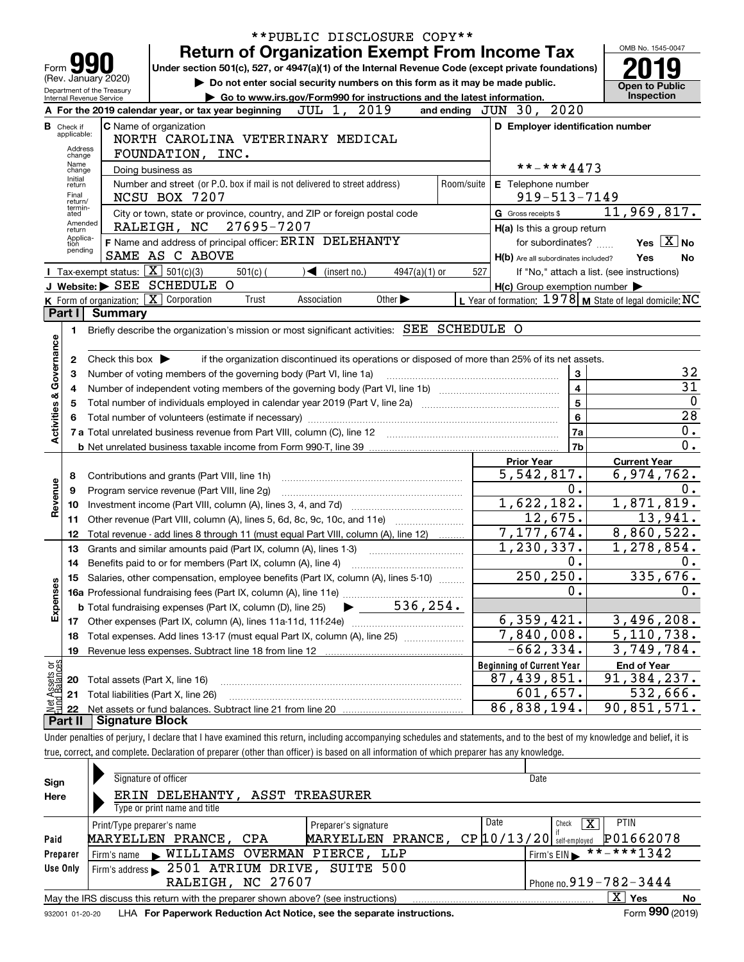|                                                                                                                                                                                |                                    | **PUBLIC DISCLOSURE COPY**                                                                                                                                                 |     |                                                                                                   |                     |  |  |  |  |  |
|--------------------------------------------------------------------------------------------------------------------------------------------------------------------------------|------------------------------------|----------------------------------------------------------------------------------------------------------------------------------------------------------------------------|-----|---------------------------------------------------------------------------------------------------|---------------------|--|--|--|--|--|
|                                                                                                                                                                                |                                    | <b>Return of Organization Exempt From Income Tax</b>                                                                                                                       |     |                                                                                                   | OMB No. 1545-0047   |  |  |  |  |  |
| Under section 501(c), 527, or 4947(a)(1) of the Internal Revenue Code (except private foundations)<br>Form                                                                     |                                    |                                                                                                                                                                            |     |                                                                                                   |                     |  |  |  |  |  |
| (Rev. January 2020)<br>Do not enter social security numbers on this form as it may be made public.                                                                             |                                    |                                                                                                                                                                            |     |                                                                                                   |                     |  |  |  |  |  |
| <b>Open to Public</b><br>Department of the Treasury<br>Inspection<br>Go to www.irs.gov/Form990 for instructions and the latest information.<br><b>Internal Revenue Service</b> |                                    |                                                                                                                                                                            |     |                                                                                                   |                     |  |  |  |  |  |
|                                                                                                                                                                                |                                    | A For the 2019 calendar year, or tax year beginning JUL 1, 2019                                                                                                            |     | 2020<br>and ending $JUN$ 30,                                                                      |                     |  |  |  |  |  |
|                                                                                                                                                                                | <b>B</b> Check if<br>applicable:   | C Name of organization                                                                                                                                                     |     | D Employer identification number                                                                  |                     |  |  |  |  |  |
|                                                                                                                                                                                | Address                            | NORTH CAROLINA VETERINARY MEDICAL                                                                                                                                          |     |                                                                                                   |                     |  |  |  |  |  |
|                                                                                                                                                                                | FOUNDATION, INC.<br>change<br>Name |                                                                                                                                                                            |     |                                                                                                   |                     |  |  |  |  |  |
|                                                                                                                                                                                | change<br>Initial                  | Doing business as                                                                                                                                                          |     | **-***4473                                                                                        |                     |  |  |  |  |  |
|                                                                                                                                                                                | return<br>Final                    | Number and street (or P.O. box if mail is not delivered to street address)                                                                                                 |     | Room/suite E Telephone number                                                                     |                     |  |  |  |  |  |
|                                                                                                                                                                                | return/<br>termin-                 | NCSU BOX 7207                                                                                                                                                              |     | $919 - 513 - 7149$                                                                                |                     |  |  |  |  |  |
|                                                                                                                                                                                | ated<br>Amended                    | City or town, state or province, country, and ZIP or foreign postal code<br>RALEIGH, NC 27695-7207                                                                         |     | G Gross receipts \$                                                                               | 11,969,817.         |  |  |  |  |  |
|                                                                                                                                                                                | return<br>Applica-                 |                                                                                                                                                                            |     | H(a) Is this a group return                                                                       | Yes $X$ No          |  |  |  |  |  |
|                                                                                                                                                                                | tion<br>pending                    | F Name and address of principal officer: ERIN DELEHANTY<br>SAME AS C ABOVE                                                                                                 |     | for subordinates?                                                                                 |                     |  |  |  |  |  |
|                                                                                                                                                                                |                                    | <b>I</b> Tax-exempt status: $\boxed{\mathbf{X}}$ 501(c)(3)<br>$\sqrt{\frac{2}{1}}$ (insert no.)                                                                            | 527 | H(b) Are all subordinates included?                                                               | Yes<br>No           |  |  |  |  |  |
|                                                                                                                                                                                |                                    | $501(c)$ (<br>$4947(a)(1)$ or<br>J Website: SEE SCHEDULE<br>$\Omega$                                                                                                       |     | If "No," attach a list. (see instructions)<br>$H(c)$ Group exemption number $\blacktriangleright$ |                     |  |  |  |  |  |
|                                                                                                                                                                                |                                    | K Form of organization: X Corporation<br>Association<br>Other $\blacktriangleright$<br>Trust                                                                               |     | L Year of formation: $1978$ M State of legal domicile: NC                                         |                     |  |  |  |  |  |
|                                                                                                                                                                                | Part I                             | <b>Summary</b>                                                                                                                                                             |     |                                                                                                   |                     |  |  |  |  |  |
|                                                                                                                                                                                | 1.                                 | Briefly describe the organization's mission or most significant activities: SEE SCHEDULE O                                                                                 |     |                                                                                                   |                     |  |  |  |  |  |
|                                                                                                                                                                                |                                    |                                                                                                                                                                            |     |                                                                                                   |                     |  |  |  |  |  |
|                                                                                                                                                                                | 2                                  | Check this box $\blacktriangleright$<br>if the organization discontinued its operations or disposed of more than 25% of its net assets.                                    |     |                                                                                                   |                     |  |  |  |  |  |
| Governance                                                                                                                                                                     | 3                                  | 3<br>Number of voting members of the governing body (Part VI, line 1a)                                                                                                     |     |                                                                                                   |                     |  |  |  |  |  |
|                                                                                                                                                                                | 4                                  |                                                                                                                                                                            |     | $\overline{\mathbf{4}}$                                                                           | $\overline{31}$     |  |  |  |  |  |
| <b>Activities &amp;</b>                                                                                                                                                        | 5                                  |                                                                                                                                                                            |     | 5                                                                                                 | $\overline{0}$      |  |  |  |  |  |
|                                                                                                                                                                                | 6                                  |                                                                                                                                                                            |     | 6                                                                                                 | $\overline{28}$     |  |  |  |  |  |
|                                                                                                                                                                                |                                    |                                                                                                                                                                            |     | 7a                                                                                                | 0.                  |  |  |  |  |  |
|                                                                                                                                                                                |                                    |                                                                                                                                                                            |     | 7b                                                                                                | $\overline{0}$ .    |  |  |  |  |  |
|                                                                                                                                                                                |                                    |                                                                                                                                                                            |     | <b>Prior Year</b>                                                                                 | <b>Current Year</b> |  |  |  |  |  |
|                                                                                                                                                                                | 8                                  | Contributions and grants (Part VIII, line 1h)                                                                                                                              |     | 5,542,817.                                                                                        | 6,974,762.          |  |  |  |  |  |
| Revenue                                                                                                                                                                        | 9                                  | Program service revenue (Part VIII, line 2g)                                                                                                                               |     | 0.                                                                                                | 0.                  |  |  |  |  |  |
|                                                                                                                                                                                | 10                                 |                                                                                                                                                                            |     | 1,622,182.                                                                                        | 1,871,819.          |  |  |  |  |  |
|                                                                                                                                                                                | 11                                 |                                                                                                                                                                            |     | 12,675.                                                                                           | 13,941.             |  |  |  |  |  |
|                                                                                                                                                                                | 12                                 | Total revenue - add lines 8 through 11 (must equal Part VIII, column (A), line 12)                                                                                         |     | 7,177,674.                                                                                        | 8,860,522.          |  |  |  |  |  |
|                                                                                                                                                                                | 13                                 | Grants and similar amounts paid (Part IX, column (A), lines 1-3)                                                                                                           |     | 1,230,337.                                                                                        | 1,278,854.          |  |  |  |  |  |
|                                                                                                                                                                                | 14                                 | Benefits paid to or for members (Part IX, column (A), line 4)                                                                                                              |     | 0.<br>250, 250.                                                                                   | 0.<br>335,676.      |  |  |  |  |  |
|                                                                                                                                                                                | 15                                 | Salaries, other compensation, employee benefits (Part IX, column (A), lines 5-10)                                                                                          |     | 0.                                                                                                | 0.                  |  |  |  |  |  |
| Expenses                                                                                                                                                                       |                                    |                                                                                                                                                                            |     |                                                                                                   |                     |  |  |  |  |  |
|                                                                                                                                                                                |                                    | 17 Other expenses (Part IX, column (A), lines 11a-11d, 11f-24e)                                                                                                            |     | 6,359,421.                                                                                        | 3,496,208.          |  |  |  |  |  |
|                                                                                                                                                                                | 18                                 | Total expenses. Add lines 13-17 (must equal Part IX, column (A), line 25)                                                                                                  |     | 7,840,008.                                                                                        | 5,110,738.          |  |  |  |  |  |
|                                                                                                                                                                                | 19                                 |                                                                                                                                                                            |     | $-662, 334.$                                                                                      | 3,749,784.          |  |  |  |  |  |
| or<br>Ces                                                                                                                                                                      |                                    |                                                                                                                                                                            |     | <b>Beginning of Current Year</b>                                                                  | <b>End of Year</b>  |  |  |  |  |  |
|                                                                                                                                                                                | 20                                 | Total assets (Part X, line 16)                                                                                                                                             |     | 87,439,851.                                                                                       | 91,384,237.         |  |  |  |  |  |
| t Assets<br>d Balanc                                                                                                                                                           | 21                                 | Total liabilities (Part X, line 26)                                                                                                                                        |     | 601,657.                                                                                          | 532,666.            |  |  |  |  |  |
|                                                                                                                                                                                | 22                                 |                                                                                                                                                                            |     | 86,838,194.                                                                                       | 90,851,571.         |  |  |  |  |  |
|                                                                                                                                                                                | Part II                            | <b>Signature Block</b>                                                                                                                                                     |     |                                                                                                   |                     |  |  |  |  |  |
|                                                                                                                                                                                |                                    | Under penalties of perjury, I declare that I have examined this return, including accompanying schedules and statements, and to the best of my knowledge and belief, it is |     |                                                                                                   |                     |  |  |  |  |  |
|                                                                                                                                                                                |                                    | true, correct, and complete. Declaration of preparer (other than officer) is based on all information of which preparer has any knowledge.                                 |     |                                                                                                   |                     |  |  |  |  |  |
|                                                                                                                                                                                |                                    |                                                                                                                                                                            |     |                                                                                                   |                     |  |  |  |  |  |
| Sian                                                                                                                                                                           |                                    | Signature of officer                                                                                                                                                       |     | Date                                                                                              |                     |  |  |  |  |  |

| Sign     | Signature of officer                                                                                         | Date                 |      |                                                          |  |  |  |  |  |  |  |
|----------|--------------------------------------------------------------------------------------------------------------|----------------------|------|----------------------------------------------------------|--|--|--|--|--|--|--|
| Here     | ERIN DELEHANTY, ASST TREASURER                                                                               |                      |      |                                                          |  |  |  |  |  |  |  |
|          | Type or print name and title                                                                                 |                      |      |                                                          |  |  |  |  |  |  |  |
|          | Print/Type preparer's name                                                                                   | Preparer's signature | Date | <b>PTIN</b><br>x<br>Check                                |  |  |  |  |  |  |  |
| Paid     | MARYELLEN PRANCE, CPA                                                                                        | MARYELLEN PRANCE,    |      | P01662078<br>$CP$ $10/13/20$ $\frac{1}{3}$ self-employed |  |  |  |  |  |  |  |
| Preparer | Firm's name WILLIAMS OVERMAN PIERCE,                                                                         | LLP                  |      | **-***1342<br>Firm's $EIN$                               |  |  |  |  |  |  |  |
| Use Only | Firm's address > 2501 ATRIUM DRIVE, SUITE 500                                                                |                      |      |                                                          |  |  |  |  |  |  |  |
|          | Phone no. $919 - 782 - 3444$<br>RALEIGH, NC 27607                                                            |                      |      |                                                          |  |  |  |  |  |  |  |
|          | X.<br>∣ Yes<br>No<br>May the IRS discuss this return with the preparer shown above? (see instructions)       |                      |      |                                                          |  |  |  |  |  |  |  |
|          | Form 990 (2019)<br>LHA For Paperwork Reduction Act Notice, see the separate instructions.<br>932001 01-20-20 |                      |      |                                                          |  |  |  |  |  |  |  |

932001 01-20-20 LHA **For Paperwork Reduction Act Notice, see the separate instructions.**<br>932001 01-20-20 LHA **For Paperwork Reduction Act Notice, see the separate instructions.**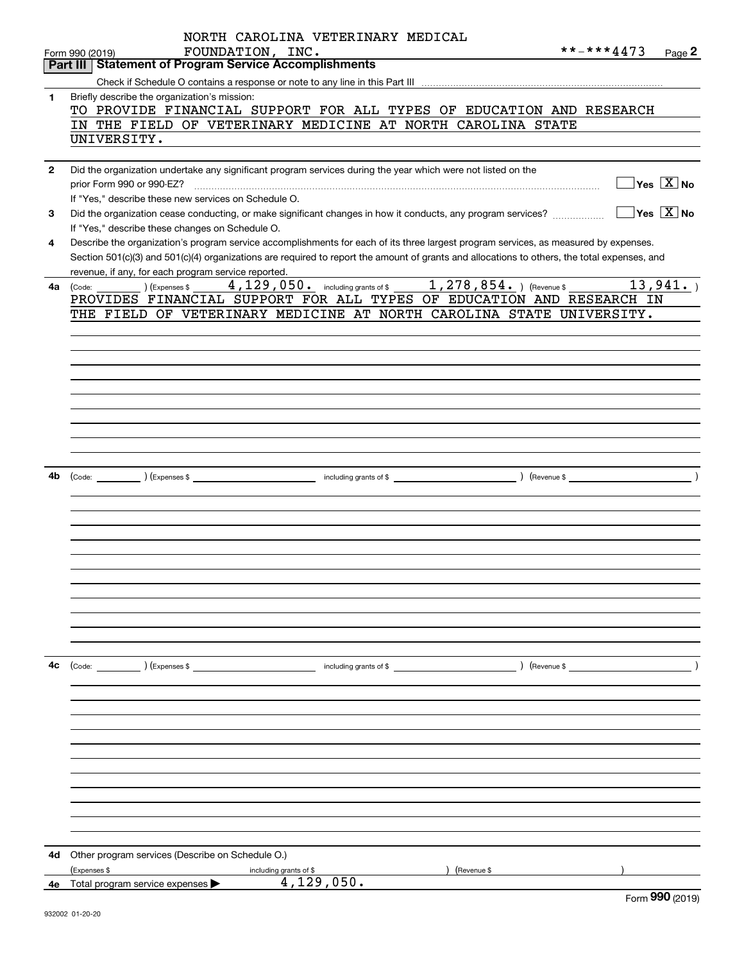|              | NORTH CAROLINA VETERINARY MEDICAL                                                                                                                               |
|--------------|-----------------------------------------------------------------------------------------------------------------------------------------------------------------|
|              | **-***4473<br>FOUNDATION, INC.<br>Page 2<br>Form 990 (2019)                                                                                                     |
|              | Part III   Statement of Program Service Accomplishments                                                                                                         |
|              |                                                                                                                                                                 |
| $\mathbf{1}$ | Briefly describe the organization's mission:<br>TO PROVIDE FINANCIAL SUPPORT FOR ALL TYPES OF EDUCATION AND RESEARCH                                            |
|              | IN THE FIELD OF VETERINARY MEDICINE AT NORTH CAROLINA STATE                                                                                                     |
|              | UNIVERSITY.                                                                                                                                                     |
|              |                                                                                                                                                                 |
| $\mathbf{2}$ | Did the organization undertake any significant program services during the year which were not listed on the                                                    |
|              | $\boxed{\phantom{1}}$ Yes $\boxed{\mathrm{X}}$ No<br>prior Form 990 or 990-EZ?                                                                                  |
|              | If "Yes," describe these new services on Schedule O.                                                                                                            |
| 3            | $\boxed{\phantom{1}}$ Yes $\boxed{\text{X}}$ No<br>Did the organization cease conducting, or make significant changes in how it conducts, any program services? |
|              | If "Yes," describe these changes on Schedule O.                                                                                                                 |
| 4            | Describe the organization's program service accomplishments for each of its three largest program services, as measured by expenses.                            |
|              | Section 501(c)(3) and 501(c)(4) organizations are required to report the amount of grants and allocations to others, the total expenses, and                    |
| 4a           | revenue, if any, for each program service reported.                                                                                                             |
|              | PROVIDES FINANCIAL SUPPORT FOR ALL TYPES OF EDUCATION AND RESEARCH IN                                                                                           |
|              | THE FIELD OF VETERINARY MEDICINE AT NORTH CAROLINA STATE UNIVERSITY.                                                                                            |
|              |                                                                                                                                                                 |
|              |                                                                                                                                                                 |
|              |                                                                                                                                                                 |
|              |                                                                                                                                                                 |
|              |                                                                                                                                                                 |
|              |                                                                                                                                                                 |
|              |                                                                                                                                                                 |
|              |                                                                                                                                                                 |
|              |                                                                                                                                                                 |
|              |                                                                                                                                                                 |
| 4b           |                                                                                                                                                                 |
|              |                                                                                                                                                                 |
|              |                                                                                                                                                                 |
|              |                                                                                                                                                                 |
|              |                                                                                                                                                                 |
|              |                                                                                                                                                                 |
|              |                                                                                                                                                                 |
|              |                                                                                                                                                                 |
|              |                                                                                                                                                                 |
|              |                                                                                                                                                                 |
|              |                                                                                                                                                                 |
|              |                                                                                                                                                                 |
| 4с           | $\left(\text{Code:}\right)$ $\left(\text{Expenses $}\right)$<br>) (Revenue \$<br>including grants of \$                                                         |
|              |                                                                                                                                                                 |
|              |                                                                                                                                                                 |
|              |                                                                                                                                                                 |
|              |                                                                                                                                                                 |
|              |                                                                                                                                                                 |
|              |                                                                                                                                                                 |
|              |                                                                                                                                                                 |
|              |                                                                                                                                                                 |
|              |                                                                                                                                                                 |
|              |                                                                                                                                                                 |
|              |                                                                                                                                                                 |
| 4d           | Other program services (Describe on Schedule O.)                                                                                                                |
|              | (Expenses \$<br>(Revenue \$<br>including grants of \$                                                                                                           |
| 4е           | 4,129,050.<br>Total program service expenses ><br>$\overline{\phantom{0}}$                                                                                      |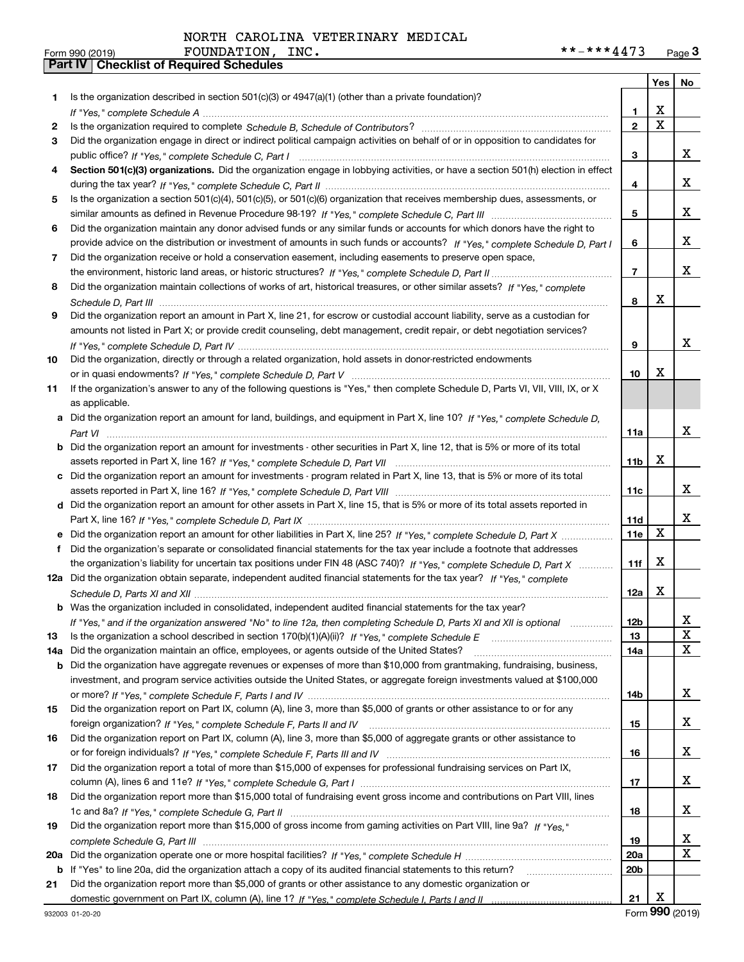|     |                                                                                                                                                                                                                                                   |                 |             | Yes   No |
|-----|---------------------------------------------------------------------------------------------------------------------------------------------------------------------------------------------------------------------------------------------------|-----------------|-------------|----------|
| 1.  | Is the organization described in section $501(c)(3)$ or $4947(a)(1)$ (other than a private foundation)?                                                                                                                                           |                 |             |          |
|     |                                                                                                                                                                                                                                                   | 1               | X           |          |
| 2   |                                                                                                                                                                                                                                                   | $\overline{2}$  | $\mathbf X$ |          |
| 3   | Did the organization engage in direct or indirect political campaign activities on behalf of or in opposition to candidates for                                                                                                                   |                 |             |          |
|     |                                                                                                                                                                                                                                                   | 3               |             | x        |
| 4   | Section 501(c)(3) organizations. Did the organization engage in lobbying activities, or have a section 501(h) election in effect                                                                                                                  |                 |             |          |
|     |                                                                                                                                                                                                                                                   | 4               |             | x        |
| 5   | Is the organization a section 501(c)(4), 501(c)(5), or 501(c)(6) organization that receives membership dues, assessments, or                                                                                                                      |                 |             |          |
|     |                                                                                                                                                                                                                                                   | 5               |             | x        |
| 6   | Did the organization maintain any donor advised funds or any similar funds or accounts for which donors have the right to                                                                                                                         |                 |             |          |
|     | provide advice on the distribution or investment of amounts in such funds or accounts? If "Yes," complete Schedule D, Part I                                                                                                                      | 6               |             | x        |
| 7   | Did the organization receive or hold a conservation easement, including easements to preserve open space,                                                                                                                                         |                 |             |          |
|     |                                                                                                                                                                                                                                                   | $\overline{7}$  |             | x        |
| 8   | Did the organization maintain collections of works of art, historical treasures, or other similar assets? If "Yes," complete                                                                                                                      |                 |             |          |
|     |                                                                                                                                                                                                                                                   | 8               | x           |          |
| 9   | Did the organization report an amount in Part X, line 21, for escrow or custodial account liability, serve as a custodian for                                                                                                                     |                 |             |          |
|     | amounts not listed in Part X; or provide credit counseling, debt management, credit repair, or debt negotiation services?                                                                                                                         |                 |             |          |
|     |                                                                                                                                                                                                                                                   | 9               |             | x        |
| 10  | Did the organization, directly or through a related organization, hold assets in donor-restricted endowments                                                                                                                                      |                 |             |          |
|     |                                                                                                                                                                                                                                                   | 10              | X           |          |
| 11  | If the organization's answer to any of the following questions is "Yes," then complete Schedule D, Parts VI, VII, VIII, IX, or X                                                                                                                  |                 |             |          |
|     | as applicable.                                                                                                                                                                                                                                    |                 |             |          |
| а   | Did the organization report an amount for land, buildings, and equipment in Part X, line 10? If "Yes." complete Schedule D.                                                                                                                       |                 |             |          |
|     |                                                                                                                                                                                                                                                   | 11a             |             | x        |
| b   | Did the organization report an amount for investments - other securities in Part X, line 12, that is 5% or more of its total                                                                                                                      |                 |             |          |
|     |                                                                                                                                                                                                                                                   | 11 <sub>b</sub> | x           |          |
| c   | Did the organization report an amount for investments - program related in Part X, line 13, that is 5% or more of its total                                                                                                                       |                 |             |          |
|     |                                                                                                                                                                                                                                                   | 11c             |             | x        |
| d   | Did the organization report an amount for other assets in Part X, line 15, that is 5% or more of its total assets reported in                                                                                                                     |                 |             | х        |
|     |                                                                                                                                                                                                                                                   | 11d             | $\mathbf X$ |          |
|     | Did the organization report an amount for other liabilities in Part X, line 25? If "Yes," complete Schedule D, Part X                                                                                                                             | 11e             |             |          |
| f   | Did the organization's separate or consolidated financial statements for the tax year include a footnote that addresses                                                                                                                           |                 | X           |          |
|     | the organization's liability for uncertain tax positions under FIN 48 (ASC 740)? If "Yes," complete Schedule D, Part X<br>12a Did the organization obtain separate, independent audited financial statements for the tax year? If "Yes," complete | 11f             |             |          |
|     |                                                                                                                                                                                                                                                   |                 | х           |          |
|     | <b>b</b> Was the organization included in consolidated, independent audited financial statements for the tax year?                                                                                                                                | 12a             |             |          |
|     |                                                                                                                                                                                                                                                   |                 |             |          |
| 13  | If "Yes," and if the organization answered "No" to line 12a, then completing Schedule D, Parts XI and XII is optional<br>Is the organization a school described in section 170(b)(1)(A)(ii)? If "Yes," complete Schedule E                        | סצו<br>13       |             | ▵<br>X   |
| 14a | Did the organization maintain an office, employees, or agents outside of the United States?                                                                                                                                                       | 14a             |             | x        |
| b   | Did the organization have aggregate revenues or expenses of more than \$10,000 from grantmaking, fundraising, business,                                                                                                                           |                 |             |          |
|     | investment, and program service activities outside the United States, or aggregate foreign investments valued at \$100,000                                                                                                                        |                 |             |          |
|     |                                                                                                                                                                                                                                                   | 14b             |             | x        |
| 15  | Did the organization report on Part IX, column (A), line 3, more than \$5,000 of grants or other assistance to or for any                                                                                                                         |                 |             |          |
|     |                                                                                                                                                                                                                                                   | 15              |             | x        |
| 16  | Did the organization report on Part IX, column (A), line 3, more than \$5,000 of aggregate grants or other assistance to                                                                                                                          |                 |             |          |
|     |                                                                                                                                                                                                                                                   | 16              |             | x        |
| 17  | Did the organization report a total of more than \$15,000 of expenses for professional fundraising services on Part IX,                                                                                                                           |                 |             |          |
|     |                                                                                                                                                                                                                                                   | 17              |             | x        |
| 18  | Did the organization report more than \$15,000 total of fundraising event gross income and contributions on Part VIII, lines                                                                                                                      |                 |             |          |
|     |                                                                                                                                                                                                                                                   | 18              |             | x        |
| 19  | Did the organization report more than \$15,000 of gross income from gaming activities on Part VIII, line 9a? If "Yes."                                                                                                                            |                 |             |          |
|     |                                                                                                                                                                                                                                                   | 19              |             | x        |
| 20a |                                                                                                                                                                                                                                                   | 20a             |             | X        |
|     | b If "Yes" to line 20a, did the organization attach a copy of its audited financial statements to this return?                                                                                                                                    | 20 <sub>b</sub> |             |          |
| 21  | Did the organization report more than \$5,000 of grants or other assistance to any domestic organization or                                                                                                                                       |                 |             |          |
|     |                                                                                                                                                                                                                                                   | 21              | x           |          |
|     |                                                                                                                                                                                                                                                   |                 |             |          |

Form (2019) **990**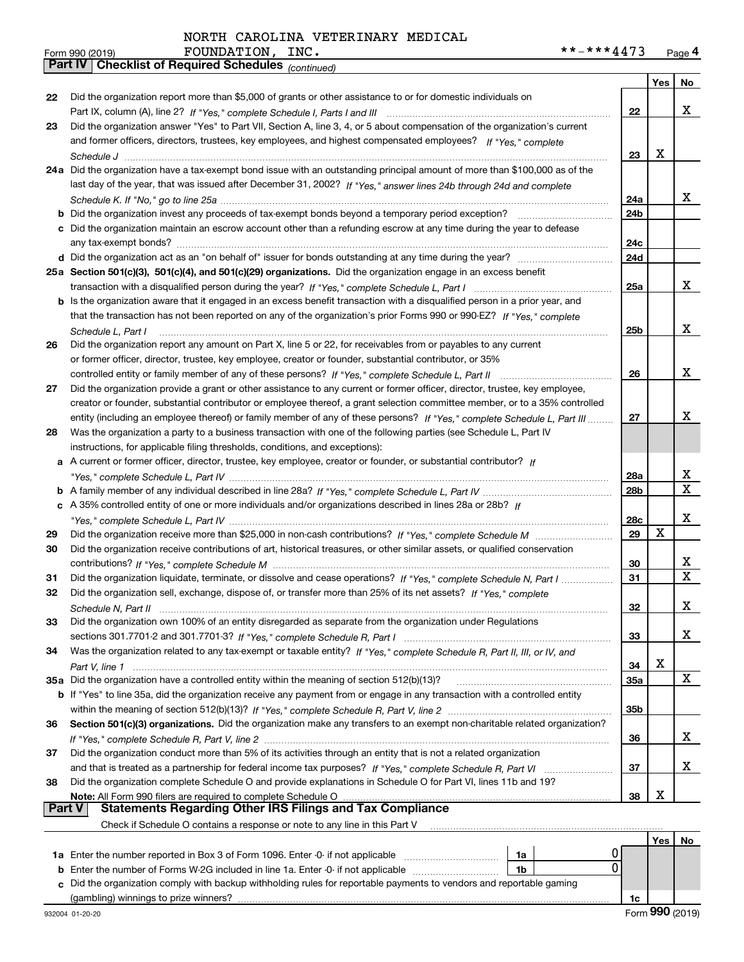|        | **-***4473<br>FOUNDATION,<br>INC.<br>Form 990 (2019)                                                                         |                 |     | Page 4      |
|--------|------------------------------------------------------------------------------------------------------------------------------|-----------------|-----|-------------|
|        | <b>Checklist of Required Schedules (continued)</b><br>  Part IV                                                              |                 |     |             |
|        |                                                                                                                              |                 | Yes | No          |
| 22     | Did the organization report more than \$5,000 of grants or other assistance to or for domestic individuals on                |                 |     |             |
|        |                                                                                                                              | 22              |     | x           |
| 23     | Did the organization answer "Yes" to Part VII, Section A, line 3, 4, or 5 about compensation of the organization's current   |                 |     |             |
|        | and former officers, directors, trustees, key employees, and highest compensated employees? If "Yes," complete               |                 |     |             |
|        |                                                                                                                              | 23              | х   |             |
|        | 24a Did the organization have a tax-exempt bond issue with an outstanding principal amount of more than \$100,000 as of the  |                 |     |             |
|        | last day of the year, that was issued after December 31, 2002? If "Yes," answer lines 24b through 24d and complete           |                 |     |             |
|        |                                                                                                                              | 24a             |     | x           |
|        | <b>b</b> Did the organization invest any proceeds of tax-exempt bonds beyond a temporary period exception?                   | 24 <sub>b</sub> |     |             |
|        | c Did the organization maintain an escrow account other than a refunding escrow at any time during the year to defease       |                 |     |             |
|        | any tax-exempt bonds?                                                                                                        | 24c             |     |             |
|        |                                                                                                                              | 24d             |     |             |
|        | 25a Section 501(c)(3), 501(c)(4), and 501(c)(29) organizations. Did the organization engage in an excess benefit             |                 |     |             |
|        |                                                                                                                              | 25a             |     | x           |
|        | b Is the organization aware that it engaged in an excess benefit transaction with a disqualified person in a prior year, and |                 |     |             |
|        | that the transaction has not been reported on any of the organization's prior Forms 990 or 990-EZ? If "Yes," complete        |                 |     |             |
|        | Schedule L, Part I                                                                                                           | 25b             |     | x           |
| 26     | Did the organization report any amount on Part X, line 5 or 22, for receivables from or payables to any current              |                 |     |             |
|        | or former officer, director, trustee, key employee, creator or founder, substantial contributor, or 35%                      |                 |     |             |
|        | controlled entity or family member of any of these persons? If "Yes," complete Schedule L, Part II                           | 26              |     | x           |
| 27     | Did the organization provide a grant or other assistance to any current or former officer, director, trustee, key employee,  |                 |     |             |
|        | creator or founder, substantial contributor or employee thereof, a grant selection committee member, or to a 35% controlled  |                 |     |             |
|        | entity (including an employee thereof) or family member of any of these persons? If "Yes," complete Schedule L, Part III     | 27              |     | x           |
| 28     | Was the organization a party to a business transaction with one of the following parties (see Schedule L, Part IV            |                 |     |             |
|        | instructions, for applicable filing thresholds, conditions, and exceptions):                                                 |                 |     |             |
|        | a A current or former officer, director, trustee, key employee, creator or founder, or substantial contributor? If           |                 |     |             |
|        |                                                                                                                              | 28a             |     | x           |
|        |                                                                                                                              | 28b             |     | $\mathbf x$ |
|        | c A 35% controlled entity of one or more individuals and/or organizations described in lines 28a or 28b? If                  |                 |     |             |
|        |                                                                                                                              | 28c             |     | х           |
| 29     |                                                                                                                              | 29              | X   |             |
| 30     | Did the organization receive contributions of art, historical treasures, or other similar assets, or qualified conservation  |                 |     |             |
|        |                                                                                                                              | 30              |     | х           |
| 31     | Did the organization liquidate, terminate, or dissolve and cease operations? If "Yes," complete Schedule N, Part I           | 31              |     | X           |
| 32     | Did the organization sell, exchange, dispose of, or transfer more than 25% of its net assets? If "Yes," complete             |                 |     |             |
|        |                                                                                                                              | 32              |     | x           |
| 33     | Did the organization own 100% of an entity disregarded as separate from the organization under Regulations                   |                 |     |             |
|        |                                                                                                                              | 33              |     | x           |
| 34     | Was the organization related to any tax-exempt or taxable entity? If "Yes," complete Schedule R, Part II, III, or IV, and    |                 |     |             |
|        |                                                                                                                              | 34              | х   |             |
|        | 35a Did the organization have a controlled entity within the meaning of section 512(b)(13)?                                  | 35a             |     | X           |
|        | b If "Yes" to line 35a, did the organization receive any payment from or engage in any transaction with a controlled entity  |                 |     |             |
|        |                                                                                                                              | 35 <sub>b</sub> |     |             |
| 36     | Section 501(c)(3) organizations. Did the organization make any transfers to an exempt non-charitable related organization?   |                 |     |             |
|        |                                                                                                                              | 36              |     | x           |
| 37     | Did the organization conduct more than 5% of its activities through an entity that is not a related organization             |                 |     |             |
|        |                                                                                                                              | 37              |     | x           |
| 38     | Did the organization complete Schedule O and provide explanations in Schedule O for Part VI, lines 11b and 19?               |                 |     |             |
|        | Note: All Form 990 filers are required to complete Schedule O                                                                | 38              | х   |             |
| Part V | <b>Statements Regarding Other IRS Filings and Tax Compliance</b>                                                             |                 |     |             |
|        | Check if Schedule O contains a response or note to any line in this Part V                                                   |                 |     |             |
|        |                                                                                                                              |                 | Yes | No          |
|        | the number reported in Pay 2 of Ferm 1006, Enter 0 if not enplies                                                            | n١              |     |             |

| <b>1a</b> Enter the number reported in Box 3 of Form 1096. Enter -0- if not applicable                               | 1a |  |    |  |  |  |
|----------------------------------------------------------------------------------------------------------------------|----|--|----|--|--|--|
| <b>b</b> Enter the number of Forms W-2G included in line 1a. Enter -0- if not applicable                             | 1b |  |    |  |  |  |
| c Did the organization comply with backup withholding rules for reportable payments to vendors and reportable gaming |    |  |    |  |  |  |
| (gambling) winnings to prize winners?                                                                                |    |  | 1с |  |  |  |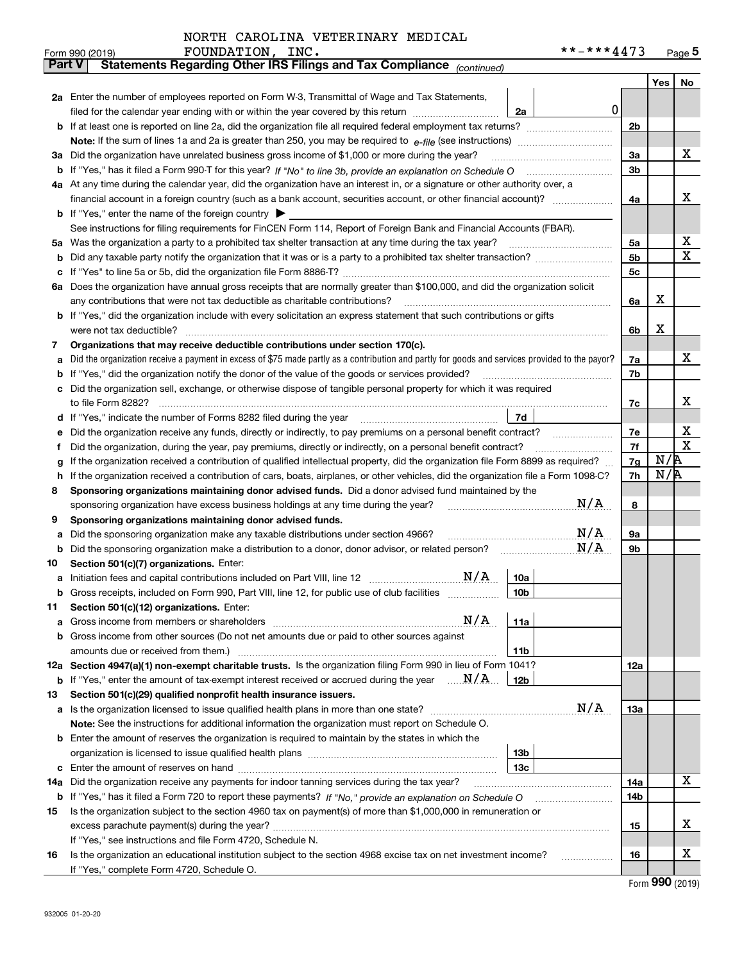|               | FOUNDATION,<br>INC.<br>Form 990 (2019)                                                                                                                                                                                                           |                 | **-***4473              |                |     | Page $5$ |
|---------------|--------------------------------------------------------------------------------------------------------------------------------------------------------------------------------------------------------------------------------------------------|-----------------|-------------------------|----------------|-----|----------|
| <b>Part V</b> | Statements Regarding Other IRS Filings and Tax Compliance (continued)                                                                                                                                                                            |                 |                         |                |     |          |
|               |                                                                                                                                                                                                                                                  |                 |                         |                |     | Yes   No |
|               | 2a Enter the number of employees reported on Form W-3, Transmittal of Wage and Tax Statements,                                                                                                                                                   |                 |                         |                |     |          |
|               | filed for the calendar year ending with or within the year covered by this return [11] [11] the calendar year ending with or within the year covered by this return                                                                              | 2a              | 0                       |                |     |          |
|               |                                                                                                                                                                                                                                                  |                 |                         | 2 <sub>b</sub> |     |          |
|               |                                                                                                                                                                                                                                                  |                 |                         |                |     |          |
|               | 3a Did the organization have unrelated business gross income of \$1,000 or more during the year?                                                                                                                                                 |                 |                         | 3a             |     | х        |
|               |                                                                                                                                                                                                                                                  |                 |                         | 3 <sub>b</sub> |     |          |
|               | 4a At any time during the calendar year, did the organization have an interest in, or a signature or other authority over, a                                                                                                                     |                 |                         |                |     |          |
|               |                                                                                                                                                                                                                                                  |                 |                         | 4a             |     | х        |
|               | <b>b</b> If "Yes," enter the name of the foreign country $\blacktriangleright$                                                                                                                                                                   |                 |                         |                |     |          |
|               | See instructions for filing requirements for FinCEN Form 114, Report of Foreign Bank and Financial Accounts (FBAR).                                                                                                                              |                 |                         |                |     |          |
| 5a            | Was the organization a party to a prohibited tax shelter transaction at any time during the tax year?                                                                                                                                            |                 |                         | 5a             |     | х        |
| b             |                                                                                                                                                                                                                                                  |                 |                         | 5b             |     | х        |
| с             |                                                                                                                                                                                                                                                  |                 |                         | 5c             |     |          |
| ба            | Does the organization have annual gross receipts that are normally greater than \$100,000, and did the organization solicit                                                                                                                      |                 |                         |                |     |          |
|               | any contributions that were not tax deductible as charitable contributions?                                                                                                                                                                      |                 |                         | 6a             | х   |          |
|               | b If "Yes," did the organization include with every solicitation an express statement that such contributions or gifts                                                                                                                           |                 |                         |                |     |          |
|               | were not tax deductible?                                                                                                                                                                                                                         |                 |                         | 6b             | х   |          |
| 7             | Organizations that may receive deductible contributions under section 170(c).                                                                                                                                                                    |                 |                         |                |     |          |
| a             | Did the organization receive a payment in excess of \$75 made partly as a contribution and partly for goods and services provided to the payor?                                                                                                  |                 |                         | 7a             |     | х        |
| b             | If "Yes," did the organization notify the donor of the value of the goods or services provided?                                                                                                                                                  |                 |                         | 7b             |     |          |
|               | Did the organization sell, exchange, or otherwise dispose of tangible personal property for which it was required                                                                                                                                |                 |                         |                |     | х        |
|               |                                                                                                                                                                                                                                                  | 7d              |                         | 7c             |     |          |
| d             | If "Yes," indicate the number of Forms 8282 filed during the year                                                                                                                                                                                |                 |                         |                |     | х        |
| е             | Did the organization receive any funds, directly or indirectly, to pay premiums on a personal benefit contract?                                                                                                                                  |                 |                         | 7e<br>7f       |     | х        |
| f             | Did the organization, during the year, pay premiums, directly or indirectly, on a personal benefit contract?<br>If the organization received a contribution of qualified intellectual property, did the organization file Form 8899 as required? |                 |                         | 7g             | N/R |          |
| g<br>h        | If the organization received a contribution of cars, boats, airplanes, or other vehicles, did the organization file a Form 1098-C?                                                                                                               |                 |                         | 7h             | N/R |          |
| 8             | Sponsoring organizations maintaining donor advised funds. Did a donor advised fund maintained by the                                                                                                                                             |                 |                         |                |     |          |
|               | sponsoring organization have excess business holdings at any time during the year?                                                                                                                                                               |                 | N/A                     | 8              |     |          |
| 9             | Sponsoring organizations maintaining donor advised funds.                                                                                                                                                                                        |                 |                         |                |     |          |
| a             | Did the sponsoring organization make any taxable distributions under section 4966?                                                                                                                                                               |                 | $\mathrm{N}/\mathrm{A}$ | <b>9a</b>      |     |          |
| b             | Did the sponsoring organization make a distribution to a donor, donor advisor, or related person?                                                                                                                                                |                 | N/A                     | 9b             |     |          |
| 10            | Section 501(c)(7) organizations. Enter:                                                                                                                                                                                                          |                 |                         |                |     |          |
|               | N/A                                                                                                                                                                                                                                              | 10a             |                         |                |     |          |
|               | Gross receipts, included on Form 990, Part VIII, line 12, for public use of club facilities                                                                                                                                                      | 10 <sub>b</sub> |                         |                |     |          |
| 11            | Section 501(c)(12) organizations. Enter:                                                                                                                                                                                                         |                 |                         |                |     |          |
| a             | N/A<br>Gross income from members or shareholders                                                                                                                                                                                                 | 11a             |                         |                |     |          |
|               | b Gross income from other sources (Do not net amounts due or paid to other sources against                                                                                                                                                       |                 |                         |                |     |          |
|               | amounts due or received from them.)                                                                                                                                                                                                              | 11 <sub>b</sub> |                         |                |     |          |
|               | 12a Section 4947(a)(1) non-exempt charitable trusts. Is the organization filing Form 990 in lieu of Form 1041?                                                                                                                                   |                 |                         | 12a            |     |          |
|               | <b>b</b> If "Yes," enter the amount of tax-exempt interest received or accrued during the year $\ldots \mathbf{N}/\mathbf{A}$                                                                                                                    | 12b             |                         |                |     |          |
| 13            | Section 501(c)(29) qualified nonprofit health insurance issuers.                                                                                                                                                                                 |                 |                         |                |     |          |
|               | a Is the organization licensed to issue qualified health plans in more than one state?                                                                                                                                                           |                 | N/A                     | 13a            |     |          |
|               | Note: See the instructions for additional information the organization must report on Schedule O.                                                                                                                                                |                 |                         |                |     |          |
|               | <b>b</b> Enter the amount of reserves the organization is required to maintain by the states in which the                                                                                                                                        |                 |                         |                |     |          |
|               |                                                                                                                                                                                                                                                  | 13b             |                         |                |     |          |
|               |                                                                                                                                                                                                                                                  | 13c             |                         |                |     |          |
| 14a           | Did the organization receive any payments for indoor tanning services during the tax year?                                                                                                                                                       |                 |                         | 14a            |     | х        |
|               | <b>b</b> If "Yes," has it filed a Form 720 to report these payments? If "No," provide an explanation on Schedule O                                                                                                                               |                 |                         | 14b            |     |          |
| 15            | Is the organization subject to the section 4960 tax on payment(s) of more than \$1,000,000 in remuneration or                                                                                                                                    |                 |                         |                |     |          |
|               |                                                                                                                                                                                                                                                  |                 |                         | 15             |     | х        |
|               | If "Yes," see instructions and file Form 4720, Schedule N.                                                                                                                                                                                       |                 |                         |                |     | х        |
| 16            | Is the organization an educational institution subject to the section 4968 excise tax on net investment income?                                                                                                                                  |                 |                         | 16             |     |          |
|               | If "Yes," complete Form 4720, Schedule O.                                                                                                                                                                                                        |                 |                         |                |     |          |

Form (2019) **990**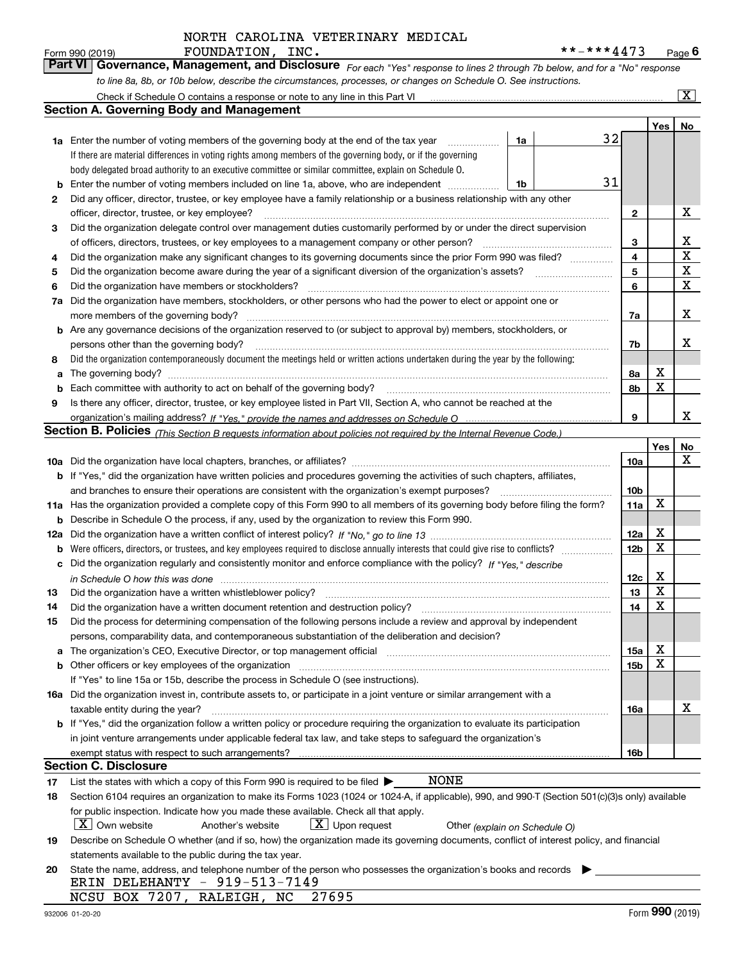| Form 990 (2019) | FOUNDATION, INC. | **_***4473                                                                                                                  | $P$ age $6$ |
|-----------------|------------------|-----------------------------------------------------------------------------------------------------------------------------|-------------|
|                 |                  | Part VI Governance, Management, and Disclosure For each "Yes" response to lines 2 through 7b below, and for a "No" response |             |
|                 |                  | to line 8a, 8b, or 10b below, describe the circumstances, processes, or changes on Schedule O. See instructions.            |             |

|     | Check if Schedule O contains a response or note to any line in this Part VI                                                                                           |    |    |                 |     | $\overline{\mathbf{x}}$ |  |  |  |
|-----|-----------------------------------------------------------------------------------------------------------------------------------------------------------------------|----|----|-----------------|-----|-------------------------|--|--|--|
|     | <b>Section A. Governing Body and Management</b>                                                                                                                       |    |    |                 |     |                         |  |  |  |
|     |                                                                                                                                                                       |    |    |                 | Yes | No                      |  |  |  |
|     | <b>1a</b> Enter the number of voting members of the governing body at the end of the tax year                                                                         | 1a | 32 |                 |     |                         |  |  |  |
|     | If there are material differences in voting rights among members of the governing body, or if the governing                                                           |    |    |                 |     |                         |  |  |  |
|     | body delegated broad authority to an executive committee or similar committee, explain on Schedule O.                                                                 |    |    |                 |     |                         |  |  |  |
| b   | Enter the number of voting members included on line 1a, above, who are independent                                                                                    | 1b | 31 |                 |     |                         |  |  |  |
| 2   | Did any officer, director, trustee, or key employee have a family relationship or a business relationship with any other                                              |    |    |                 |     |                         |  |  |  |
|     | officer, director, trustee, or key employee?                                                                                                                          |    |    |                 |     |                         |  |  |  |
| 3   | Did the organization delegate control over management duties customarily performed by or under the direct supervision                                                 |    |    |                 |     |                         |  |  |  |
|     | of officers, directors, trustees, or key employees to a management company or other person?                                                                           |    |    | 3               |     | х                       |  |  |  |
| 4   | Did the organization make any significant changes to its governing documents since the prior Form 990 was filed?                                                      |    |    |                 |     |                         |  |  |  |
| 5   |                                                                                                                                                                       |    |    | 5               |     | X                       |  |  |  |
| 6   | Did the organization have members or stockholders?                                                                                                                    |    |    | 6               |     | X                       |  |  |  |
| 7a  | Did the organization have members, stockholders, or other persons who had the power to elect or appoint one or                                                        |    |    |                 |     |                         |  |  |  |
|     | more members of the governing body?                                                                                                                                   |    |    | 7a              |     | x                       |  |  |  |
|     | <b>b</b> Are any governance decisions of the organization reserved to (or subject to approval by) members, stockholders, or                                           |    |    |                 |     |                         |  |  |  |
|     | persons other than the governing body?                                                                                                                                |    |    | 7b              |     | х                       |  |  |  |
| 8   | Did the organization contemporaneously document the meetings held or written actions undertaken during the year by the following:                                     |    |    |                 |     |                         |  |  |  |
| a   | The governing body?                                                                                                                                                   |    |    | 8a              | х   |                         |  |  |  |
| b   |                                                                                                                                                                       |    |    | 8b              | X   |                         |  |  |  |
| 9   | Is there any officer, director, trustee, or key employee listed in Part VII, Section A, who cannot be reached at the                                                  |    |    |                 |     |                         |  |  |  |
|     |                                                                                                                                                                       |    |    | 9               |     | x                       |  |  |  |
|     | <b>Section B. Policies</b> (This Section B requests information about policies not required by the Internal Revenue Code.)                                            |    |    |                 |     |                         |  |  |  |
|     |                                                                                                                                                                       |    |    |                 | Yes | No                      |  |  |  |
|     |                                                                                                                                                                       |    |    | 10a             |     | x                       |  |  |  |
|     | <b>b</b> If "Yes," did the organization have written policies and procedures governing the activities of such chapters, affiliates,                                   |    |    |                 |     |                         |  |  |  |
|     | and branches to ensure their operations are consistent with the organization's exempt purposes?                                                                       |    |    | 10 <sub>b</sub> |     |                         |  |  |  |
|     | 11a Has the organization provided a complete copy of this Form 990 to all members of its governing body before filing the form?                                       |    |    | 11a             | X   |                         |  |  |  |
| b   | Describe in Schedule O the process, if any, used by the organization to review this Form 990.                                                                         |    |    |                 |     |                         |  |  |  |
| 12a |                                                                                                                                                                       |    |    | 12a             | X   |                         |  |  |  |
| b   |                                                                                                                                                                       |    |    | 12 <sub>b</sub> | X   |                         |  |  |  |
| с   | Did the organization regularly and consistently monitor and enforce compliance with the policy? If "Yes." describe                                                    |    |    |                 |     |                         |  |  |  |
|     | in Schedule O how this was done measured and contained a state of the state of the state of the state of the s                                                        |    |    | 12c             | х   |                         |  |  |  |
| 13  | Did the organization have a written whistleblower policy?                                                                                                             |    |    | 13              | X   |                         |  |  |  |
| 14  | Did the organization have a written document retention and destruction policy?                                                                                        |    |    | 14              | X   |                         |  |  |  |
| 15  | Did the process for determining compensation of the following persons include a review and approval by independent                                                    |    |    |                 |     |                         |  |  |  |
|     | persons, comparability data, and contemporaneous substantiation of the deliberation and decision?                                                                     |    |    |                 |     |                         |  |  |  |
| a   | The organization's CEO, Executive Director, or top management official manufactured content of the organization's CEO, Executive Director, or top management official |    |    | 15a             | Χ   |                         |  |  |  |
|     |                                                                                                                                                                       |    |    | 15b             | x   |                         |  |  |  |
|     | If "Yes" to line 15a or 15b, describe the process in Schedule O (see instructions).                                                                                   |    |    |                 |     |                         |  |  |  |
|     | 16a Did the organization invest in, contribute assets to, or participate in a joint venture or similar arrangement with a                                             |    |    |                 |     |                         |  |  |  |
|     | taxable entity during the year?                                                                                                                                       |    |    | 16a             |     | X                       |  |  |  |
|     | b If "Yes," did the organization follow a written policy or procedure requiring the organization to evaluate its participation                                        |    |    |                 |     |                         |  |  |  |
|     | in joint venture arrangements under applicable federal tax law, and take steps to safeguard the organization's                                                        |    |    |                 |     |                         |  |  |  |
|     |                                                                                                                                                                       |    |    | 16b             |     |                         |  |  |  |
|     | Section C. Disclosure                                                                                                                                                 |    |    |                 |     |                         |  |  |  |
| 17  | <b>NONE</b><br>List the states with which a copy of this Form 990 is required to be filed $\blacktriangleright$                                                       |    |    |                 |     |                         |  |  |  |
| 18  | Section 6104 requires an organization to make its Forms 1023 (1024 or 1024-A, if applicable), 990, and 990-T (Section 501(c)(3)s only) available                      |    |    |                 |     |                         |  |  |  |
|     | for public inspection. Indicate how you made these available. Check all that apply.                                                                                   |    |    |                 |     |                         |  |  |  |
|     | $X$ Own website<br>$X$ Upon request<br>Another's website<br>Other (explain on Schedule O)                                                                             |    |    |                 |     |                         |  |  |  |
| 19  | Describe on Schedule O whether (and if so, how) the organization made its governing documents, conflict of interest policy, and financial                             |    |    |                 |     |                         |  |  |  |
|     | statements available to the public during the tax year.                                                                                                               |    |    |                 |     |                         |  |  |  |
| 20  | State the name, address, and telephone number of the person who possesses the organization's books and records                                                        |    |    |                 |     |                         |  |  |  |
|     | ERIN DELEHANTY - 919-513-7149                                                                                                                                         |    |    |                 |     |                         |  |  |  |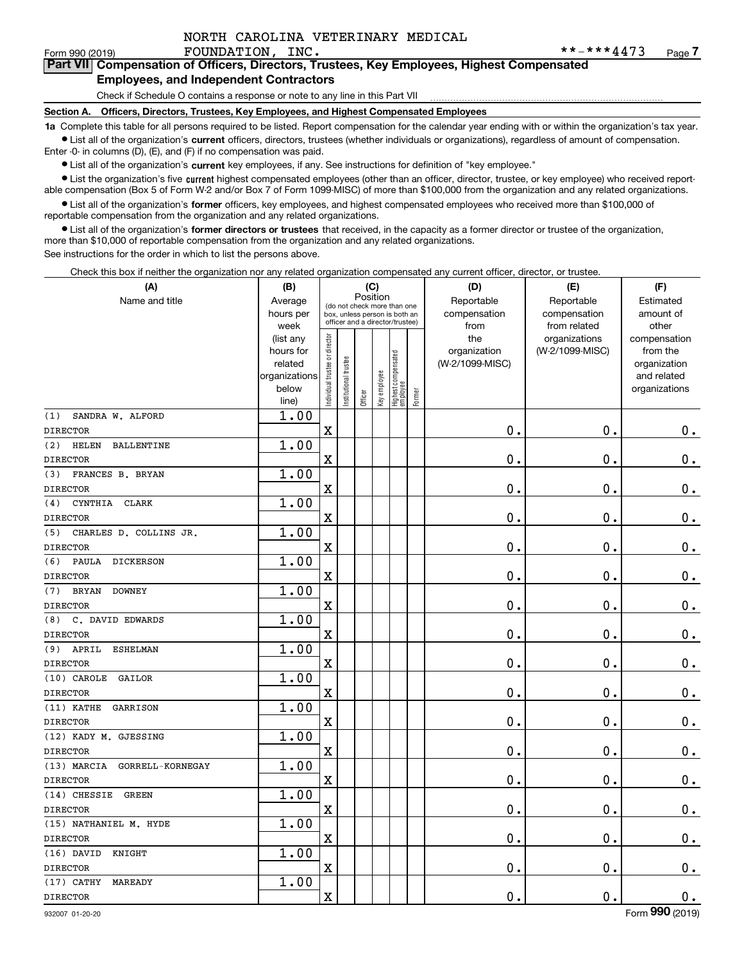#### Form 990 (2019) **FOUNDATION, INC.** \* \* - \* \* \* **4 4** 7 3 Page **7Part VII Compensation of Officers, Directors, Trustees, Key Employees, Highest Compensated Employees, and Independent Contractors**

#### Check if Schedule O contains a response or note to any line in this Part VII

**Section A. Officers, Directors, Trustees, Key Employees, and Highest Compensated Employees**

**1a**  Complete this table for all persons required to be listed. Report compensation for the calendar year ending with or within the organization's tax year. **•** List all of the organization's current officers, directors, trustees (whether individuals or organizations), regardless of amount of compensation.

Enter -0- in columns (D), (E), and (F) if no compensation was paid.

● List all of the organization's **current** key employees, if any. See instructions for definition of "key employee."<br>● List the organization's five current bighest compensated employees (other than an officer, director, t

• List the organization's five current highest compensated employees (other than an officer, director, trustee, or key employee) who received report-■ List the organization's five current highest compensated employees (other than an officer, director, trustee, or key employee) who received report-<br>able compensation (Box 5 of Form W-2 and/or Box 7 of Form 1099-MISC) of

**•** List all of the organization's former officers, key employees, and highest compensated employees who received more than \$100,000 of reportable compensation from the organization and any related organizations.

**former directors or trustees**  ¥ List all of the organization's that received, in the capacity as a former director or trustee of the organization, more than \$10,000 of reportable compensation from the organization and any related organizations.

See instructions for the order in which to list the persons above.

Check this box if neither the organization nor any related organization compensated any current officer, director, or trustee.

| (A)                                      | (B)                    |                                |                                                                  | (C)      |              |                                  |        | (D)             | (E)                              | (F)                      |
|------------------------------------------|------------------------|--------------------------------|------------------------------------------------------------------|----------|--------------|----------------------------------|--------|-----------------|----------------------------------|--------------------------|
| Name and title                           | Average                |                                | (do not check more than one                                      | Position |              |                                  |        | Reportable      | Reportable                       | Estimated                |
|                                          | hours per              |                                | box, unless person is both an<br>officer and a director/trustee) |          |              |                                  |        | compensation    | compensation                     | amount of                |
|                                          | week                   |                                |                                                                  |          |              |                                  |        | from<br>the     | from related                     | other                    |
|                                          | (list any<br>hours for |                                |                                                                  |          |              |                                  |        | organization    | organizations<br>(W-2/1099-MISC) | compensation<br>from the |
|                                          | related                |                                |                                                                  |          |              |                                  |        | (W-2/1099-MISC) |                                  | organization             |
|                                          | organizations          |                                |                                                                  |          |              |                                  |        |                 |                                  | and related              |
|                                          | below                  | Individual trustee or director | Institutional trustee                                            |          | Key employee |                                  |        |                 |                                  | organizations            |
|                                          | line)                  |                                |                                                                  | Officer  |              | Highest compensated<br> employee | Former |                 |                                  |                          |
| (1)<br>SANDRA W. ALFORD                  | 1.00                   |                                |                                                                  |          |              |                                  |        |                 |                                  |                          |
| <b>DIRECTOR</b>                          |                        | $\rm X$                        |                                                                  |          |              |                                  |        | 0.              | 0.                               | $0_{.}$                  |
| (2)<br><b>HELEN</b><br><b>BALLENTINE</b> | 1.00                   |                                |                                                                  |          |              |                                  |        |                 |                                  |                          |
| <b>DIRECTOR</b>                          |                        | $\overline{\textbf{X}}$        |                                                                  |          |              |                                  |        | 0.              | $\mathbf 0$ .                    | $\mathbf 0$ .            |
| FRANCES B. BRYAN<br>(3)                  | 1.00                   |                                |                                                                  |          |              |                                  |        |                 |                                  |                          |
| <b>DIRECTOR</b>                          |                        | $\rm X$                        |                                                                  |          |              |                                  |        | 0.              | $\mathbf 0$ .                    | $\mathbf 0$ .            |
| CYNTHIA<br><b>CLARK</b><br>(4)           | 1.00                   |                                |                                                                  |          |              |                                  |        |                 |                                  |                          |
| <b>DIRECTOR</b>                          |                        | $\overline{\textbf{X}}$        |                                                                  |          |              |                                  |        | 0.              | 0.                               | $\mathbf 0$ .            |
| CHARLES D. COLLINS JR.<br>(5)            | 1.00                   |                                |                                                                  |          |              |                                  |        |                 |                                  |                          |
| <b>DIRECTOR</b>                          |                        | $\rm X$                        |                                                                  |          |              |                                  |        | 0.              | $\mathbf 0$ .                    | $\mathbf 0$ .            |
| (6)<br>PAULA DICKERSON                   | 1.00                   |                                |                                                                  |          |              |                                  |        |                 |                                  |                          |
| <b>DIRECTOR</b>                          |                        | $\overline{\textbf{X}}$        |                                                                  |          |              |                                  |        | 0.              | $\mathbf 0$ .                    | $\mathbf 0$ .            |
| <b>DOWNEY</b><br>(7)<br><b>BRYAN</b>     | 1.00                   |                                |                                                                  |          |              |                                  |        |                 |                                  |                          |
| <b>DIRECTOR</b>                          |                        | $\mathbf x$                    |                                                                  |          |              |                                  |        | 0.              | $\mathbf 0$ .                    | $0_{.}$                  |
| C. DAVID EDWARDS<br>(8)                  | 1.00                   |                                |                                                                  |          |              |                                  |        |                 |                                  |                          |
| <b>DIRECTOR</b>                          |                        | X                              |                                                                  |          |              |                                  |        | 0.              | $\mathbf 0$ .                    | $\mathbf 0$ .            |
| $(9)$ APRIL<br><b>ESHELMAN</b>           | 1.00                   |                                |                                                                  |          |              |                                  |        |                 |                                  |                          |
| <b>DIRECTOR</b>                          |                        | $\mathbf x$                    |                                                                  |          |              |                                  |        | 0.              | $\mathbf 0$ .                    | $0_{.}$                  |
| (10) CAROLE<br>GAILOR                    | 1.00                   |                                |                                                                  |          |              |                                  |        |                 |                                  |                          |
| <b>DIRECTOR</b>                          |                        | X                              |                                                                  |          |              |                                  |        | 0.              | $\mathbf 0$ .                    | $\mathbf 0$ .            |
| $(11)$ KATHE<br>GARRISON                 | 1.00                   |                                |                                                                  |          |              |                                  |        |                 |                                  |                          |
| <b>DIRECTOR</b>                          |                        | $\mathbf X$                    |                                                                  |          |              |                                  |        | $\mathbf 0$ .   | $\mathbf 0$ .                    | $0_{.}$                  |
| (12) KADY M. GJESSING                    | 1.00                   |                                |                                                                  |          |              |                                  |        |                 |                                  |                          |
| <b>DIRECTOR</b>                          |                        | X                              |                                                                  |          |              |                                  |        | 0.              | 0.                               | $\mathbf 0$ .            |
| (13) MARCIA<br>GORRELL-KORNEGAY          | 1.00                   |                                |                                                                  |          |              |                                  |        |                 |                                  |                          |
| <b>DIRECTOR</b>                          |                        | $\mathbf X$                    |                                                                  |          |              |                                  |        | 0.              | 0.                               | $\mathbf 0$ .            |
| (14) CHESSIE<br><b>GREEN</b>             | 1.00                   |                                |                                                                  |          |              |                                  |        |                 |                                  |                          |
| <b>DIRECTOR</b>                          |                        | X                              |                                                                  |          |              |                                  |        | 0.              | 0.                               | $\mathbf 0$ .            |
| (15) NATHANIEL M. HYDE                   | 1.00                   |                                |                                                                  |          |              |                                  |        |                 |                                  |                          |
| <b>DIRECTOR</b>                          |                        | $\rm X$                        |                                                                  |          |              |                                  |        | $\mathbf 0$ .   | $\mathbf 0$ .                    | $\mathbf 0$ .            |
| $(16)$ DAVID<br>KNIGHT                   | 1.00                   |                                |                                                                  |          |              |                                  |        |                 |                                  |                          |
| <b>DIRECTOR</b>                          |                        | X                              |                                                                  |          |              |                                  |        | 0.              | $\mathbf 0$ .                    | $\mathbf 0$ .            |
| $(17)$ CATHY<br>MAREADY                  | 1.00                   |                                |                                                                  |          |              |                                  |        |                 |                                  |                          |
| <b>DIRECTOR</b>                          |                        | $\rm X$                        |                                                                  |          |              |                                  |        | $\mathbf 0$ .   | $\mathbf 0$ .                    | $\mathbf 0$ .            |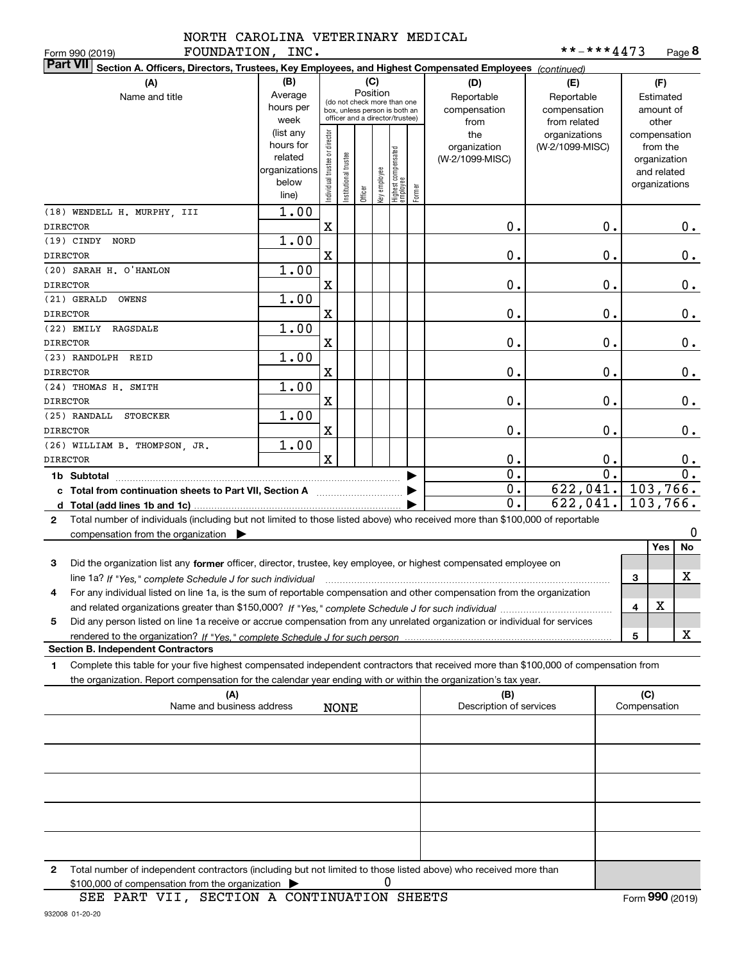| FOUNDATION, INC.<br>Form 990 (2019)                                                                                                                                                                                                                         |                                                                      |                                |                        |         |                 |                                                                                                 |        |                                           | **-***4473                                        |                  |              | Page $8$                                                                 |
|-------------------------------------------------------------------------------------------------------------------------------------------------------------------------------------------------------------------------------------------------------------|----------------------------------------------------------------------|--------------------------------|------------------------|---------|-----------------|-------------------------------------------------------------------------------------------------|--------|-------------------------------------------|---------------------------------------------------|------------------|--------------|--------------------------------------------------------------------------|
| <b>Part VII</b><br>Section A. Officers, Directors, Trustees, Key Employees, and Highest Compensated Employees (continued)                                                                                                                                   |                                                                      |                                |                        |         |                 |                                                                                                 |        |                                           |                                                   |                  |              |                                                                          |
| (A)<br>Name and title                                                                                                                                                                                                                                       | (B)<br>Average<br>hours per<br>week                                  |                                |                        |         | (C)<br>Position | (do not check more than one<br>box, unless person is both an<br>officer and a director/trustee) |        | (D)<br>Reportable<br>compensation<br>from | (E)<br>Reportable<br>compensation<br>from related |                  |              | (F)<br>Estimated<br>amount of<br>other                                   |
|                                                                                                                                                                                                                                                             | (list any<br>hours for<br>related<br>organizations<br>below<br>line) | Individual trustee or director | In stitutional trustee | Officer | Key employee    | Highest compensated<br>employee                                                                 | Former | the<br>organization<br>(W-2/1099-MISC)    | organizations<br>(W-2/1099-MISC)                  |                  |              | compensation<br>from the<br>organization<br>and related<br>organizations |
| (18) WENDELL H. MURPHY, III<br><b>DIRECTOR</b>                                                                                                                                                                                                              | 1.00                                                                 | X                              |                        |         |                 |                                                                                                 |        | 0.                                        |                                                   | 0.               |              | 0.                                                                       |
| (19) CINDY NORD                                                                                                                                                                                                                                             | 1.00                                                                 |                                |                        |         |                 |                                                                                                 |        |                                           |                                                   |                  |              |                                                                          |
| <b>DIRECTOR</b>                                                                                                                                                                                                                                             |                                                                      | X                              |                        |         |                 |                                                                                                 |        | 0.                                        |                                                   | 0.               |              | 0.                                                                       |
| (20) SARAH H. O'HANLON<br><b>DIRECTOR</b>                                                                                                                                                                                                                   | 1.00                                                                 | X                              |                        |         |                 |                                                                                                 |        | 0.                                        |                                                   | 0.               |              | 0.                                                                       |
| (21) GERALD<br><b>OWENS</b><br><b>DIRECTOR</b>                                                                                                                                                                                                              | 1.00                                                                 | X                              |                        |         |                 |                                                                                                 |        | 0.                                        |                                                   | 0.               |              | 0.                                                                       |
| $(22)$ EMILY<br>RAGSDALE<br><b>DIRECTOR</b>                                                                                                                                                                                                                 | 1.00                                                                 | X                              |                        |         |                 |                                                                                                 |        | 0.                                        |                                                   | 0.               |              | 0.                                                                       |
| (23) RANDOLPH REID<br><b>DIRECTOR</b>                                                                                                                                                                                                                       | 1.00                                                                 | X                              |                        |         |                 |                                                                                                 |        | 0.                                        |                                                   | 0.               |              | 0.                                                                       |
| (24) THOMAS H. SMITH<br><b>DIRECTOR</b>                                                                                                                                                                                                                     | 1.00                                                                 | X                              |                        |         |                 |                                                                                                 |        | 0.                                        |                                                   | 0.               |              | 0.                                                                       |
| (25) RANDALL<br><b>STOECKER</b>                                                                                                                                                                                                                             | 1.00                                                                 |                                |                        |         |                 |                                                                                                 |        |                                           |                                                   |                  |              |                                                                          |
| <b>DIRECTOR</b>                                                                                                                                                                                                                                             |                                                                      | X                              |                        |         |                 |                                                                                                 |        | 0.                                        |                                                   | 0.               |              | $0$ .                                                                    |
| (26) WILLIAM B. THOMPSON, JR.<br><b>DIRECTOR</b>                                                                                                                                                                                                            | 1.00                                                                 | $\mathbf X$                    |                        |         |                 |                                                                                                 |        | 0.                                        |                                                   | 0.               |              |                                                                          |
|                                                                                                                                                                                                                                                             |                                                                      |                                |                        |         |                 |                                                                                                 |        | $\overline{0}$ .                          |                                                   | $\overline{0}$ . |              | 0.<br>0.                                                                 |
| 1b Subtotal<br>c Total from continuation sheets to Part VII, Section A                                                                                                                                                                                      |                                                                      |                                |                        |         |                 |                                                                                                 |        | 0.                                        | 622,041.                                          |                  |              | 103,766.                                                                 |
| d Total (add lines 1b and 1c)<br>Total number of individuals (including but not limited to those listed above) who received more than \$100,000 of reportable<br>$\mathbf{2}$                                                                               |                                                                      |                                |                        |         |                 |                                                                                                 |        | $\mathbf 0$ .                             | 622,041.                                          |                  |              | $\overline{103}$ , 766.                                                  |
| compensation from the organization                                                                                                                                                                                                                          |                                                                      |                                |                        |         |                 |                                                                                                 |        |                                           |                                                   |                  |              | 0                                                                        |
| 3                                                                                                                                                                                                                                                           |                                                                      |                                |                        |         |                 |                                                                                                 |        |                                           |                                                   |                  |              | No<br>Yes                                                                |
| Did the organization list any former officer, director, trustee, key employee, or highest compensated employee on                                                                                                                                           |                                                                      |                                |                        |         |                 |                                                                                                 |        |                                           |                                                   |                  | 3            | x                                                                        |
| For any individual listed on line 1a, is the sum of reportable compensation and other compensation from the organization<br>4                                                                                                                               |                                                                      |                                |                        |         |                 |                                                                                                 |        |                                           |                                                   |                  |              |                                                                          |
|                                                                                                                                                                                                                                                             |                                                                      |                                |                        |         |                 |                                                                                                 |        |                                           |                                                   |                  | 4            | х                                                                        |
| Did any person listed on line 1a receive or accrue compensation from any unrelated organization or individual for services<br>5                                                                                                                             |                                                                      |                                |                        |         |                 |                                                                                                 |        |                                           |                                                   |                  |              |                                                                          |
| <b>Section B. Independent Contractors</b>                                                                                                                                                                                                                   |                                                                      |                                |                        |         |                 |                                                                                                 |        |                                           |                                                   |                  | 5            | X                                                                        |
| Complete this table for your five highest compensated independent contractors that received more than \$100,000 of compensation from<br>1<br>the organization. Report compensation for the calendar year ending with or within the organization's tax year. |                                                                      |                                |                        |         |                 |                                                                                                 |        |                                           |                                                   |                  |              |                                                                          |
| (A)                                                                                                                                                                                                                                                         |                                                                      |                                |                        |         |                 |                                                                                                 |        | (B)                                       |                                                   |                  | (C)          |                                                                          |
| Name and business address                                                                                                                                                                                                                                   |                                                                      |                                | <b>NONE</b>            |         |                 |                                                                                                 |        | Description of services                   |                                                   |                  | Compensation |                                                                          |
|                                                                                                                                                                                                                                                             |                                                                      |                                |                        |         |                 |                                                                                                 |        |                                           |                                                   |                  |              |                                                                          |
|                                                                                                                                                                                                                                                             |                                                                      |                                |                        |         |                 |                                                                                                 |        |                                           |                                                   |                  |              |                                                                          |
|                                                                                                                                                                                                                                                             |                                                                      |                                |                        |         |                 |                                                                                                 |        |                                           |                                                   |                  |              |                                                                          |
|                                                                                                                                                                                                                                                             |                                                                      |                                |                        |         |                 |                                                                                                 |        |                                           |                                                   |                  |              |                                                                          |
|                                                                                                                                                                                                                                                             |                                                                      |                                |                        |         |                 |                                                                                                 |        |                                           |                                                   |                  |              |                                                                          |

**2**Total number of independent contractors (including but not limited to those listed above) who received more than S100,000 of compensation from the organization  $\rightarrow$  0<br>SEE PART VII SECTION A CONTINUATION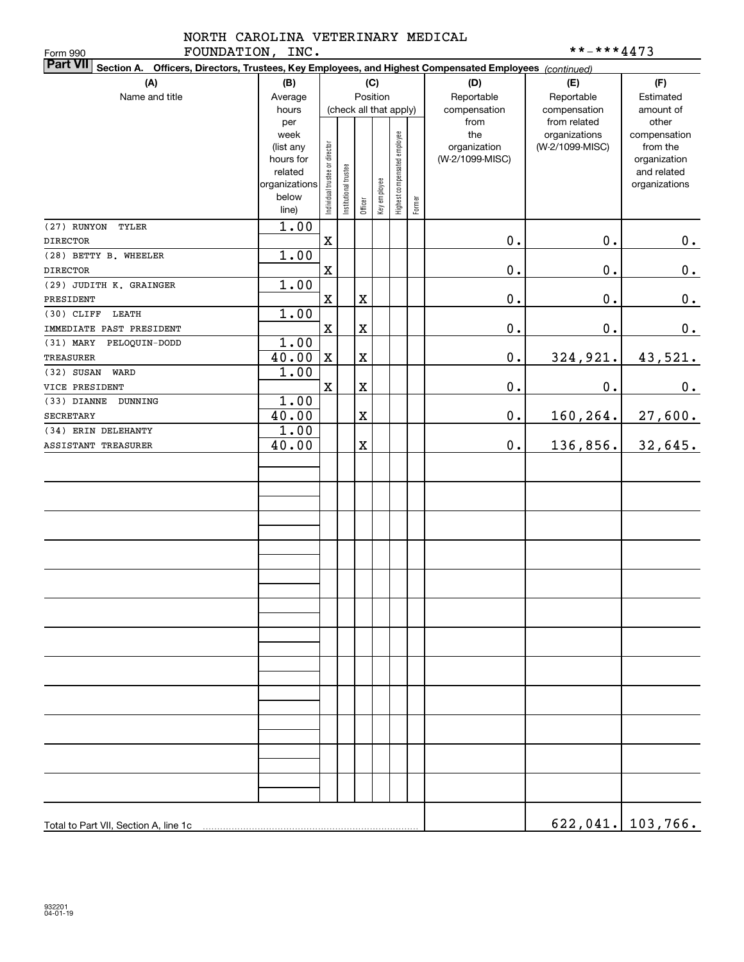|                  | NORTH CAROLINA VETERINARY MEDICAL |            |
|------------------|-----------------------------------|------------|
| FOUNDATION, INC. |                                   | **-***4473 |

| FOUNDATION, INC.<br>Form 990                                                                                              |                |                                |                       |                         |              |                              |        |                 | **-***4473                    |                          |
|---------------------------------------------------------------------------------------------------------------------------|----------------|--------------------------------|-----------------------|-------------------------|--------------|------------------------------|--------|-----------------|-------------------------------|--------------------------|
| <b>Part VII</b><br>Section A. Officers, Directors, Trustees, Key Employees, and Highest Compensated Employees (continued) |                |                                |                       |                         |              |                              |        |                 |                               |                          |
| (A)                                                                                                                       | (B)            |                                |                       |                         | (C)          |                              |        | (D)             | (E)                           | (F)                      |
| Name and title                                                                                                            | Average        |                                |                       |                         | Position     |                              |        | Reportable      | Reportable                    | Estimated                |
|                                                                                                                           | hours          |                                |                       |                         |              | (check all that apply)       |        | compensation    | compensation                  | amount of                |
|                                                                                                                           | per<br>week    |                                |                       |                         |              |                              |        | from<br>the     | from related<br>organizations | other                    |
|                                                                                                                           | (list any      |                                |                       |                         |              |                              |        | organization    | (W-2/1099-MISC)               | compensation<br>from the |
|                                                                                                                           | hours for      |                                |                       |                         |              |                              |        | (W-2/1099-MISC) |                               | organization             |
|                                                                                                                           | related        |                                |                       |                         |              |                              |        |                 |                               | and related              |
|                                                                                                                           | organizations  |                                |                       |                         |              |                              |        |                 |                               | organizations            |
|                                                                                                                           | below<br>line) | Individual trustee or director | Institutional trustee | Officer                 | Key employee | Highest compensated employee | Former |                 |                               |                          |
| (27) RUNYON<br>TYLER                                                                                                      | 1.00           |                                |                       |                         |              |                              |        |                 |                               |                          |
| <b>DIRECTOR</b>                                                                                                           |                | $\mathbf X$                    |                       |                         |              |                              |        | 0.              | 0.                            | 0.                       |
| (28) BETTY B. WHEELER                                                                                                     | 1.00           |                                |                       |                         |              |                              |        |                 |                               |                          |
| <b>DIRECTOR</b>                                                                                                           |                | $\mathbf X$                    |                       |                         |              |                              |        | 0.              | 0.                            | $\pmb{0}$ .              |
| (29) JUDITH K. GRAINGER                                                                                                   | 1.00           |                                |                       |                         |              |                              |        |                 |                               |                          |
| PRESIDENT                                                                                                                 |                | $\mathbf X$                    |                       | $\mathbf X$             |              |                              |        | 0.              | 0.                            | $\pmb{0}$ .              |
| $(30)$ CLIFF<br>LEATH                                                                                                     | 1.00           |                                |                       |                         |              |                              |        |                 |                               |                          |
| IMMEDIATE PAST PRESIDENT                                                                                                  |                | $\mathbf X$                    |                       | $\rm X$                 |              |                              |        | $0$ .           | 0.                            | $0$ .                    |
| (31) MARY PELOQUIN-DODD                                                                                                   | 1.00           |                                |                       |                         |              |                              |        |                 |                               |                          |
| <b>TREASURER</b>                                                                                                          | 40.00          | $\mathbf X$                    |                       | $\rm X$                 |              |                              |        | $\mathbf 0$ .   | 324,921.                      | 43,521.                  |
| $(32)$ SUSAN<br>WARD                                                                                                      | 1.00           |                                |                       |                         |              |                              |        |                 |                               |                          |
| VICE PRESIDENT                                                                                                            |                | $\mathbf{x}$                   |                       | $\overline{\textbf{X}}$ |              |                              |        | 0.              | 0.                            | $0$ .                    |
| (33) DIANNE<br>DUNNING                                                                                                    | 1.00           |                                |                       |                         |              |                              |        |                 |                               |                          |
| <b>SECRETARY</b>                                                                                                          | 40.00          |                                |                       | X                       |              |                              |        | $\mathbf 0$ .   | 160,264.                      | 27,600.                  |
| (34) ERIN DELEHANTY                                                                                                       | 1.00           |                                |                       |                         |              |                              |        |                 |                               |                          |
| ASSISTANT TREASURER                                                                                                       | 40.00          |                                |                       | X                       |              |                              |        | $\mathbf 0$ .   | 136,856.                      | 32,645.                  |
|                                                                                                                           |                |                                |                       |                         |              |                              |        |                 |                               |                          |
|                                                                                                                           |                |                                |                       |                         |              |                              |        |                 |                               |                          |
|                                                                                                                           |                |                                |                       |                         |              |                              |        |                 |                               |                          |
|                                                                                                                           |                |                                |                       |                         |              |                              |        |                 |                               |                          |
|                                                                                                                           |                |                                |                       |                         |              |                              |        |                 |                               |                          |
|                                                                                                                           |                |                                |                       |                         |              |                              |        |                 |                               |                          |
|                                                                                                                           |                |                                |                       |                         |              |                              |        |                 |                               |                          |
|                                                                                                                           |                |                                |                       |                         |              |                              |        |                 |                               |                          |
|                                                                                                                           |                |                                |                       |                         |              |                              |        |                 |                               |                          |
|                                                                                                                           |                |                                |                       |                         |              |                              |        |                 |                               |                          |
|                                                                                                                           |                |                                |                       |                         |              |                              |        |                 |                               |                          |
|                                                                                                                           |                |                                |                       |                         |              |                              |        |                 |                               |                          |
|                                                                                                                           |                |                                |                       |                         |              |                              |        |                 |                               |                          |
|                                                                                                                           |                |                                |                       |                         |              |                              |        |                 |                               |                          |
|                                                                                                                           |                |                                |                       |                         |              |                              |        |                 |                               |                          |
|                                                                                                                           |                |                                |                       |                         |              |                              |        |                 |                               |                          |
|                                                                                                                           |                |                                |                       |                         |              |                              |        |                 |                               |                          |
|                                                                                                                           |                |                                |                       |                         |              |                              |        |                 |                               |                          |
|                                                                                                                           |                |                                |                       |                         |              |                              |        |                 |                               |                          |
|                                                                                                                           |                |                                |                       |                         |              |                              |        |                 |                               |                          |
|                                                                                                                           |                |                                |                       |                         |              |                              |        |                 |                               |                          |
|                                                                                                                           |                |                                |                       |                         |              |                              |        |                 |                               |                          |
|                                                                                                                           |                |                                |                       |                         |              |                              |        |                 |                               |                          |
|                                                                                                                           |                |                                |                       |                         |              |                              |        |                 |                               |                          |
|                                                                                                                           |                |                                |                       |                         |              |                              |        |                 |                               | $622,041.$ 103,766.      |
|                                                                                                                           |                |                                |                       |                         |              |                              |        |                 |                               |                          |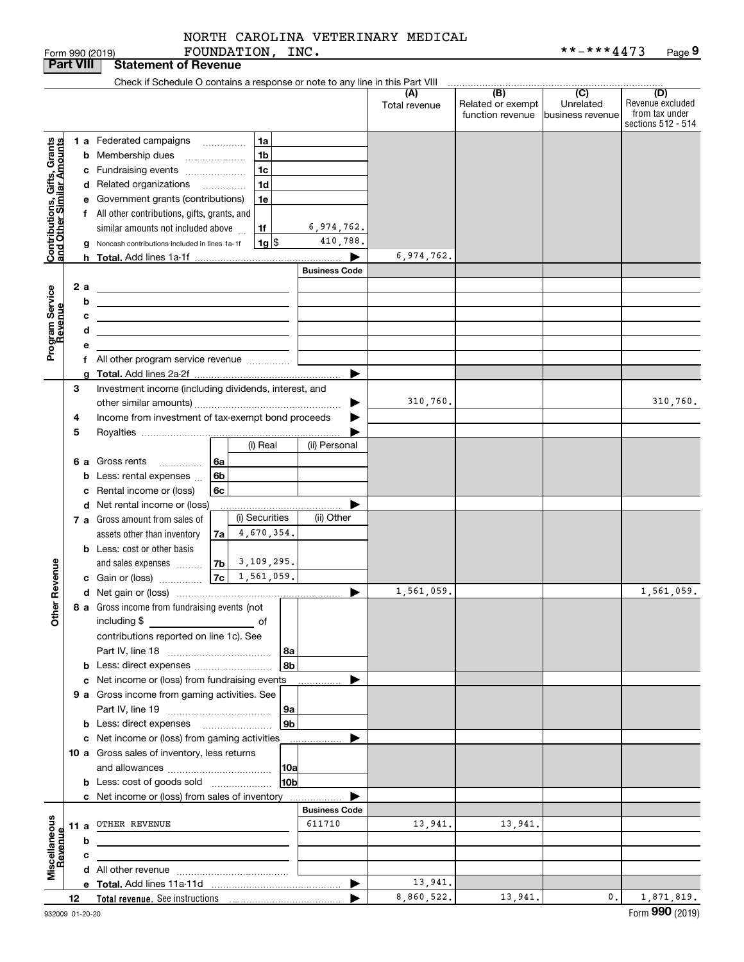FOUNDATION, INC.

| <b>Part VIII</b>                                          |    |    | <b>Statement of Revenue</b>                                                               |                      |                      |                                              |                                      |                                                                 |
|-----------------------------------------------------------|----|----|-------------------------------------------------------------------------------------------|----------------------|----------------------|----------------------------------------------|--------------------------------------|-----------------------------------------------------------------|
|                                                           |    |    | Check if Schedule O contains a response or note to any line in this Part VIII             |                      |                      |                                              |                                      |                                                                 |
|                                                           |    |    |                                                                                           |                      | (A)<br>Total revenue | (B)<br>Related or exempt<br>function revenue | (C)<br>Unrelated<br>business revenue | (D)<br>Revenue excluded<br>from tax under<br>sections 512 - 514 |
|                                                           |    |    | 1 a Federated campaigns<br>1a                                                             |                      |                      |                                              |                                      |                                                                 |
| Contributions, Gifts, Grants<br>and Other Similar Amounts |    |    | <b>b</b> Membership dues<br>1b                                                            |                      |                      |                                              |                                      |                                                                 |
|                                                           |    |    | c Fundraising events<br>1c                                                                |                      |                      |                                              |                                      |                                                                 |
|                                                           |    |    | d Related organizations<br>1d                                                             |                      |                      |                                              |                                      |                                                                 |
|                                                           |    |    | e Government grants (contributions)<br>1e                                                 |                      |                      |                                              |                                      |                                                                 |
|                                                           |    |    | f All other contributions, gifts, grants, and                                             |                      |                      |                                              |                                      |                                                                 |
|                                                           |    |    | similar amounts not included above<br>1f                                                  | 6,974,762.           |                      |                                              |                                      |                                                                 |
|                                                           |    |    | $1g$ $\frac{1}{3}$<br>Noncash contributions included in lines 1a-1f                       | 410,788.             |                      |                                              |                                      |                                                                 |
|                                                           |    |    |                                                                                           |                      | 6,974,762.           |                                              |                                      |                                                                 |
|                                                           |    |    |                                                                                           | <b>Business Code</b> |                      |                                              |                                      |                                                                 |
|                                                           |    | 2a | <u> 1989 - Johann Stein, mars an de Frankrik (f. 1989)</u>                                |                      |                      |                                              |                                      |                                                                 |
|                                                           |    | b  | the control of the control of the control of the control of the control of the control of |                      |                      |                                              |                                      |                                                                 |
|                                                           |    | с  | <u> 1989 - Johann Barn, mars an t-Amerikaansk politiker (</u>                             |                      |                      |                                              |                                      |                                                                 |
|                                                           |    | d  | <u> 1989 - Johann Barn, amerikansk politiker (</u>                                        |                      |                      |                                              |                                      |                                                                 |
| Program Service<br>Revenue                                |    | е  |                                                                                           |                      |                      |                                              |                                      |                                                                 |
|                                                           |    |    | f All other program service revenue                                                       |                      |                      |                                              |                                      |                                                                 |
|                                                           |    |    |                                                                                           | ▶                    |                      |                                              |                                      |                                                                 |
|                                                           | 3  |    | Investment income (including dividends, interest, and                                     |                      |                      |                                              |                                      |                                                                 |
|                                                           |    |    |                                                                                           |                      | 310,760.             |                                              |                                      | 310,760.                                                        |
|                                                           | 4  |    | Income from investment of tax-exempt bond proceeds                                        |                      |                      |                                              |                                      |                                                                 |
|                                                           | 5  |    | (i) Real                                                                                  | (ii) Personal        |                      |                                              |                                      |                                                                 |
|                                                           |    |    |                                                                                           |                      |                      |                                              |                                      |                                                                 |
|                                                           |    |    | 6 a Gross rents<br>l 6a<br>.                                                              |                      |                      |                                              |                                      |                                                                 |
|                                                           |    |    | 6b<br><b>b</b> Less: rental expenses $\ldots$<br>6c                                       |                      |                      |                                              |                                      |                                                                 |
|                                                           |    |    | c Rental income or (loss)<br>d Net rental income or (loss)                                |                      |                      |                                              |                                      |                                                                 |
|                                                           |    |    | (i) Securities<br>7 a Gross amount from sales of                                          | (ii) Other           |                      |                                              |                                      |                                                                 |
|                                                           |    |    | 4,670,354.<br>assets other than inventory<br>7a                                           |                      |                      |                                              |                                      |                                                                 |
|                                                           |    |    | <b>b</b> Less: cost or other basis                                                        |                      |                      |                                              |                                      |                                                                 |
|                                                           |    |    | $ 7b $ 3, 109, 295.<br>and sales expenses                                                 |                      |                      |                                              |                                      |                                                                 |
|                                                           |    |    | $ 7c $ 1, 561, 059.<br>c Gain or (loss)                                                   |                      |                      |                                              |                                      |                                                                 |
| Revenue                                                   |    |    |                                                                                           | ▶                    | 1,561,059.           |                                              |                                      | 1,561,059.                                                      |
| <b>Other</b>                                              |    |    | 8 a Gross income from fundraising events (not<br>including \$                             |                      |                      |                                              |                                      |                                                                 |
|                                                           |    |    | contributions reported on line 1c). See                                                   |                      |                      |                                              |                                      |                                                                 |
|                                                           |    |    | 8a                                                                                        |                      |                      |                                              |                                      |                                                                 |
|                                                           |    |    | 8b<br>b Less: direct expenses                                                             |                      |                      |                                              |                                      |                                                                 |
|                                                           |    |    | c Net income or (loss) from fundraising events                                            |                      |                      |                                              |                                      |                                                                 |
|                                                           |    |    | 9 a Gross income from gaming activities. See                                              |                      |                      |                                              |                                      |                                                                 |
|                                                           |    |    | 9a                                                                                        |                      |                      |                                              |                                      |                                                                 |
|                                                           |    |    | 9 <sub>b</sub>                                                                            |                      |                      |                                              |                                      |                                                                 |
|                                                           |    |    | c Net income or (loss) from gaming activities                                             |                      |                      |                                              |                                      |                                                                 |
|                                                           |    |    | 10 a Gross sales of inventory, less returns                                               |                      |                      |                                              |                                      |                                                                 |
|                                                           |    |    | 10a                                                                                       |                      |                      |                                              |                                      |                                                                 |
|                                                           |    |    | 10bl<br><b>b</b> Less: cost of goods sold                                                 |                      |                      |                                              |                                      |                                                                 |
|                                                           |    |    | c Net income or (loss) from sales of inventory                                            |                      |                      |                                              |                                      |                                                                 |
|                                                           |    |    |                                                                                           | <b>Business Code</b> |                      |                                              |                                      |                                                                 |
|                                                           |    |    | 11 a OTHER REVENUE                                                                        | 611710               | 13,941.              | 13,941.                                      |                                      |                                                                 |
| Miscellaneous<br>Revenue                                  |    | b  |                                                                                           |                      |                      |                                              |                                      |                                                                 |
|                                                           |    | с  |                                                                                           |                      |                      |                                              |                                      |                                                                 |
|                                                           |    |    |                                                                                           | ▶                    | 13,941.              |                                              |                                      |                                                                 |
|                                                           | 12 |    |                                                                                           |                      | 8,860,522.           | 13,941.                                      | 0.                                   | 1,871,819.                                                      |
|                                                           |    |    |                                                                                           |                      |                      |                                              |                                      | $000 \text{ cm}$                                                |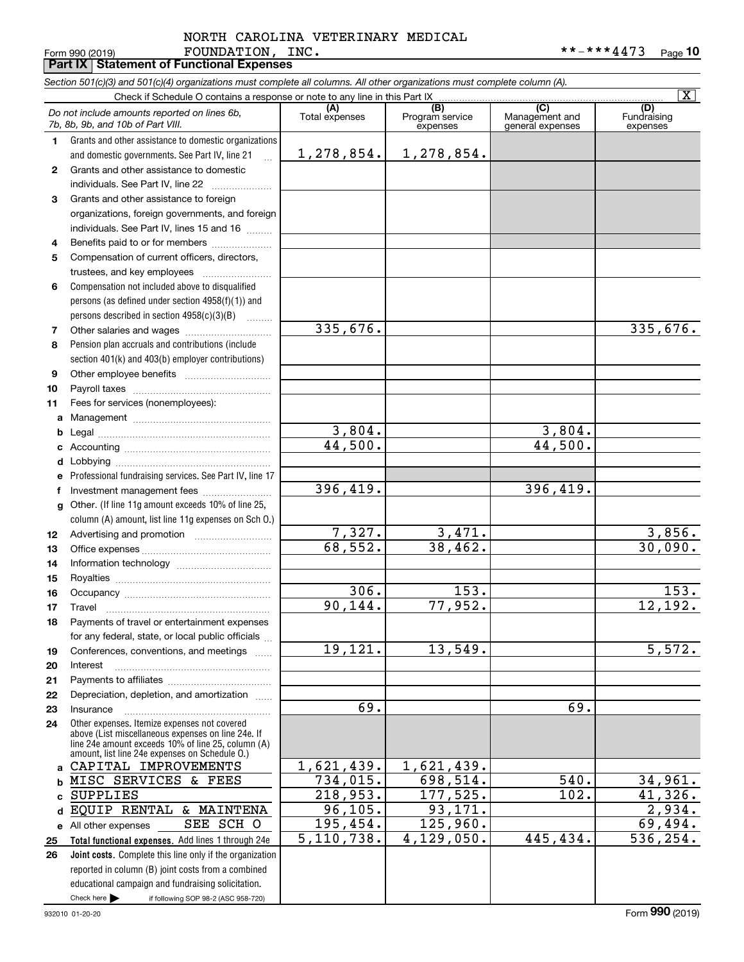#### Form 990 (2019) Page **Part IX Statement of Functional Expenses** FOUNDATION, INC. \*\*-\*\*\*4473 NORTH CAROLINA VETERINARY MEDICAL

|              | Section 501(c)(3) and 501(c)(4) organizations must complete all columns. All other organizations must complete column (A). |                         |                                 |                                    | $\overline{\mathbf{X}}$ |
|--------------|----------------------------------------------------------------------------------------------------------------------------|-------------------------|---------------------------------|------------------------------------|-------------------------|
|              | Check if Schedule O contains a response or note to any line in this Part IX                                                | (A)                     | (B)                             | (C)                                | (D)                     |
|              | Do not include amounts reported on lines 6b,<br>7b, 8b, 9b, and 10b of Part VIII.                                          | Total expenses          | Program service<br>expenses     | Management and<br>general expenses | Fundraising<br>expenses |
| 1            | Grants and other assistance to domestic organizations                                                                      |                         |                                 |                                    |                         |
|              | and domestic governments. See Part IV, line 21<br>$\mathbf{r}$                                                             | 1, 278, 854.            | 1,278,854.                      |                                    |                         |
| $\mathbf{2}$ | Grants and other assistance to domestic                                                                                    |                         |                                 |                                    |                         |
|              | individuals. See Part IV, line 22                                                                                          |                         |                                 |                                    |                         |
| 3            | Grants and other assistance to foreign                                                                                     |                         |                                 |                                    |                         |
|              | organizations, foreign governments, and foreign                                                                            |                         |                                 |                                    |                         |
|              | individuals. See Part IV, lines 15 and 16                                                                                  |                         |                                 |                                    |                         |
| 4            | Benefits paid to or for members                                                                                            |                         |                                 |                                    |                         |
| 5            | Compensation of current officers, directors,                                                                               |                         |                                 |                                    |                         |
|              |                                                                                                                            |                         |                                 |                                    |                         |
| 6            | Compensation not included above to disqualified                                                                            |                         |                                 |                                    |                         |
|              | persons (as defined under section 4958(f)(1)) and                                                                          |                         |                                 |                                    |                         |
|              | persons described in section 4958(c)(3)(B)<br>$\overline{\phantom{a}}$                                                     |                         |                                 |                                    |                         |
| 7            |                                                                                                                            | 335,676.                |                                 |                                    | 335,676.                |
| 8            | Pension plan accruals and contributions (include                                                                           |                         |                                 |                                    |                         |
|              | section 401(k) and 403(b) employer contributions)                                                                          |                         |                                 |                                    |                         |
| 9            |                                                                                                                            |                         |                                 |                                    |                         |
| 10           |                                                                                                                            |                         |                                 |                                    |                         |
| 11           | Fees for services (nonemployees):                                                                                          |                         |                                 |                                    |                         |
| a            |                                                                                                                            |                         |                                 |                                    |                         |
| b            |                                                                                                                            | 3,804.                  |                                 | 3,804.                             |                         |
| с            |                                                                                                                            | 44,500.                 |                                 | 44,500.                            |                         |
| d            |                                                                                                                            |                         |                                 |                                    |                         |
| е            | Professional fundraising services. See Part IV, line 17                                                                    |                         |                                 |                                    |                         |
| f            | Investment management fees                                                                                                 | 396,419.                |                                 | 396,419.                           |                         |
| g            | Other. (If line 11g amount exceeds 10% of line 25,                                                                         |                         |                                 |                                    |                         |
|              | column (A) amount, list line 11g expenses on Sch O.)                                                                       |                         |                                 |                                    |                         |
| 12           |                                                                                                                            | 7,327.                  | $\frac{3,471}{38,462}$          |                                    | 3,856.                  |
| 13           |                                                                                                                            | 68,552.                 |                                 |                                    | 30,090.                 |
| 14           |                                                                                                                            |                         |                                 |                                    |                         |
| 15           |                                                                                                                            |                         |                                 |                                    |                         |
| 16           |                                                                                                                            | 306.                    | 153.                            |                                    | 153.                    |
| 17           |                                                                                                                            | 90, 144.                | 77,952.                         |                                    | 12,192.                 |
| 18           | Payments of travel or entertainment expenses                                                                               |                         |                                 |                                    |                         |
|              | for any federal, state, or local public officials                                                                          |                         |                                 |                                    |                         |
| 19           | Conferences, conventions, and meetings                                                                                     | 19, 121.                | 13,549.                         |                                    | 5,572.                  |
| 20           | Interest                                                                                                                   |                         |                                 |                                    |                         |
| 21           |                                                                                                                            |                         |                                 |                                    |                         |
| 22           | Depreciation, depletion, and amortization                                                                                  | 69.                     |                                 | 69.                                |                         |
| 23           | Insurance                                                                                                                  |                         |                                 |                                    |                         |
| 24           | Other expenses. Itemize expenses not covered<br>above (List miscellaneous expenses on line 24e. If                         |                         |                                 |                                    |                         |
|              | line 24e amount exceeds 10% of line 25, column (A)                                                                         |                         |                                 |                                    |                         |
| a            | amount, list line 24e expenses on Schedule O.)<br>CAPITAL IMPROVEMENTS                                                     | 1,621,439.              | $\overline{1,621,439}$ .        |                                    |                         |
| b            | MISC SERVICES & FEES                                                                                                       | $\overline{734}$ , 015. | $\overline{698}$ , 5 <u>14.</u> | 540.                               | 34,961.                 |
| c            | <b>SUPPLIES</b>                                                                                                            | 218,953.                | 177,525.                        | 102.                               | 41,326.                 |
| d            | EQUIP RENTAL & MAINTENA                                                                                                    | 96, 105.                | 93,171.                         |                                    | 2,934.                  |
|              | SEE<br>SCH O<br>e All other expenses                                                                                       | 195,454.                | 125,960.                        |                                    | 69,494.                 |
| 25           | Total functional expenses. Add lines 1 through 24e                                                                         | 5, 110, 738.            | 4,129,050.                      | 445, 434.                          | 536, 254.               |
| 26           | Joint costs. Complete this line only if the organization                                                                   |                         |                                 |                                    |                         |
|              | reported in column (B) joint costs from a combined                                                                         |                         |                                 |                                    |                         |
|              | educational campaign and fundraising solicitation.                                                                         |                         |                                 |                                    |                         |
|              | Check here $\blacktriangleright$<br>if following SOP 98-2 (ASC 958-720)                                                    |                         |                                 |                                    |                         |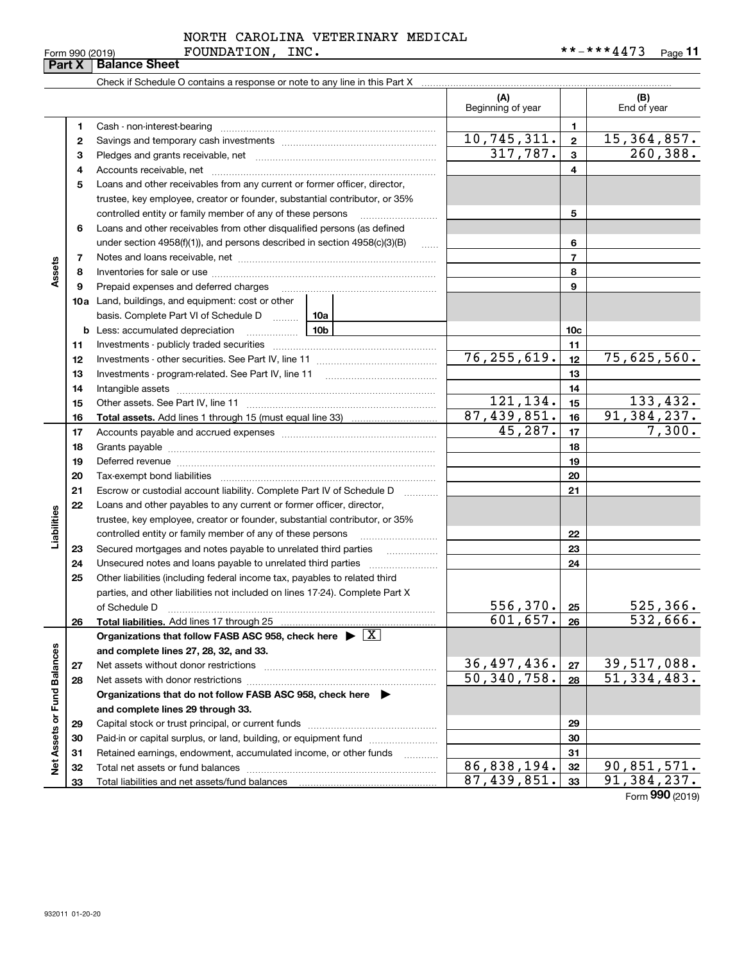**Part X Balance Sheet**

#### FOUNDATION, INC. NORTH CAROLINA VETERINARY MEDICAL

|                             |    |                                                                                                                                                                                                                                |  | (A)<br>Beginning of year |                         | (B)<br>End of year        |
|-----------------------------|----|--------------------------------------------------------------------------------------------------------------------------------------------------------------------------------------------------------------------------------|--|--------------------------|-------------------------|---------------------------|
|                             | 1  |                                                                                                                                                                                                                                |  |                          | 1                       |                           |
|                             | 2  |                                                                                                                                                                                                                                |  | 10, 745, 311.            | $\overline{2}$          | 15, 364, 857.             |
|                             | з  |                                                                                                                                                                                                                                |  | 317,787.                 | $\overline{\mathbf{3}}$ | 260, 388.                 |
|                             | 4  |                                                                                                                                                                                                                                |  |                          | $\overline{\mathbf{4}}$ |                           |
|                             | 5  | Loans and other receivables from any current or former officer, director,                                                                                                                                                      |  |                          |                         |                           |
|                             |    | trustee, key employee, creator or founder, substantial contributor, or 35%                                                                                                                                                     |  |                          |                         |                           |
|                             |    | controlled entity or family member of any of these persons                                                                                                                                                                     |  |                          | 5                       |                           |
|                             | 6  | Loans and other receivables from other disqualified persons (as defined                                                                                                                                                        |  |                          |                         |                           |
|                             |    | under section $4958(f)(1)$ , and persons described in section $4958(c)(3)(B)$                                                                                                                                                  |  |                          | 6                       |                           |
|                             | 7  |                                                                                                                                                                                                                                |  |                          | $\overline{7}$          |                           |
| Assets                      | 8  |                                                                                                                                                                                                                                |  |                          | 8                       |                           |
|                             | 9  | Prepaid expenses and deferred charges                                                                                                                                                                                          |  |                          | 9                       |                           |
|                             |    | <b>10a</b> Land, buildings, and equipment: cost or other                                                                                                                                                                       |  |                          |                         |                           |
|                             |    | basis. Complete Part VI of Schedule D  10a                                                                                                                                                                                     |  |                          |                         |                           |
|                             |    | <u>10b</u><br><b>b</b> Less: accumulated depreciation                                                                                                                                                                          |  |                          | 10 <sub>c</sub>         |                           |
|                             | 11 |                                                                                                                                                                                                                                |  |                          | 11                      |                           |
|                             | 12 |                                                                                                                                                                                                                                |  | 76, 255, 619.            | 12                      | 75,625,560.               |
|                             | 13 |                                                                                                                                                                                                                                |  |                          | 13                      |                           |
|                             | 14 |                                                                                                                                                                                                                                |  |                          | 14                      |                           |
|                             | 15 |                                                                                                                                                                                                                                |  | 121,134.                 | 15                      | 133, 432.                 |
|                             | 16 |                                                                                                                                                                                                                                |  | 87,439,851.              | 16                      | $\overline{91,384,237}$ . |
|                             | 17 |                                                                                                                                                                                                                                |  | 45,287.                  | 17                      | 7,300.                    |
|                             | 18 |                                                                                                                                                                                                                                |  |                          | 18                      |                           |
|                             | 19 | Deferred revenue manual contracts and contracts are all the contracts and contracts are contracted and contracts are contracted and contract are contracted and contract are contracted and contract are contracted and contra |  | 19                       |                         |                           |
|                             | 20 |                                                                                                                                                                                                                                |  |                          | 20                      |                           |
|                             | 21 | Escrow or custodial account liability. Complete Part IV of Schedule D                                                                                                                                                          |  |                          | 21                      |                           |
|                             | 22 | Loans and other payables to any current or former officer, director,                                                                                                                                                           |  |                          |                         |                           |
| Liabilities                 |    | trustee, key employee, creator or founder, substantial contributor, or 35%                                                                                                                                                     |  |                          |                         |                           |
|                             |    | controlled entity or family member of any of these persons                                                                                                                                                                     |  |                          | 22                      |                           |
|                             | 23 |                                                                                                                                                                                                                                |  |                          | 23                      |                           |
|                             | 24 | Unsecured notes and loans payable to unrelated third parties                                                                                                                                                                   |  |                          | 24                      |                           |
|                             | 25 | Other liabilities (including federal income tax, payables to related third                                                                                                                                                     |  |                          |                         |                           |
|                             |    | parties, and other liabilities not included on lines 17-24). Complete Part X                                                                                                                                                   |  | $556, 370$ $\cdot$ 25    |                         | 525, 366.                 |
|                             | 26 | of Schedule D<br>Total liabilities. Add lines 17 through 25                                                                                                                                                                    |  | $601, 657$ . 26          |                         | 532,666.                  |
|                             |    | Organizations that follow FASB ASC 958, check here $\blacktriangleright \boxed{X}$                                                                                                                                             |  |                          |                         |                           |
|                             |    | and complete lines 27, 28, 32, and 33.                                                                                                                                                                                         |  |                          |                         |                           |
|                             | 27 | Net assets without donor restrictions                                                                                                                                                                                          |  | 36,497,436.              | 27                      | 39, 517, 088.             |
|                             | 28 | Net assets with donor restrictions                                                                                                                                                                                             |  | 50, 340, 758.            | 28                      | $\overline{51,334,483.}$  |
|                             |    | Organizations that do not follow FASB ASC 958, check here $\blacktriangleright$                                                                                                                                                |  |                          |                         |                           |
|                             |    | and complete lines 29 through 33.                                                                                                                                                                                              |  |                          |                         |                           |
|                             | 29 |                                                                                                                                                                                                                                |  | 29                       |                         |                           |
|                             | 30 | Paid-in or capital surplus, or land, building, or equipment fund                                                                                                                                                               |  |                          | 30                      |                           |
|                             | 31 | Retained earnings, endowment, accumulated income, or other funds                                                                                                                                                               |  |                          | 31                      |                           |
| Net Assets or Fund Balances | 32 |                                                                                                                                                                                                                                |  | 86,838,194.              | 32                      | 90,851,571.               |
|                             | 33 |                                                                                                                                                                                                                                |  | 87,439,851.              | 33                      | $\overline{91,384,237}$ . |
|                             |    |                                                                                                                                                                                                                                |  |                          |                         | Form 990 (2019)           |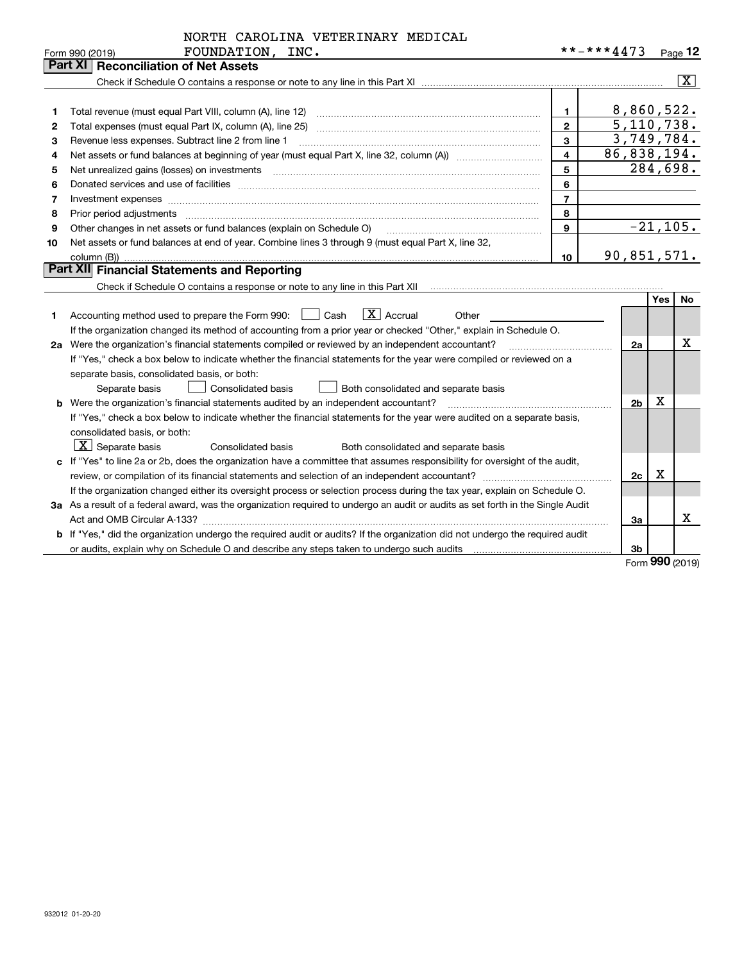|  |  | NORTH CAROLINA VETERINARY MEDICAL |  |
|--|--|-----------------------------------|--|
|--|--|-----------------------------------|--|

|    | <b>Part XI</b><br><b>Reconciliation of Net Assets</b>                                              |    |              |
|----|----------------------------------------------------------------------------------------------------|----|--------------|
|    |                                                                                                    |    | X.           |
|    |                                                                                                    |    |              |
|    | Total revenue (must equal Part VIII, column (A), line 12)                                          |    | 8,860,522.   |
| 2  | Total expenses (must equal Part IX, column (A), line 25)                                           |    | 5, 110, 738. |
| 3  | Revenue less expenses. Subtract line 2 from line 1                                                 |    | 3,749,784.   |
| 4  |                                                                                                    | 4  | 86,838,194.  |
| 5  | Net unrealized gains (losses) on investments                                                       | 5  | 284,698.     |
| 6  | Donated services and use of facilities                                                             | 6  |              |
|    |                                                                                                    |    |              |
| 8  | Prior period adjustments                                                                           | 8  |              |
| 9  | Other changes in net assets or fund balances (explain on Schedule O)                               | 9  | $-21,105.$   |
| 10 | Net assets or fund balances at end of year. Combine lines 3 through 9 (must equal Part X, line 32, |    |              |
|    | column (B))                                                                                        | 10 | 90,851,571.  |
|    | <b>Part XIII Einancial Statements and Penerting</b>                                                |    |              |

## **Part XII Financial Statements and Reporting**

Check if Schedule O contains a response or note to any line in this Part XII **Change and Check if Schedule O contains a** response or note to any line in this Part XII

|    |                                                                                                                                 |                | Yes | No |
|----|---------------------------------------------------------------------------------------------------------------------------------|----------------|-----|----|
|    | $ X $ Accrual<br>Accounting method used to prepare the Form 990:     Cash<br>Other                                              |                |     |    |
|    | If the organization changed its method of accounting from a prior year or checked "Other," explain in Schedule O.               |                |     |    |
|    | 2a Were the organization's financial statements compiled or reviewed by an independent accountant?                              | 2a             |     | x  |
|    | If "Yes," check a box below to indicate whether the financial statements for the year were compiled or reviewed on a            |                |     |    |
|    | separate basis, consolidated basis, or both:                                                                                    |                |     |    |
|    | Consolidated basis<br>Both consolidated and separate basis<br>Separate basis                                                    |                |     |    |
|    | Were the organization's financial statements audited by an independent accountant?                                              | 2 <sub>b</sub> | х   |    |
|    | If "Yes," check a box below to indicate whether the financial statements for the year were audited on a separate basis,         |                |     |    |
|    | consolidated basis, or both:                                                                                                    |                |     |    |
|    | $\boxed{\text{X}}$ Separate basis<br>Consolidated basis<br>Both consolidated and separate basis                                 |                |     |    |
|    | c If "Yes" to line 2a or 2b, does the organization have a committee that assumes responsibility for oversight of the audit,     |                |     |    |
|    | review, or compilation of its financial statements and selection of an independent accountant?                                  | 2c             | х   |    |
|    | If the organization changed either its oversight process or selection process during the tax year, explain on Schedule O.       |                |     |    |
|    | 3a As a result of a federal award, was the organization required to undergo an audit or audits as set forth in the Single Audit |                |     |    |
|    | Act and OMB Circular A-133?                                                                                                     | За             |     | x  |
| b. | If "Yes," did the organization undergo the required audit or audits? If the organization did not undergo the required audit     |                |     |    |
|    | or audits, explain why on Schedule O and describe any steps taken to undergo such audits                                        | 3b             | ^^^ |    |

Form (2019) **990**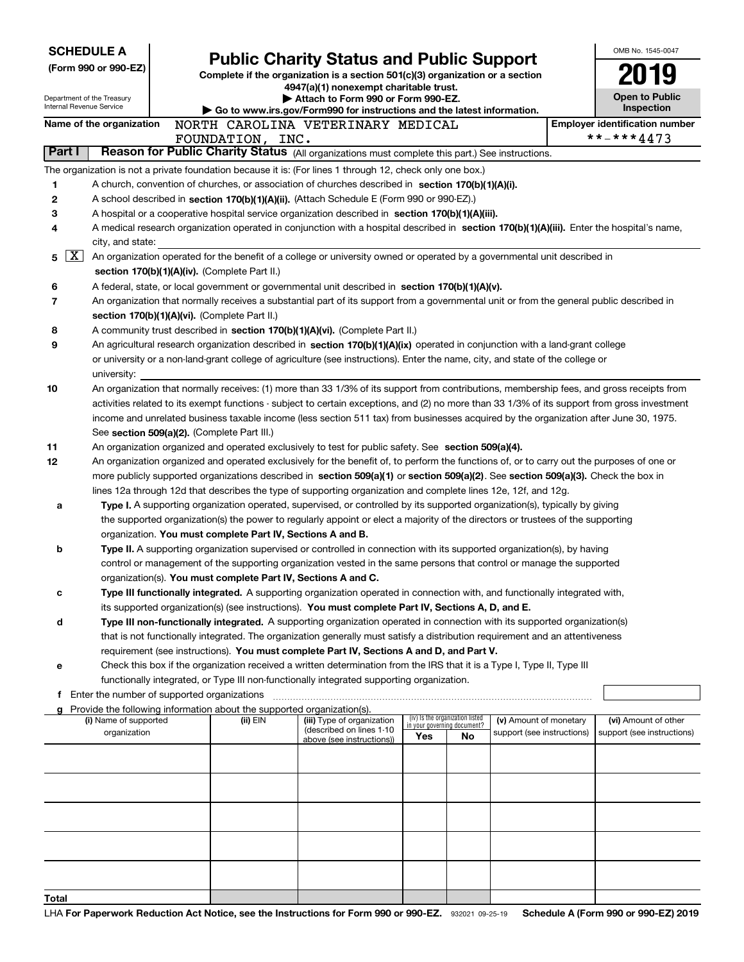|        | <b>SCHEDULE A</b><br>(Form 990 or 990-EZ)              |                                                                        | <b>Public Charity Status and Public Support</b>                                                                                                                                                                                                                 |                             |                                 |                            | OMB No. 1545-0047                                   |
|--------|--------------------------------------------------------|------------------------------------------------------------------------|-----------------------------------------------------------------------------------------------------------------------------------------------------------------------------------------------------------------------------------------------------------------|-----------------------------|---------------------------------|----------------------------|-----------------------------------------------------|
|        | Department of the Treasury<br>Internal Revenue Service |                                                                        | Complete if the organization is a section 501(c)(3) organization or a section<br>4947(a)(1) nonexempt charitable trust.<br>Attach to Form 990 or Form 990-EZ.                                                                                                   |                             |                                 |                            | <b>Open to Public</b>                               |
|        |                                                        |                                                                        | Go to www.irs.gov/Form990 for instructions and the latest information.                                                                                                                                                                                          |                             |                                 |                            | Inspection                                          |
|        | Name of the organization                               | FOUNDATION, INC.                                                       | NORTH CAROLINA VETERINARY MEDICAL                                                                                                                                                                                                                               |                             |                                 |                            | <b>Employer identification number</b><br>**-***4473 |
| Part I |                                                        |                                                                        | Reason for Public Charity Status (All organizations must complete this part.) See instructions.                                                                                                                                                                 |                             |                                 |                            |                                                     |
|        |                                                        |                                                                        | The organization is not a private foundation because it is: (For lines 1 through 12, check only one box.)                                                                                                                                                       |                             |                                 |                            |                                                     |
| 1      |                                                        |                                                                        | A church, convention of churches, or association of churches described in section 170(b)(1)(A)(i).                                                                                                                                                              |                             |                                 |                            |                                                     |
| 2      |                                                        |                                                                        | A school described in section 170(b)(1)(A)(ii). (Attach Schedule E (Form 990 or 990-EZ).)                                                                                                                                                                       |                             |                                 |                            |                                                     |
| з      |                                                        |                                                                        | A hospital or a cooperative hospital service organization described in section 170(b)(1)(A)(iii).                                                                                                                                                               |                             |                                 |                            |                                                     |
| 4      |                                                        |                                                                        | A medical research organization operated in conjunction with a hospital described in section 170(b)(1)(A)(iii). Enter the hospital's name,                                                                                                                      |                             |                                 |                            |                                                     |
|        | city, and state:                                       |                                                                        |                                                                                                                                                                                                                                                                 |                             |                                 |                            |                                                     |
| 5      | X                                                      | section 170(b)(1)(A)(iv). (Complete Part II.)                          | An organization operated for the benefit of a college or university owned or operated by a governmental unit described in                                                                                                                                       |                             |                                 |                            |                                                     |
|        |                                                        |                                                                        |                                                                                                                                                                                                                                                                 |                             |                                 |                            |                                                     |
| 6      |                                                        |                                                                        | A federal, state, or local government or governmental unit described in section 170(b)(1)(A)(v).                                                                                                                                                                |                             |                                 |                            |                                                     |
| 7      |                                                        |                                                                        | An organization that normally receives a substantial part of its support from a governmental unit or from the general public described in                                                                                                                       |                             |                                 |                            |                                                     |
|        |                                                        | section 170(b)(1)(A)(vi). (Complete Part II.)                          |                                                                                                                                                                                                                                                                 |                             |                                 |                            |                                                     |
| 8<br>9 |                                                        |                                                                        | A community trust described in section 170(b)(1)(A)(vi). (Complete Part II.)                                                                                                                                                                                    |                             |                                 |                            |                                                     |
|        |                                                        |                                                                        | An agricultural research organization described in section 170(b)(1)(A)(ix) operated in conjunction with a land-grant college<br>or university or a non-land-grant college of agriculture (see instructions). Enter the name, city, and state of the college or |                             |                                 |                            |                                                     |
|        | university:                                            |                                                                        |                                                                                                                                                                                                                                                                 |                             |                                 |                            |                                                     |
| 10     |                                                        |                                                                        | An organization that normally receives: (1) more than 33 1/3% of its support from contributions, membership fees, and gross receipts from                                                                                                                       |                             |                                 |                            |                                                     |
|        |                                                        |                                                                        | activities related to its exempt functions - subject to certain exceptions, and (2) no more than 33 1/3% of its support from gross investment                                                                                                                   |                             |                                 |                            |                                                     |
|        |                                                        |                                                                        | income and unrelated business taxable income (less section 511 tax) from businesses acquired by the organization after June 30, 1975.                                                                                                                           |                             |                                 |                            |                                                     |
|        |                                                        | See section 509(a)(2). (Complete Part III.)                            |                                                                                                                                                                                                                                                                 |                             |                                 |                            |                                                     |
| 11     |                                                        |                                                                        | An organization organized and operated exclusively to test for public safety. See section 509(a)(4).                                                                                                                                                            |                             |                                 |                            |                                                     |
| 12     |                                                        |                                                                        | An organization organized and operated exclusively for the benefit of, to perform the functions of, or to carry out the purposes of one or                                                                                                                      |                             |                                 |                            |                                                     |
|        |                                                        |                                                                        | more publicly supported organizations described in section 509(a)(1) or section 509(a)(2). See section 509(a)(3). Check the box in                                                                                                                              |                             |                                 |                            |                                                     |
|        |                                                        |                                                                        | lines 12a through 12d that describes the type of supporting organization and complete lines 12e, 12f, and 12g.                                                                                                                                                  |                             |                                 |                            |                                                     |
|        |                                                        |                                                                        | Type I. A supporting organization operated, supervised, or controlled by its supported organization(s), typically by giving                                                                                                                                     |                             |                                 |                            |                                                     |
| а      |                                                        |                                                                        | the supported organization(s) the power to regularly appoint or elect a majority of the directors or trustees of the supporting                                                                                                                                 |                             |                                 |                            |                                                     |
|        |                                                        | organization. You must complete Part IV, Sections A and B.             |                                                                                                                                                                                                                                                                 |                             |                                 |                            |                                                     |
| b      |                                                        |                                                                        | <b>Type II.</b> A supporting organization supervised or controlled in connection with its supported organization(s), by having                                                                                                                                  |                             |                                 |                            |                                                     |
|        |                                                        |                                                                        | control or management of the supporting organization vested in the same persons that control or manage the supported                                                                                                                                            |                             |                                 |                            |                                                     |
|        |                                                        | organization(s). You must complete Part IV, Sections A and C.          |                                                                                                                                                                                                                                                                 |                             |                                 |                            |                                                     |
| с      |                                                        |                                                                        | Type III functionally integrated. A supporting organization operated in connection with, and functionally integrated with,                                                                                                                                      |                             |                                 |                            |                                                     |
|        |                                                        |                                                                        | its supported organization(s) (see instructions). You must complete Part IV, Sections A, D, and E.                                                                                                                                                              |                             |                                 |                            |                                                     |
| d      |                                                        |                                                                        | Type III non-functionally integrated. A supporting organization operated in connection with its supported organization(s)                                                                                                                                       |                             |                                 |                            |                                                     |
|        |                                                        |                                                                        | that is not functionally integrated. The organization generally must satisfy a distribution requirement and an attentiveness                                                                                                                                    |                             |                                 |                            |                                                     |
|        |                                                        |                                                                        | requirement (see instructions). You must complete Part IV, Sections A and D, and Part V.                                                                                                                                                                        |                             |                                 |                            |                                                     |
| е      |                                                        |                                                                        | Check this box if the organization received a written determination from the IRS that it is a Type I, Type II, Type III                                                                                                                                         |                             |                                 |                            |                                                     |
|        |                                                        |                                                                        | functionally integrated, or Type III non-functionally integrated supporting organization.                                                                                                                                                                       |                             |                                 |                            |                                                     |
| f      | Enter the number of supported organizations            |                                                                        |                                                                                                                                                                                                                                                                 |                             |                                 |                            |                                                     |
| a      |                                                        | Provide the following information about the supported organization(s). |                                                                                                                                                                                                                                                                 |                             |                                 |                            |                                                     |
|        | (i) Name of supported                                  | (ii) EIN                                                               | (iii) Type of organization                                                                                                                                                                                                                                      | in your governing document? | (iv) Is the organization listed | (v) Amount of monetary     | (vi) Amount of other                                |
|        | organization                                           |                                                                        | (described on lines 1-10<br>above (see instructions))                                                                                                                                                                                                           | Yes                         | No                              | support (see instructions) | support (see instructions)                          |
|        |                                                        |                                                                        |                                                                                                                                                                                                                                                                 |                             |                                 |                            |                                                     |
|        |                                                        |                                                                        |                                                                                                                                                                                                                                                                 |                             |                                 |                            |                                                     |
|        |                                                        |                                                                        |                                                                                                                                                                                                                                                                 |                             |                                 |                            |                                                     |
|        |                                                        |                                                                        |                                                                                                                                                                                                                                                                 |                             |                                 |                            |                                                     |
|        |                                                        |                                                                        |                                                                                                                                                                                                                                                                 |                             |                                 |                            |                                                     |
|        |                                                        |                                                                        |                                                                                                                                                                                                                                                                 |                             |                                 |                            |                                                     |
|        |                                                        |                                                                        |                                                                                                                                                                                                                                                                 |                             |                                 |                            |                                                     |
|        |                                                        |                                                                        |                                                                                                                                                                                                                                                                 |                             |                                 |                            |                                                     |
|        |                                                        |                                                                        |                                                                                                                                                                                                                                                                 |                             |                                 |                            |                                                     |

**Total**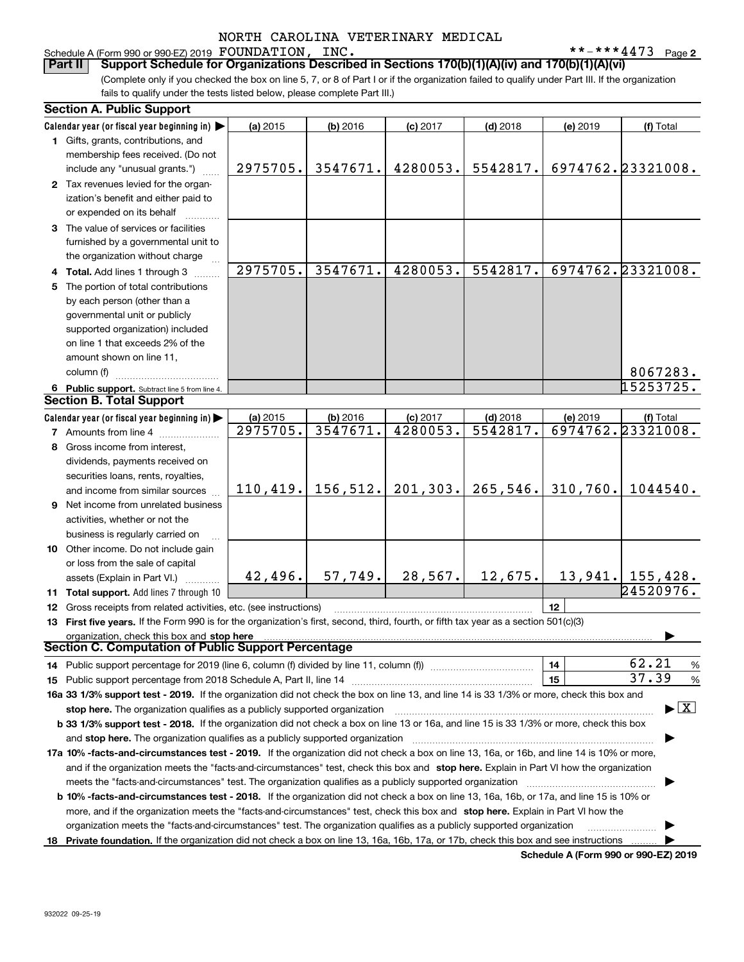#### **2** Schedule A (Form 990 or 990-EZ) 2019 Page FOUNDATION, INC. \*\*-\*\*\*4473

(Complete only if you checked the box on line 5, 7, or 8 of Part I or if the organization failed to qualify under Part III. If the organization **Part II Support Schedule for Organizations Described in Sections 170(b)(1)(A)(iv) and 170(b)(1)(A)(vi)**

fails to qualify under the tests listed below, please complete Part III.)

|    | <b>Section A. Public Support</b>                                                                                                           |          |                       |            |            |          |                                             |
|----|--------------------------------------------------------------------------------------------------------------------------------------------|----------|-----------------------|------------|------------|----------|---------------------------------------------|
|    | Calendar year (or fiscal year beginning in) $\blacktriangleright$                                                                          | (a) 2015 | (b) 2016              | $(c)$ 2017 | $(d)$ 2018 | (e) 2019 | (f) Total                                   |
|    | 1 Gifts, grants, contributions, and                                                                                                        |          |                       |            |            |          |                                             |
|    | membership fees received. (Do not                                                                                                          |          |                       |            |            |          |                                             |
|    | include any "unusual grants.")                                                                                                             | 2975705. | 3547671.              | 4280053.   | 5542817.   |          | 6974762.23321008.                           |
|    | 2 Tax revenues levied for the organ-                                                                                                       |          |                       |            |            |          |                                             |
|    | ization's benefit and either paid to                                                                                                       |          |                       |            |            |          |                                             |
|    | or expended on its behalf                                                                                                                  |          |                       |            |            |          |                                             |
|    | 3 The value of services or facilities                                                                                                      |          |                       |            |            |          |                                             |
|    | furnished by a governmental unit to                                                                                                        |          |                       |            |            |          |                                             |
|    | the organization without charge                                                                                                            |          |                       |            |            |          |                                             |
|    | Total. Add lines 1 through 3                                                                                                               | 2975705. | 3547671.              | 4280053.   | 5542817.   |          | 6974762.23321008.                           |
| 5. | The portion of total contributions                                                                                                         |          |                       |            |            |          |                                             |
|    | by each person (other than a                                                                                                               |          |                       |            |            |          |                                             |
|    | governmental unit or publicly                                                                                                              |          |                       |            |            |          |                                             |
|    | supported organization) included                                                                                                           |          |                       |            |            |          |                                             |
|    | on line 1 that exceeds 2% of the                                                                                                           |          |                       |            |            |          |                                             |
|    |                                                                                                                                            |          |                       |            |            |          |                                             |
|    | amount shown on line 11,                                                                                                                   |          |                       |            |            |          |                                             |
|    | column (f)                                                                                                                                 |          |                       |            |            |          | 8067283.                                    |
|    | 6 Public support. Subtract line 5 from line 4.                                                                                             |          |                       |            |            |          | 15253725.                                   |
|    | <b>Section B. Total Support</b>                                                                                                            |          |                       |            |            |          |                                             |
|    | Calendar year (or fiscal year beginning in)                                                                                                | (a) 2015 | (b) 2016              | (c) 2017   | $(d)$ 2018 | (e) 2019 | (f) Total                                   |
|    | 7 Amounts from line 4                                                                                                                      | 2975705. | 3547671.              | 4280053.   | 5542817.   |          | 6974762.23321008.                           |
|    | 8 Gross income from interest,                                                                                                              |          |                       |            |            |          |                                             |
|    | dividends, payments received on                                                                                                            |          |                       |            |            |          |                                             |
|    | securities loans, rents, royalties,                                                                                                        |          |                       |            |            |          |                                             |
|    | and income from similar sources                                                                                                            |          | $110, 419.$ 156, 512. | 201, 303.  | 265,546.   | 310,760. | 1044540.                                    |
| 9  | Net income from unrelated business                                                                                                         |          |                       |            |            |          |                                             |
|    | activities, whether or not the                                                                                                             |          |                       |            |            |          |                                             |
|    | business is regularly carried on                                                                                                           |          |                       |            |            |          |                                             |
|    | 10 Other income. Do not include gain                                                                                                       |          |                       |            |            |          |                                             |
|    | or loss from the sale of capital                                                                                                           |          |                       |            |            |          |                                             |
|    | assets (Explain in Part VI.)                                                                                                               | 42,496.  | 57,749.               | 28, 567.   | 12,675.    |          | $13,941.$ 155,428.                          |
|    | 11 Total support. Add lines 7 through 10                                                                                                   |          |                       |            |            |          | 24520976.                                   |
| 12 | Gross receipts from related activities, etc. (see instructions)                                                                            |          |                       |            |            | 12       |                                             |
|    | 13 First five years. If the Form 990 is for the organization's first, second, third, fourth, or fifth tax year as a section 501(c)(3)      |          |                       |            |            |          |                                             |
|    |                                                                                                                                            |          |                       |            |            |          |                                             |
|    | Sing The Computation of Public Support Percentage Communication C. Computation of Public Support Percentage                                |          |                       |            |            |          |                                             |
|    |                                                                                                                                            |          |                       |            |            | 14       | 62.21<br>%                                  |
|    |                                                                                                                                            |          |                       |            |            | 15       | 37.39<br>%                                  |
|    | 16a 33 1/3% support test - 2019. If the organization did not check the box on line 13, and line 14 is 33 1/3% or more, check this box and  |          |                       |            |            |          |                                             |
|    | stop here. The organization qualifies as a publicly supported organization                                                                 |          |                       |            |            |          | $\blacktriangleright$ $\boxed{\text{X}}$    |
|    | b 33 1/3% support test - 2018. If the organization did not check a box on line 13 or 16a, and line 15 is 33 1/3% or more, check this box   |          |                       |            |            |          |                                             |
|    | and stop here. The organization qualifies as a publicly supported organization                                                             |          |                       |            |            |          |                                             |
|    | 17a 10% -facts-and-circumstances test - 2019. If the organization did not check a box on line 13, 16a, or 16b, and line 14 is 10% or more, |          |                       |            |            |          |                                             |
|    | and if the organization meets the "facts-and-circumstances" test, check this box and stop here. Explain in Part VI how the organization    |          |                       |            |            |          |                                             |
|    | meets the "facts-and-circumstances" test. The organization qualifies as a publicly supported organization                                  |          |                       |            |            |          |                                             |
|    | b 10% -facts-and-circumstances test - 2018. If the organization did not check a box on line 13, 16a, 16b, or 17a, and line 15 is 10% or    |          |                       |            |            |          |                                             |
|    |                                                                                                                                            |          |                       |            |            |          |                                             |
|    | more, and if the organization meets the "facts-and-circumstances" test, check this box and stop here. Explain in Part VI how the           |          |                       |            |            |          |                                             |
|    | organization meets the "facts-and-circumstances" test. The organization qualifies as a publicly supported organization                     |          |                       |            |            |          |                                             |
| 18 | Private foundation. If the organization did not check a box on line 13, 16a, 16b, 17a, or 17b, check this box and see instructions         |          |                       |            |            |          | <b>Cohodulo A (Form 000 or 000 EZ) 2010</b> |

**Schedule A (Form 990 or 990-EZ) 2019**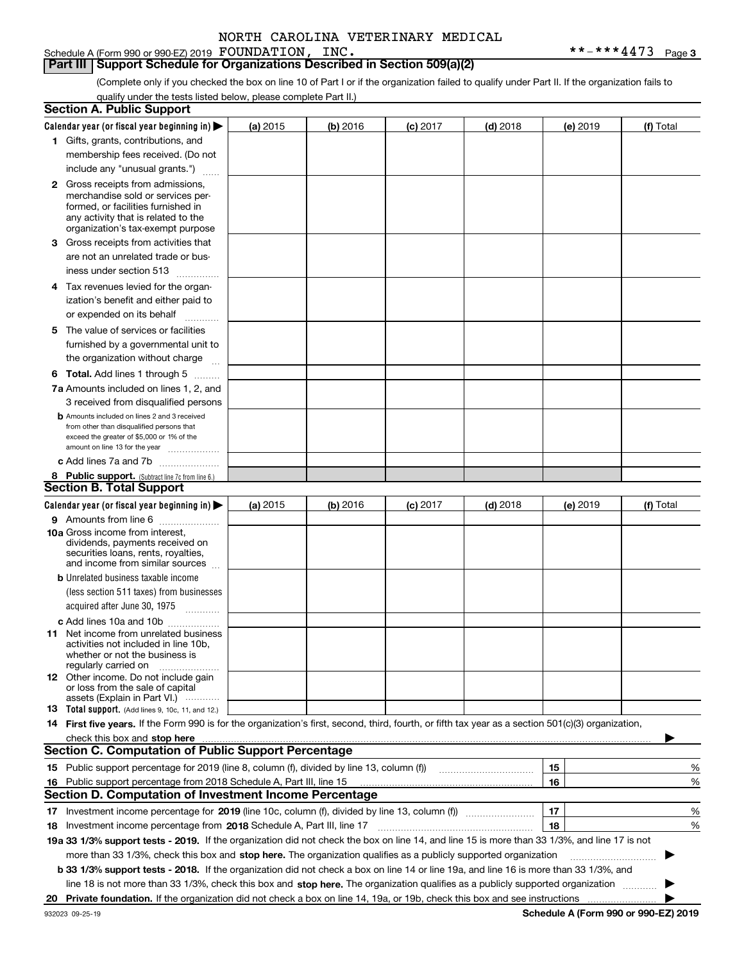Schedule A (Form 990 or 990-EZ) 2019 Page FOUNDATION, INC. \*\*-\*\*\*4473

**Part III** | Support Schedule for Organizations Described in Section 509(a)(2)

(Complete only if you checked the box on line 10 of Part I or if the organization failed to qualify under Part II. If the organization fails to qualify under the tests listed below, please complete Part II.)

|    | <b>Section A. Public Support</b>                                                                                                                                                                                                                                                                                                                                                      |          |          |            |            |          |                                             |           |
|----|---------------------------------------------------------------------------------------------------------------------------------------------------------------------------------------------------------------------------------------------------------------------------------------------------------------------------------------------------------------------------------------|----------|----------|------------|------------|----------|---------------------------------------------|-----------|
|    | Calendar year (or fiscal year beginning in) $\blacktriangleright$                                                                                                                                                                                                                                                                                                                     | (a) 2015 | (b) 2016 | $(c)$ 2017 | $(d)$ 2018 | (e) 2019 |                                             | (f) Total |
|    | 1 Gifts, grants, contributions, and                                                                                                                                                                                                                                                                                                                                                   |          |          |            |            |          |                                             |           |
|    | membership fees received. (Do not                                                                                                                                                                                                                                                                                                                                                     |          |          |            |            |          |                                             |           |
|    | include any "unusual grants.")                                                                                                                                                                                                                                                                                                                                                        |          |          |            |            |          |                                             |           |
|    | <b>2</b> Gross receipts from admissions,<br>merchandise sold or services per-<br>formed, or facilities furnished in<br>any activity that is related to the<br>organization's tax-exempt purpose                                                                                                                                                                                       |          |          |            |            |          |                                             |           |
|    | 3 Gross receipts from activities that<br>are not an unrelated trade or bus-                                                                                                                                                                                                                                                                                                           |          |          |            |            |          |                                             |           |
|    | iness under section 513                                                                                                                                                                                                                                                                                                                                                               |          |          |            |            |          |                                             |           |
|    | 4 Tax revenues levied for the organ-<br>ization's benefit and either paid to                                                                                                                                                                                                                                                                                                          |          |          |            |            |          |                                             |           |
|    | or expended on its behalf<br>.                                                                                                                                                                                                                                                                                                                                                        |          |          |            |            |          |                                             |           |
|    | 5 The value of services or facilities                                                                                                                                                                                                                                                                                                                                                 |          |          |            |            |          |                                             |           |
|    | furnished by a governmental unit to<br>the organization without charge                                                                                                                                                                                                                                                                                                                |          |          |            |            |          |                                             |           |
|    | <b>6 Total.</b> Add lines 1 through 5                                                                                                                                                                                                                                                                                                                                                 |          |          |            |            |          |                                             |           |
|    | 7a Amounts included on lines 1, 2, and                                                                                                                                                                                                                                                                                                                                                |          |          |            |            |          |                                             |           |
|    | 3 received from disqualified persons                                                                                                                                                                                                                                                                                                                                                  |          |          |            |            |          |                                             |           |
|    | <b>b</b> Amounts included on lines 2 and 3 received<br>from other than disqualified persons that<br>exceed the greater of \$5,000 or 1% of the<br>amount on line 13 for the year                                                                                                                                                                                                      |          |          |            |            |          |                                             |           |
|    | c Add lines 7a and 7b                                                                                                                                                                                                                                                                                                                                                                 |          |          |            |            |          |                                             |           |
|    | 8 Public support. (Subtract line 7c from line 6.)                                                                                                                                                                                                                                                                                                                                     |          |          |            |            |          |                                             |           |
|    | <b>Section B. Total Support</b>                                                                                                                                                                                                                                                                                                                                                       |          |          |            |            |          |                                             |           |
|    | Calendar year (or fiscal year beginning in)                                                                                                                                                                                                                                                                                                                                           | (a) 2015 | (b) 2016 | $(c)$ 2017 | $(d)$ 2018 | (e) 2019 |                                             | (f) Total |
|    | 9 Amounts from line 6<br><b>10a</b> Gross income from interest,<br>dividends, payments received on<br>securities loans, rents, royalties,<br>and income from similar sources                                                                                                                                                                                                          |          |          |            |            |          |                                             |           |
|    | <b>b</b> Unrelated business taxable income<br>(less section 511 taxes) from businesses                                                                                                                                                                                                                                                                                                |          |          |            |            |          |                                             |           |
|    | acquired after June 30, 1975 [10001]                                                                                                                                                                                                                                                                                                                                                  |          |          |            |            |          |                                             |           |
|    | c Add lines 10a and 10b<br>11 Net income from unrelated business<br>activities not included in line 10b,<br>whether or not the business is<br>regularly carried on                                                                                                                                                                                                                    |          |          |            |            |          |                                             |           |
|    | 12 Other income. Do not include gain<br>or loss from the sale of capital<br>assets (Explain in Part VI.)                                                                                                                                                                                                                                                                              |          |          |            |            |          |                                             |           |
|    | <b>13</b> Total support. (Add lines 9, 10c, 11, and 12.)                                                                                                                                                                                                                                                                                                                              |          |          |            |            |          |                                             |           |
|    | 14 First five years. If the Form 990 is for the organization's first, second, third, fourth, or fifth tax year as a section 501(c)(3) organization,<br>check this box and stop here measurements and the control of the state of the change of the change of the change of the change of the change of the change of the change of the change of the change of the change of the chan |          |          |            |            |          |                                             |           |
|    | <b>Section C. Computation of Public Support Percentage</b>                                                                                                                                                                                                                                                                                                                            |          |          |            |            |          |                                             |           |
|    | 15 Public support percentage for 2019 (line 8, column (f), divided by line 13, column (f))                                                                                                                                                                                                                                                                                            |          |          |            |            | 15       |                                             | %         |
|    | 16 Public support percentage from 2018 Schedule A, Part III, line 15                                                                                                                                                                                                                                                                                                                  |          |          |            |            | 16       |                                             | %         |
|    | <b>Section D. Computation of Investment Income Percentage</b><br>Investment income percentage for 2019 (line 10c, column (f), divided by line 13, column (f))                                                                                                                                                                                                                         |          |          |            |            | 17       |                                             | %         |
| 17 |                                                                                                                                                                                                                                                                                                                                                                                       |          |          |            |            | 18       |                                             | %         |
|    | <b>18</b> Investment income percentage from <b>2018</b> Schedule A, Part III, line 17<br>19a 33 1/3% support tests - 2019. If the organization did not check the box on line 14, and line 15 is more than 33 1/3%, and line 17 is not                                                                                                                                                 |          |          |            |            |          |                                             |           |
|    | more than 33 1/3%, check this box and stop here. The organization qualifies as a publicly supported organization                                                                                                                                                                                                                                                                      |          |          |            |            |          |                                             |           |
|    | b 33 1/3% support tests - 2018. If the organization did not check a box on line 14 or line 19a, and line 16 is more than 33 1/3%, and                                                                                                                                                                                                                                                 |          |          |            |            |          |                                             |           |
|    | line 18 is not more than 33 1/3%, check this box and stop here. The organization qualifies as a publicly supported organization                                                                                                                                                                                                                                                       |          |          |            |            |          |                                             |           |
|    | 20 Private foundation. If the organization did not check a box on line 14, 19a, or 19b, check this box and see instructions                                                                                                                                                                                                                                                           |          |          |            |            |          |                                             |           |
|    |                                                                                                                                                                                                                                                                                                                                                                                       |          |          |            |            |          | <b>Cohodulo A (Form 000 or 000 EZ) 2010</b> |           |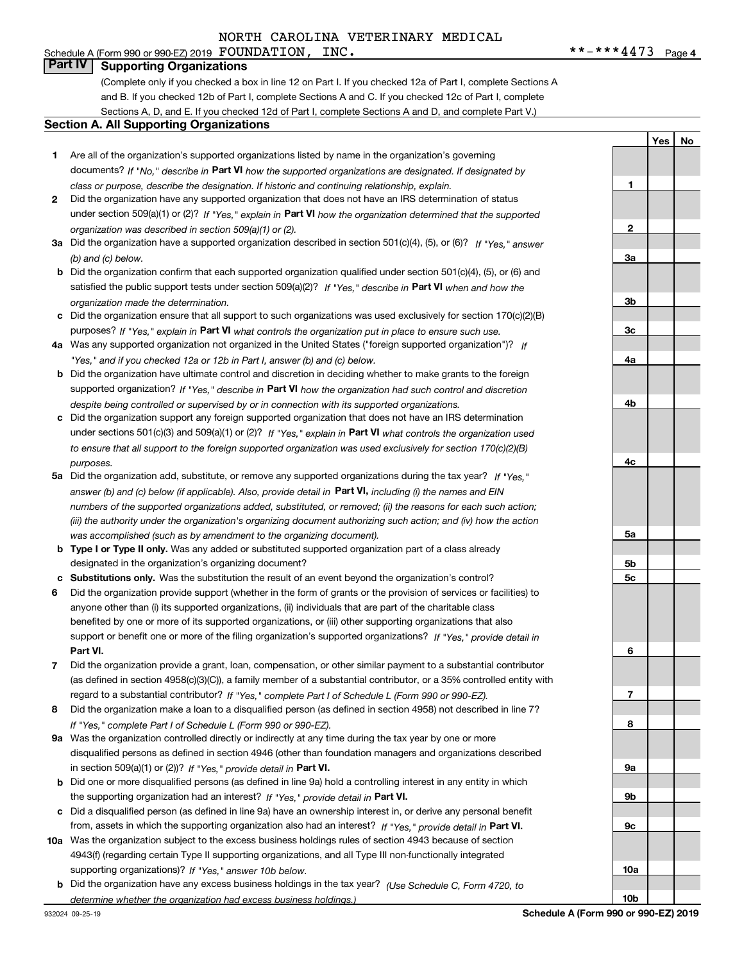#### Schedule A (Form 990 or 990-EZ) 2019 Page FOUNDATION, INC. \*\*-\*\*\*4473 **Part IV Supporting Organizations**

(Complete only if you checked a box in line 12 on Part I. If you checked 12a of Part I, complete Sections A and B. If you checked 12b of Part I, complete Sections A and C. If you checked 12c of Part I, complete Sections A, D, and E. If you checked 12d of Part I, complete Sections A and D, and complete Part V.)

#### **Section A. All Supporting Organizations**

- **1** Are all of the organization's supported organizations listed by name in the organization's governing documents? If "No," describe in **Part VI** how the supported organizations are designated. If designated by *class or purpose, describe the designation. If historic and continuing relationship, explain.*
- **2** Did the organization have any supported organization that does not have an IRS determination of status under section 509(a)(1) or (2)? If "Yes," explain in Part VI how the organization determined that the supported *organization was described in section 509(a)(1) or (2).*
- **3a** Did the organization have a supported organization described in section 501(c)(4), (5), or (6)? If "Yes," answer *(b) and (c) below.*
- **b** Did the organization confirm that each supported organization qualified under section 501(c)(4), (5), or (6) and satisfied the public support tests under section 509(a)(2)? If "Yes," describe in **Part VI** when and how the *organization made the determination.*
- **c**Did the organization ensure that all support to such organizations was used exclusively for section 170(c)(2)(B) purposes? If "Yes," explain in **Part VI** what controls the organization put in place to ensure such use.
- **4a***If* Was any supported organization not organized in the United States ("foreign supported organization")? *"Yes," and if you checked 12a or 12b in Part I, answer (b) and (c) below.*
- **b** Did the organization have ultimate control and discretion in deciding whether to make grants to the foreign supported organization? If "Yes," describe in **Part VI** how the organization had such control and discretion *despite being controlled or supervised by or in connection with its supported organizations.*
- **c** Did the organization support any foreign supported organization that does not have an IRS determination under sections 501(c)(3) and 509(a)(1) or (2)? If "Yes," explain in **Part VI** what controls the organization used *to ensure that all support to the foreign supported organization was used exclusively for section 170(c)(2)(B) purposes.*
- **5a***If "Yes,"* Did the organization add, substitute, or remove any supported organizations during the tax year? answer (b) and (c) below (if applicable). Also, provide detail in **Part VI,** including (i) the names and EIN *numbers of the supported organizations added, substituted, or removed; (ii) the reasons for each such action; (iii) the authority under the organization's organizing document authorizing such action; and (iv) how the action was accomplished (such as by amendment to the organizing document).*
- **b** Type I or Type II only. Was any added or substituted supported organization part of a class already designated in the organization's organizing document?
- **cSubstitutions only.**  Was the substitution the result of an event beyond the organization's control?
- **6** Did the organization provide support (whether in the form of grants or the provision of services or facilities) to **Part VI.** *If "Yes," provide detail in* support or benefit one or more of the filing organization's supported organizations? anyone other than (i) its supported organizations, (ii) individuals that are part of the charitable class benefited by one or more of its supported organizations, or (iii) other supporting organizations that also
- **7**Did the organization provide a grant, loan, compensation, or other similar payment to a substantial contributor *If "Yes," complete Part I of Schedule L (Form 990 or 990-EZ).* regard to a substantial contributor? (as defined in section 4958(c)(3)(C)), a family member of a substantial contributor, or a 35% controlled entity with
- **8** Did the organization make a loan to a disqualified person (as defined in section 4958) not described in line 7? *If "Yes," complete Part I of Schedule L (Form 990 or 990-EZ).*
- **9a** Was the organization controlled directly or indirectly at any time during the tax year by one or more in section 509(a)(1) or (2))? If "Yes," *provide detail in* <code>Part VI.</code> disqualified persons as defined in section 4946 (other than foundation managers and organizations described
- **b** Did one or more disqualified persons (as defined in line 9a) hold a controlling interest in any entity in which the supporting organization had an interest? If "Yes," provide detail in P**art VI**.
- **c**Did a disqualified person (as defined in line 9a) have an ownership interest in, or derive any personal benefit from, assets in which the supporting organization also had an interest? If "Yes," provide detail in P**art VI.**
- **10a** Was the organization subject to the excess business holdings rules of section 4943 because of section supporting organizations)? If "Yes," answer 10b below. 4943(f) (regarding certain Type II supporting organizations, and all Type III non-functionally integrated
- **b** Did the organization have any excess business holdings in the tax year? (Use Schedule C, Form 4720, to *determine whether the organization had excess business holdings.)*

**3a3b3c4a4b4c5a5b5c6789a 9b9c10a**

**10b**

**1**

**2**

**Yes No**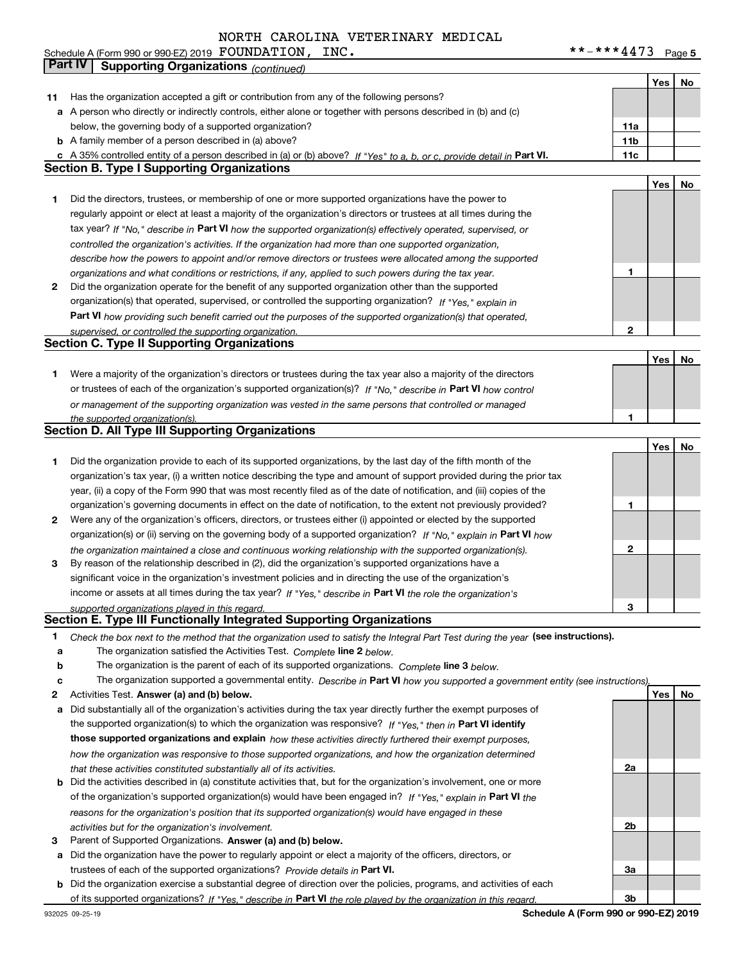|        |                                                                                                                                                                                                        |              | Yes | No |
|--------|--------------------------------------------------------------------------------------------------------------------------------------------------------------------------------------------------------|--------------|-----|----|
| 11     | Has the organization accepted a gift or contribution from any of the following persons?                                                                                                                |              |     |    |
|        | a A person who directly or indirectly controls, either alone or together with persons described in (b) and (c)                                                                                         |              |     |    |
|        | below, the governing body of a supported organization?                                                                                                                                                 | 11a          |     |    |
|        | <b>b</b> A family member of a person described in (a) above?                                                                                                                                           | 11b          |     |    |
|        | c A 35% controlled entity of a person described in (a) or (b) above? If "Yes" to a, b, or c, provide detail in Part VI.                                                                                | 11c          |     |    |
|        | <b>Section B. Type I Supporting Organizations</b>                                                                                                                                                      |              |     |    |
|        |                                                                                                                                                                                                        |              | Yes | No |
| 1      | Did the directors, trustees, or membership of one or more supported organizations have the power to                                                                                                    |              |     |    |
|        | regularly appoint or elect at least a majority of the organization's directors or trustees at all times during the                                                                                     |              |     |    |
|        | tax year? If "No," describe in Part VI how the supported organization(s) effectively operated, supervised, or                                                                                          |              |     |    |
|        | controlled the organization's activities. If the organization had more than one supported organization,                                                                                                |              |     |    |
|        | describe how the powers to appoint and/or remove directors or trustees were allocated among the supported                                                                                              |              |     |    |
|        | organizations and what conditions or restrictions, if any, applied to such powers during the tax year.                                                                                                 | 1            |     |    |
| 2      | Did the organization operate for the benefit of any supported organization other than the supported                                                                                                    |              |     |    |
|        | organization(s) that operated, supervised, or controlled the supporting organization? If "Yes," explain in                                                                                             |              |     |    |
|        | Part VI how providing such benefit carried out the purposes of the supported organization(s) that operated,                                                                                            |              |     |    |
|        | supervised, or controlled the supporting organization.                                                                                                                                                 | $\mathbf{2}$ |     |    |
|        | <b>Section C. Type II Supporting Organizations</b>                                                                                                                                                     |              |     |    |
|        |                                                                                                                                                                                                        |              | Yes | No |
| 1      | Were a majority of the organization's directors or trustees during the tax year also a majority of the directors                                                                                       |              |     |    |
|        | or trustees of each of the organization's supported organization(s)? If "No," describe in Part VI how control                                                                                          |              |     |    |
|        | or management of the supporting organization was vested in the same persons that controlled or managed                                                                                                 |              |     |    |
|        | the supported organization(s).                                                                                                                                                                         | 1            |     |    |
|        | Section D. All Type III Supporting Organizations                                                                                                                                                       |              |     |    |
|        |                                                                                                                                                                                                        |              | Yes | No |
| 1      | Did the organization provide to each of its supported organizations, by the last day of the fifth month of the                                                                                         |              |     |    |
|        | organization's tax year, (i) a written notice describing the type and amount of support provided during the prior tax                                                                                  |              |     |    |
|        | year, (ii) a copy of the Form 990 that was most recently filed as of the date of notification, and (iii) copies of the                                                                                 |              |     |    |
|        | organization's governing documents in effect on the date of notification, to the extent not previously provided?                                                                                       | 1            |     |    |
| 2      | Were any of the organization's officers, directors, or trustees either (i) appointed or elected by the supported                                                                                       |              |     |    |
|        | organization(s) or (ii) serving on the governing body of a supported organization? If "No," explain in Part VI how                                                                                     |              |     |    |
|        | the organization maintained a close and continuous working relationship with the supported organization(s).                                                                                            | 2            |     |    |
| 3      | By reason of the relationship described in (2), did the organization's supported organizations have a                                                                                                  |              |     |    |
|        | significant voice in the organization's investment policies and in directing the use of the organization's                                                                                             |              |     |    |
|        | income or assets at all times during the tax year? If "Yes," describe in Part VI the role the organization's                                                                                           |              |     |    |
|        | supported organizations played in this regard.<br>Section E. Type III Functionally Integrated Supporting Organizations                                                                                 | з            |     |    |
|        |                                                                                                                                                                                                        |              |     |    |
| 1      | Check the box next to the method that the organization used to satisfy the Integral Part Test during the year (see instructions).                                                                      |              |     |    |
| а      | The organization satisfied the Activities Test. Complete line 2 below.<br>The organization is the parent of each of its supported organizations. Complete line 3 below.                                |              |     |    |
| b<br>с |                                                                                                                                                                                                        |              |     |    |
|        | The organization supported a governmental entity. Describe in Part VI how you supported a government entity (see instructions)<br>Activities Test. Answer (a) and (b) below.                           |              | Yes | No |
| 2<br>a | Did substantially all of the organization's activities during the tax year directly further the exempt purposes of                                                                                     |              |     |    |
|        |                                                                                                                                                                                                        |              |     |    |
|        | the supported organization(s) to which the organization was responsive? If "Yes," then in Part VI identify                                                                                             |              |     |    |
|        | those supported organizations and explain how these activities directly furthered their exempt purposes,                                                                                               |              |     |    |
|        | how the organization was responsive to those supported organizations, and how the organization determined                                                                                              | 2a           |     |    |
|        | that these activities constituted substantially all of its activities.<br><b>b</b> Did the activities described in (a) constitute activities that, but for the organization's involvement, one or more |              |     |    |
|        |                                                                                                                                                                                                        |              |     |    |
|        | of the organization's supported organization(s) would have been engaged in? If "Yes," explain in Part VI the                                                                                           |              |     |    |
|        | reasons for the organization's position that its supported organization(s) would have engaged in these                                                                                                 |              |     |    |
|        | activities but for the organization's involvement.                                                                                                                                                     | 2b           |     |    |

- **3** Parent of Supported Organizations. Answer (a) and (b) below. Parent of Supported Organizations.
- **a** Did the organization have the power to regularly appoint or elect a majority of the officers, directors, or trustees of each of the supported organizations? *Provide details in* Part VI.
- **b** Did the organization exercise a substantial degree of direction over the policies, programs, and activities of each **Part VI**  *If "Yes," describe in the role played by the organization in this regard.* of its supported organizations?

**Schedule A (Form 990 or 990-EZ) 2019**

**3a**

**3b**

**Part IV Supporting Organizations** *(continued)*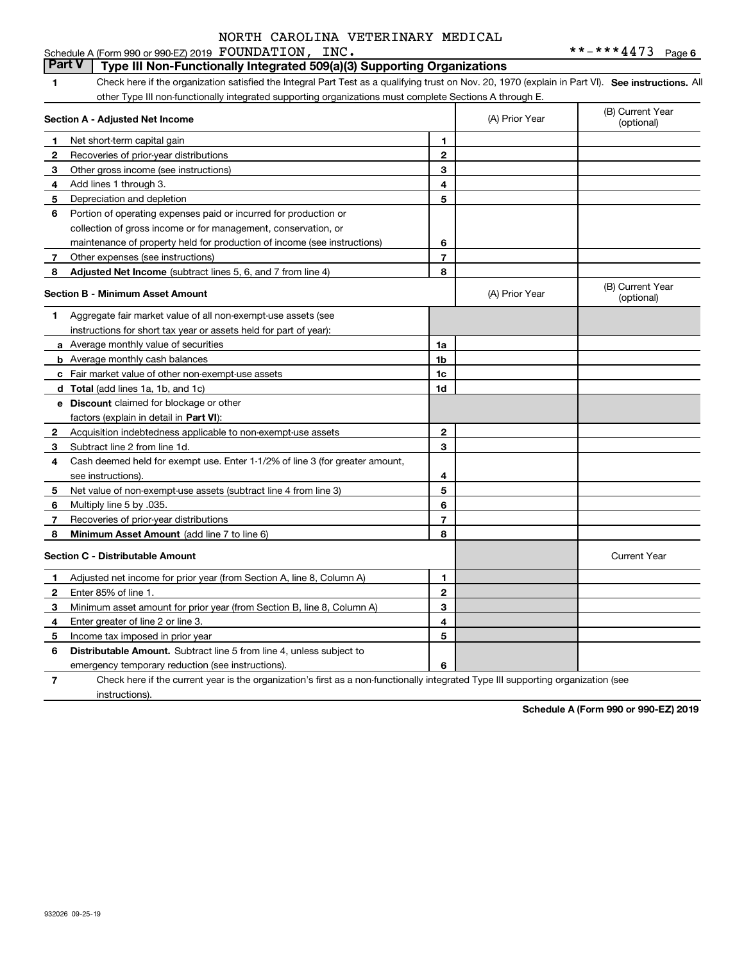#### **1**1 Check here if the organization satisfied the Integral Part Test as a qualifying trust on Nov. 20, 1970 (explain in Part VI). See instructions. All **Section A - Adjusted Net Income 123** Other gross income (see instructions) **4**Add lines 1 through 3. **56** Portion of operating expenses paid or incurred for production or **78** Adjusted Net Income (subtract lines 5, 6, and 7 from line 4) **8 8 1234567Section B - Minimum Asset Amount 1**Aggregate fair market value of all non-exempt-use assets (see **2**Acquisition indebtedness applicable to non-exempt-use assets **3** Subtract line 2 from line 1d. **4**Cash deemed held for exempt use. Enter 1-1/2% of line 3 (for greater amount, **5** Net value of non-exempt-use assets (subtract line 4 from line 3) **678a** Average monthly value of securities **b** Average monthly cash balances **c**Fair market value of other non-exempt-use assets **dTotal**  (add lines 1a, 1b, and 1c) **eDiscount** claimed for blockage or other **1a1b1c1d2345678**factors (explain in detail in **Part VI**): **Minimum Asset Amount**  (add line 7 to line 6) **Section C - Distributable Amount 123456123456Distributable Amount.** Subtract line 5 from line 4, unless subject to other Type III non-functionally integrated supporting organizations must complete Sections A through E. (B) Current Year (optional)(A) Prior Year Net short-term capital gain Recoveries of prior-year distributions Depreciation and depletion collection of gross income or for management, conservation, or maintenance of property held for production of income (see instructions) Other expenses (see instructions) (B) Current Year (optional)(A) Prior Year instructions for short tax year or assets held for part of year): see instructions). Multiply line 5 by .035. Recoveries of prior-year distributions Current Year Adjusted net income for prior year (from Section A, line 8, Column A) Enter 85% of line 1. Minimum asset amount for prior year (from Section B, line 8, Column A) Enter greater of line 2 or line 3. Income tax imposed in prior year emergency temporary reduction (see instructions). **Part V** Type III Non-Functionally Integrated 509(a)(3) Supporting Organizations

**7**Check here if the current year is the organization's first as a non-functionally integrated Type III supporting organization (see instructions).

**Schedule A (Form 990 or 990-EZ) 2019**

932026 09-25-19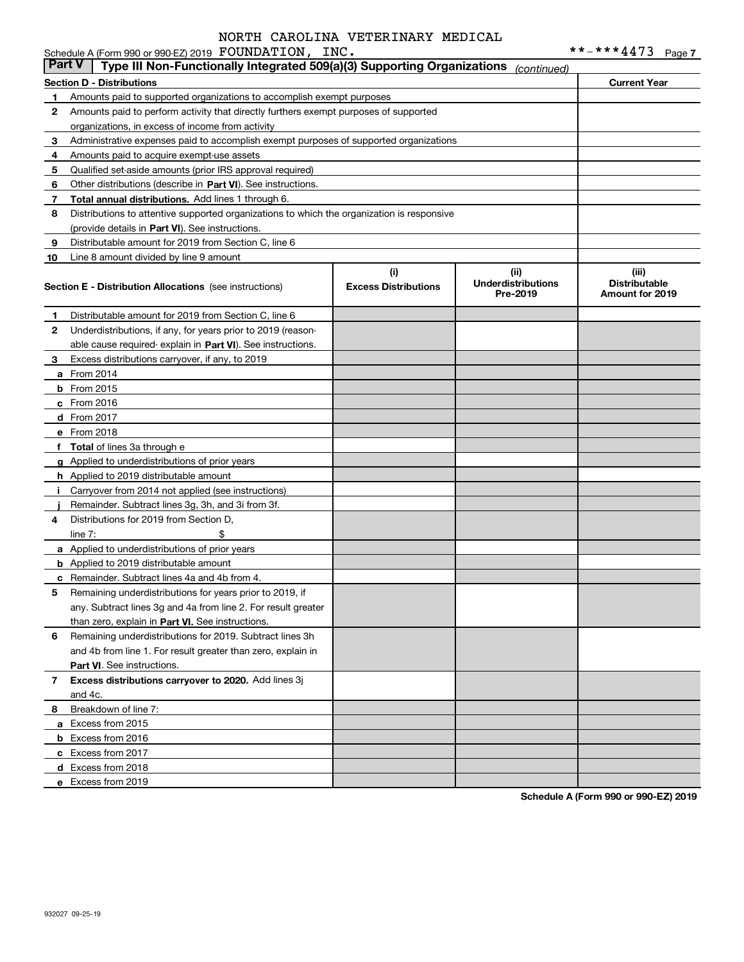|        | Schedule A (Form 990 or 990-EZ) 2019 FOUNDATION, INC.                                      |                                    |                                               | **-***4473                                       | Page 7 |
|--------|--------------------------------------------------------------------------------------------|------------------------------------|-----------------------------------------------|--------------------------------------------------|--------|
| Part V | Type III Non-Functionally Integrated 509(a)(3) Supporting Organizations                    |                                    | (continued)                                   |                                                  |        |
|        | <b>Section D - Distributions</b>                                                           |                                    |                                               | <b>Current Year</b>                              |        |
| 1      | Amounts paid to supported organizations to accomplish exempt purposes                      |                                    |                                               |                                                  |        |
| 2      | Amounts paid to perform activity that directly furthers exempt purposes of supported       |                                    |                                               |                                                  |        |
|        | organizations, in excess of income from activity                                           |                                    |                                               |                                                  |        |
| 3      | Administrative expenses paid to accomplish exempt purposes of supported organizations      |                                    |                                               |                                                  |        |
| 4      | Amounts paid to acquire exempt-use assets                                                  |                                    |                                               |                                                  |        |
| 5      | Qualified set-aside amounts (prior IRS approval required)                                  |                                    |                                               |                                                  |        |
| 6      | Other distributions (describe in Part VI). See instructions.                               |                                    |                                               |                                                  |        |
| 7      | Total annual distributions. Add lines 1 through 6.                                         |                                    |                                               |                                                  |        |
| 8      | Distributions to attentive supported organizations to which the organization is responsive |                                    |                                               |                                                  |        |
|        | (provide details in Part VI). See instructions.                                            |                                    |                                               |                                                  |        |
| 9      | Distributable amount for 2019 from Section C, line 6                                       |                                    |                                               |                                                  |        |
| 10     | Line 8 amount divided by line 9 amount                                                     |                                    |                                               |                                                  |        |
|        | <b>Section E - Distribution Allocations</b> (see instructions)                             | (i)<br><b>Excess Distributions</b> | (ii)<br><b>Underdistributions</b><br>Pre-2019 | (iii)<br><b>Distributable</b><br>Amount for 2019 |        |
| 1      | Distributable amount for 2019 from Section C, line 6                                       |                                    |                                               |                                                  |        |
| 2      | Underdistributions, if any, for years prior to 2019 (reason-                               |                                    |                                               |                                                  |        |
|        | able cause required- explain in Part VI). See instructions.                                |                                    |                                               |                                                  |        |
| 3      | Excess distributions carryover, if any, to 2019                                            |                                    |                                               |                                                  |        |
|        | <b>a</b> From 2014                                                                         |                                    |                                               |                                                  |        |
|        | $b$ From 2015                                                                              |                                    |                                               |                                                  |        |
|        | $c$ From 2016                                                                              |                                    |                                               |                                                  |        |
|        | d From 2017                                                                                |                                    |                                               |                                                  |        |
|        | e From 2018                                                                                |                                    |                                               |                                                  |        |
|        | f Total of lines 3a through e                                                              |                                    |                                               |                                                  |        |
|        | g Applied to underdistributions of prior years                                             |                                    |                                               |                                                  |        |
|        | <b>h</b> Applied to 2019 distributable amount                                              |                                    |                                               |                                                  |        |
|        | Carryover from 2014 not applied (see instructions)                                         |                                    |                                               |                                                  |        |
|        | Remainder. Subtract lines 3g, 3h, and 3i from 3f.                                          |                                    |                                               |                                                  |        |
| 4      | Distributions for 2019 from Section D.                                                     |                                    |                                               |                                                  |        |
|        | \$<br>line $7:$                                                                            |                                    |                                               |                                                  |        |
|        | a Applied to underdistributions of prior years                                             |                                    |                                               |                                                  |        |
|        | <b>b</b> Applied to 2019 distributable amount                                              |                                    |                                               |                                                  |        |
|        | <b>c</b> Remainder. Subtract lines 4a and 4b from 4.                                       |                                    |                                               |                                                  |        |
|        | Remaining underdistributions for years prior to 2019, if                                   |                                    |                                               |                                                  |        |
|        | any. Subtract lines 3g and 4a from line 2. For result greater                              |                                    |                                               |                                                  |        |
|        | than zero, explain in Part VI. See instructions.                                           |                                    |                                               |                                                  |        |
| 6      | Remaining underdistributions for 2019. Subtract lines 3h                                   |                                    |                                               |                                                  |        |
|        | and 4b from line 1. For result greater than zero, explain in                               |                                    |                                               |                                                  |        |
|        | <b>Part VI.</b> See instructions.                                                          |                                    |                                               |                                                  |        |
| 7      | Excess distributions carryover to 2020. Add lines 3j                                       |                                    |                                               |                                                  |        |
|        | and 4c.                                                                                    |                                    |                                               |                                                  |        |
| 8      | Breakdown of line 7:                                                                       |                                    |                                               |                                                  |        |
|        | a Excess from 2015                                                                         |                                    |                                               |                                                  |        |
|        | <b>b</b> Excess from 2016                                                                  |                                    |                                               |                                                  |        |
|        | c Excess from 2017                                                                         |                                    |                                               |                                                  |        |
|        | d Excess from 2018                                                                         |                                    |                                               |                                                  |        |
|        | e Excess from 2019                                                                         |                                    |                                               |                                                  |        |
|        |                                                                                            |                                    |                                               |                                                  |        |

**Schedule A (Form 990 or 990-EZ) 2019**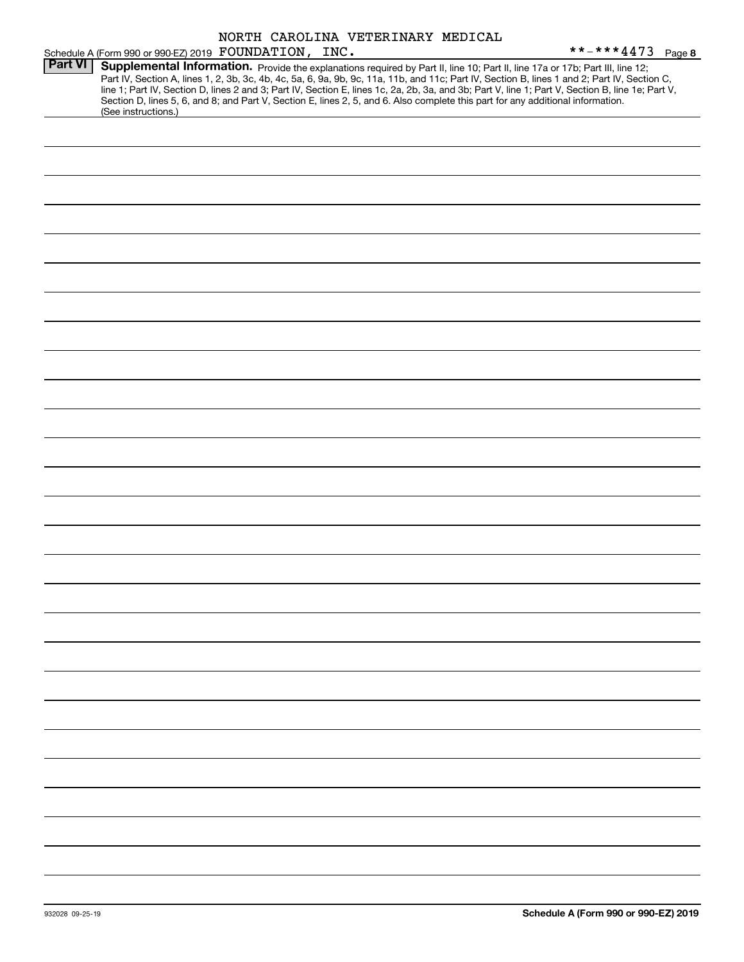|                | NORTH CAROLINA VETERINARY MEDICAL                                                                                                                                                                                                                                                                                                                                                                                                                                                                                                                                                           |                   |
|----------------|---------------------------------------------------------------------------------------------------------------------------------------------------------------------------------------------------------------------------------------------------------------------------------------------------------------------------------------------------------------------------------------------------------------------------------------------------------------------------------------------------------------------------------------------------------------------------------------------|-------------------|
|                | Schedule A (Form 990 or 990-EZ) 2019 FOUNDATION, INC.                                                                                                                                                                                                                                                                                                                                                                                                                                                                                                                                       | **-***4473 Page 8 |
| <b>Part VI</b> | Supplemental Information. Provide the explanations required by Part II, line 10; Part II, line 17a or 17b; Part III, line 12;<br>Part IV, Section A, lines 1, 2, 3b, 3c, 4b, 4c, 5a, 6, 9a, 9b, 9c, 11a, 11b, and 11c; Part IV, Section B, lines 1 and 2; Part IV, Section C,<br>line 1; Part IV, Section D, lines 2 and 3; Part IV, Section E, lines 1c, 2a, 2b, 3a, and 3b; Part V, line 1; Part V, Section B, line 1e; Part V,<br>Section D, lines 5, 6, and 8; and Part V, Section E, lines 2, 5, and 6. Also complete this part for any additional information.<br>(See instructions.) |                   |
|                |                                                                                                                                                                                                                                                                                                                                                                                                                                                                                                                                                                                             |                   |
|                |                                                                                                                                                                                                                                                                                                                                                                                                                                                                                                                                                                                             |                   |
|                |                                                                                                                                                                                                                                                                                                                                                                                                                                                                                                                                                                                             |                   |
|                |                                                                                                                                                                                                                                                                                                                                                                                                                                                                                                                                                                                             |                   |
|                |                                                                                                                                                                                                                                                                                                                                                                                                                                                                                                                                                                                             |                   |
|                |                                                                                                                                                                                                                                                                                                                                                                                                                                                                                                                                                                                             |                   |
|                |                                                                                                                                                                                                                                                                                                                                                                                                                                                                                                                                                                                             |                   |
|                |                                                                                                                                                                                                                                                                                                                                                                                                                                                                                                                                                                                             |                   |
|                |                                                                                                                                                                                                                                                                                                                                                                                                                                                                                                                                                                                             |                   |
|                |                                                                                                                                                                                                                                                                                                                                                                                                                                                                                                                                                                                             |                   |
|                |                                                                                                                                                                                                                                                                                                                                                                                                                                                                                                                                                                                             |                   |
|                |                                                                                                                                                                                                                                                                                                                                                                                                                                                                                                                                                                                             |                   |
|                |                                                                                                                                                                                                                                                                                                                                                                                                                                                                                                                                                                                             |                   |
|                |                                                                                                                                                                                                                                                                                                                                                                                                                                                                                                                                                                                             |                   |
|                |                                                                                                                                                                                                                                                                                                                                                                                                                                                                                                                                                                                             |                   |
|                |                                                                                                                                                                                                                                                                                                                                                                                                                                                                                                                                                                                             |                   |
|                |                                                                                                                                                                                                                                                                                                                                                                                                                                                                                                                                                                                             |                   |
|                |                                                                                                                                                                                                                                                                                                                                                                                                                                                                                                                                                                                             |                   |
|                |                                                                                                                                                                                                                                                                                                                                                                                                                                                                                                                                                                                             |                   |
|                |                                                                                                                                                                                                                                                                                                                                                                                                                                                                                                                                                                                             |                   |
|                |                                                                                                                                                                                                                                                                                                                                                                                                                                                                                                                                                                                             |                   |
|                |                                                                                                                                                                                                                                                                                                                                                                                                                                                                                                                                                                                             |                   |
|                |                                                                                                                                                                                                                                                                                                                                                                                                                                                                                                                                                                                             |                   |
|                |                                                                                                                                                                                                                                                                                                                                                                                                                                                                                                                                                                                             |                   |
|                |                                                                                                                                                                                                                                                                                                                                                                                                                                                                                                                                                                                             |                   |
|                |                                                                                                                                                                                                                                                                                                                                                                                                                                                                                                                                                                                             |                   |
|                |                                                                                                                                                                                                                                                                                                                                                                                                                                                                                                                                                                                             |                   |
|                |                                                                                                                                                                                                                                                                                                                                                                                                                                                                                                                                                                                             |                   |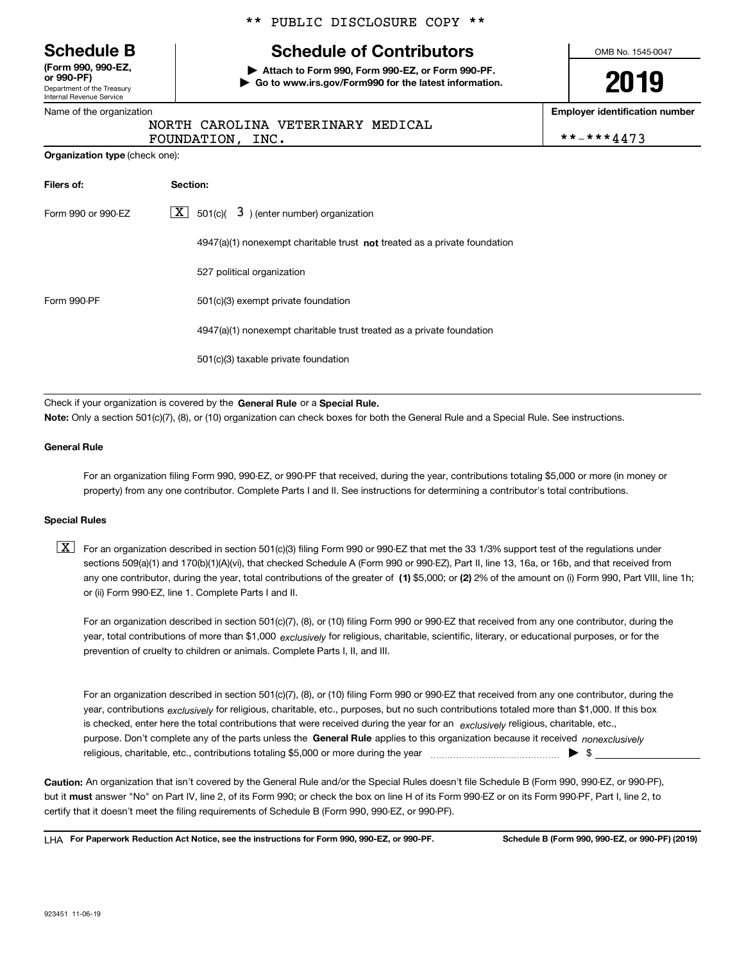Department of the Treasury Internal Revenue Service **(Form 990, 990-EZ, or 990-PF)**

Name of the organization

**Organization type** (check one):

#### \*\* PUBLIC DISCLOSURE COPY \*\*

## **Schedule B Schedule of Contributors**

**| Attach to Form 990, Form 990-EZ, or Form 990-PF. | Go to www.irs.gov/Form990 for the latest information.** OMB No. 1545-0047

**2019**

**Employer identification number**

|                  | NORTH CAROLINA VETERINARY MEDICAL |            |
|------------------|-----------------------------------|------------|
| FOUNDATION, INC. |                                   | **-***4473 |

| Filers of:                                                                       | Section:                                                                           |  |  |  |
|----------------------------------------------------------------------------------|------------------------------------------------------------------------------------|--|--|--|
| $\lfloor x \rfloor$ 501(c)( 3) (enter number) organization<br>Form 990 or 990-EZ |                                                                                    |  |  |  |
|                                                                                  | $4947(a)(1)$ nonexempt charitable trust <b>not</b> treated as a private foundation |  |  |  |
|                                                                                  | 527 political organization                                                         |  |  |  |
| Form 990-PF                                                                      | 501(c)(3) exempt private foundation                                                |  |  |  |
|                                                                                  | 4947(a)(1) nonexempt charitable trust treated as a private foundation              |  |  |  |
|                                                                                  | 501(c)(3) taxable private foundation                                               |  |  |  |

Check if your organization is covered by the **General Rule** or a **Special Rule.**<br>Nota: Only a section 501(c)(7), (8), or (10) erganization can chock boxes for be **Note:**  Only a section 501(c)(7), (8), or (10) organization can check boxes for both the General Rule and a Special Rule. See instructions.

#### **General Rule**

For an organization filing Form 990, 990-EZ, or 990-PF that received, during the year, contributions totaling \$5,000 or more (in money or property) from any one contributor. Complete Parts I and II. See instructions for determining a contributor's total contributions.

#### **Special Rules**

any one contributor, during the year, total contributions of the greater of  $\,$  (1) \$5,000; or **(2)** 2% of the amount on (i) Form 990, Part VIII, line 1h;  $\boxed{\textbf{X}}$  For an organization described in section 501(c)(3) filing Form 990 or 990-EZ that met the 33 1/3% support test of the regulations under sections 509(a)(1) and 170(b)(1)(A)(vi), that checked Schedule A (Form 990 or 990-EZ), Part II, line 13, 16a, or 16b, and that received from or (ii) Form 990-EZ, line 1. Complete Parts I and II.

year, total contributions of more than \$1,000 *exclusively* for religious, charitable, scientific, literary, or educational purposes, or for the For an organization described in section 501(c)(7), (8), or (10) filing Form 990 or 990-EZ that received from any one contributor, during the prevention of cruelty to children or animals. Complete Parts I, II, and III.

purpose. Don't complete any of the parts unless the **General Rule** applies to this organization because it received *nonexclusively* year, contributions <sub>exclusively</sub> for religious, charitable, etc., purposes, but no such contributions totaled more than \$1,000. If this box is checked, enter here the total contributions that were received during the year for an  $\;$ exclusively religious, charitable, etc., For an organization described in section 501(c)(7), (8), or (10) filing Form 990 or 990-EZ that received from any one contributor, during the religious, charitable, etc., contributions totaling \$5,000 or more during the year  $\Box$ — $\Box$   $\Box$ 

**Caution:**  An organization that isn't covered by the General Rule and/or the Special Rules doesn't file Schedule B (Form 990, 990-EZ, or 990-PF), but it **must** answer "No" on Part IV, line 2, of its Form 990; or check the box on line H of its Form 990-EZ or on its Form 990-PF, Part I, line 2, to<br>cortify that it doesn't meet the filipe requirements of Schodule B (Fer certify that it doesn't meet the filing requirements of Schedule B (Form 990, 990-EZ, or 990-PF).

**For Paperwork Reduction Act Notice, see the instructions for Form 990, 990-EZ, or 990-PF. Schedule B (Form 990, 990-EZ, or 990-PF) (2019)** LHA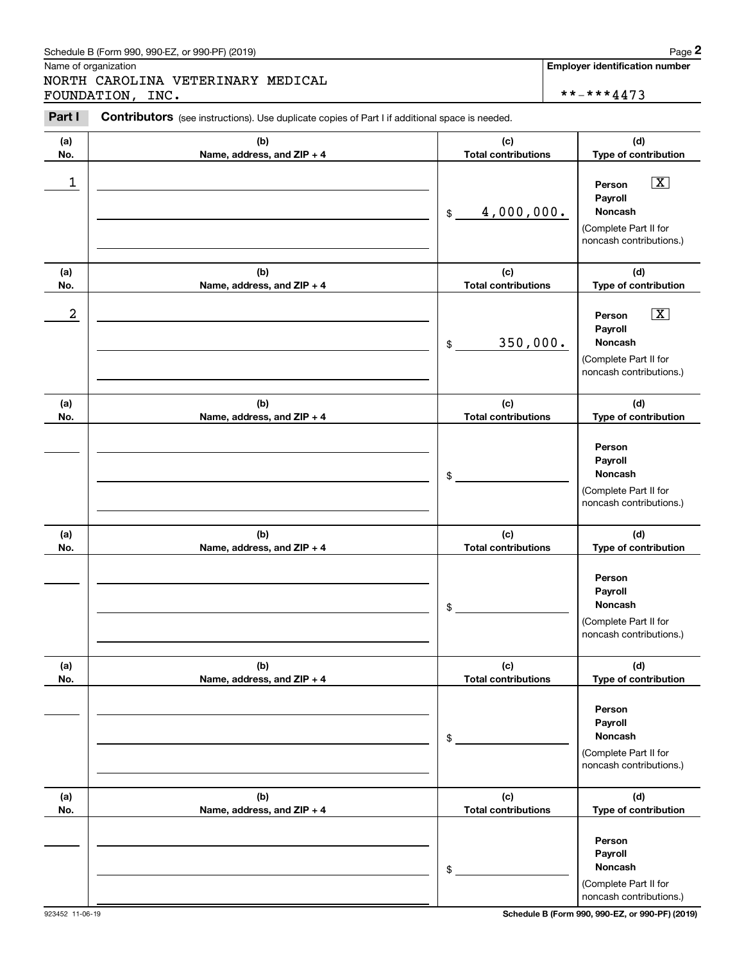#### Schedule B (Form 990, 990-EZ, or 990-PF) (2019) **Page 2** and the state of the state of the state of the state of the state of the state of the state of the state of the state of the state of the state of the state of the s

Name of organization

NORTH CAROLINA VETERINARY MEDICAL FOUNDATION, INC.  $\vert$  \*\*-\*\*\*4473

**Employer identification number**

**(a)No.(b)Name, address, and ZIP + 4 (c)Total contributions (d)Type of contribution PersonPayrollNoncash(a)No.(b)Name, address, and ZIP + 4 (c)Total contributions (d)Type of contribution PersonPayrollNoncash(a)No.(b)Name, address, and ZIP + 4 (c)Total contributions (d)Type of contribution PersonPayrollNoncash(a) No.(b)Name, address, and ZIP + 4 (c) Total contributions (d) Type of contribution PersonPayrollNoncash(a) No.(b)Name, address, and ZIP + 4 (c) Total contributions (d) Type of contribution Person PayrollNoncash(a) No.(b)Name, address, and ZIP + 4 (c) Total contributions (d)Type of contribution PersonPayrollNoncashContributors** (see instructions). Use duplicate copies of Part I if additional space is needed. \$(Complete Part II for noncash contributions.) \$(Complete Part II for noncash contributions.) \$(Complete Part II for noncash contributions.) \$(Complete Part II for noncash contributions.) \$(Complete Part II for noncash contributions.) \$(Complete Part II for noncash contributions.) Chedule B (Form 990, 990-EZ, or 990-PF) (2019)<br>
Iame of organization<br> **IORTH CAROLINA VETERINARY MEDICAL**<br> **Part I Contributors** (see instructions). Use duplicate copies of Part I if additional space is needed.<br> **Part I**  $\boxed{\mathbf{X}}$  $\boxed{\mathbf{X}}$  $\begin{array}{c|c|c|c|c|c} 1 & \hspace{1.5cm} & \hspace{1.5cm} & \hspace{1.5cm} & \hspace{1.5cm} & \hspace{1.5cm} & \hspace{1.5cm} & \hspace{1.5cm} & \hspace{1.5cm} & \hspace{1.5cm} & \hspace{1.5cm} & \hspace{1.5cm} & \hspace{1.5cm} & \hspace{1.5cm} & \hspace{1.5cm} & \hspace{1.5cm} & \hspace{1.5cm} & \hspace{1.5cm} & \hspace{1.5cm} & \hspace{1.5cm} & \hspace{1.5cm} &$ 4,000,000.  $2$  | Person  $\overline{\text{X}}$ 350,000.

923452 11-06-19 **Schedule B (Form 990, 990-EZ, or 990-PF) (2019)**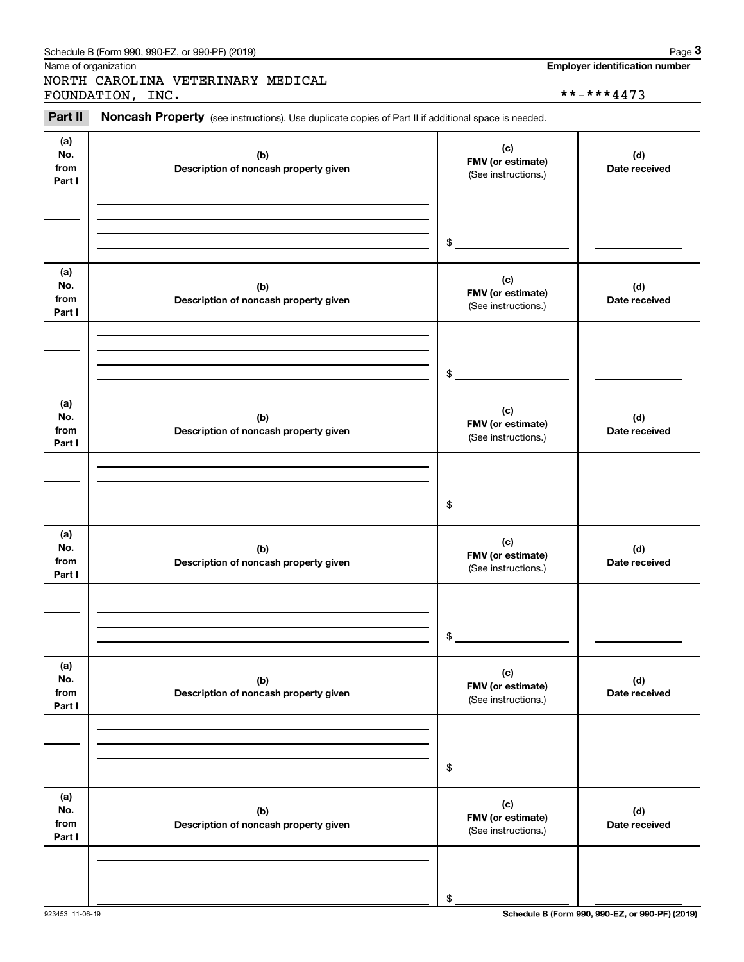| Schedule B (Form 990, 990-EZ, or 990-PF) (2019) | Page |
|-------------------------------------------------|------|
|-------------------------------------------------|------|

Name of organization

NORTH CAROLINA VETERINARY MEDICAL FOUNDATION, INC.  $\qquad \qquad \qquad \qquad$  \*\*-\*\*\*4473

**Employer identification number**

#### **(a)No.fromPart I (c) FMV (or estimate) (b) Description of noncash property given (d) Date received (a)No.fromPart I (c) FMV (or estimate) (b) Description of noncash property given (d) Date received (a)No.fromPart I (c)FMV (or estimate) (b) Description of noncash property given (d) Date received (a) No.fromPart I (c) FMV (or estimate) (b)Description of noncash property given (d)Date received (a) No.fromPart I (c) FMV (or estimate) (b) Description of noncash property given (d) Date received (a) No.fromPart I (c)FMV (or estimate) (b)Description of noncash property given (d)Date received** (see instructions). Use duplicate copies of Part II if additional space is needed. (See instructions.) \$(See instructions.) \$(See instructions.) \$(See instructions.) \$(See instructions.) \$(See instructions.) \$Expedialle B (Form 990, 990-EZ, or 990-PF) (2019)<br>
Iame of organization<br> **IORTH CAROLINA VETERINARY MEDICAL**<br> **3Part II Noncash Property** (see instructions). Use duplicate copies of Part II if additional space is needed.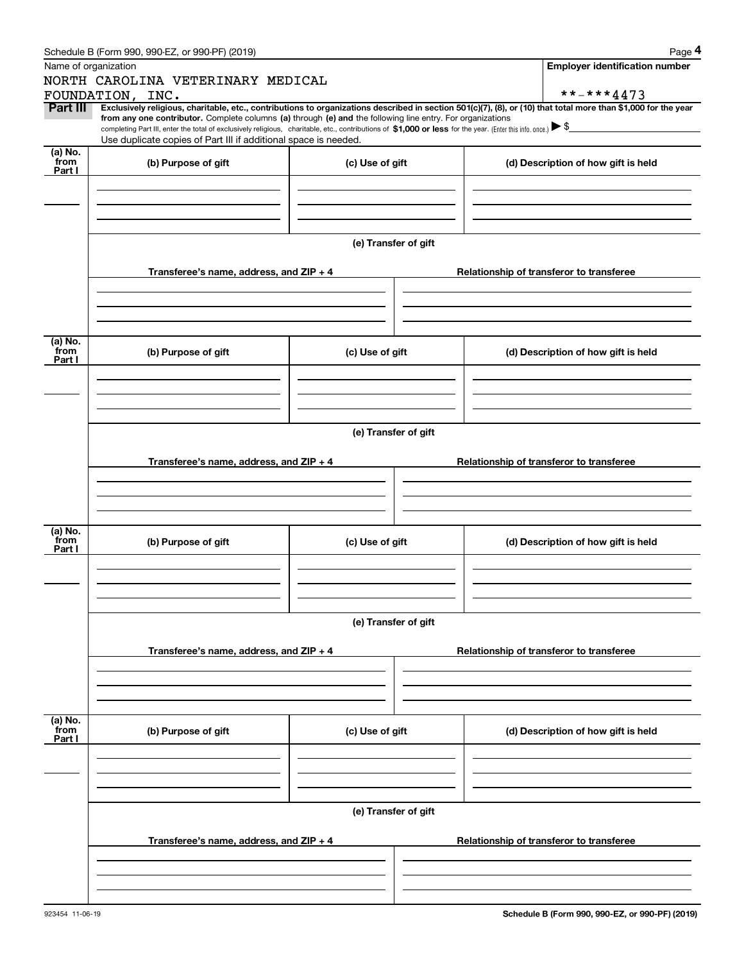|                                     | Schedule B (Form 990, 990-EZ, or 990-PF) (2019)                                                                                                                                   |                      | Page 4                                                                                                                                                         |  |  |  |
|-------------------------------------|-----------------------------------------------------------------------------------------------------------------------------------------------------------------------------------|----------------------|----------------------------------------------------------------------------------------------------------------------------------------------------------------|--|--|--|
|                                     | Name of organization                                                                                                                                                              |                      | <b>Employer identification number</b>                                                                                                                          |  |  |  |
|                                     | NORTH CAROLINA VETERINARY MEDICAL                                                                                                                                                 |                      |                                                                                                                                                                |  |  |  |
|                                     | FOUNDATION, INC.                                                                                                                                                                  |                      | **-***4473                                                                                                                                                     |  |  |  |
| Part III                            | from any one contributor. Complete columns (a) through (e) and the following line entry. For organizations                                                                        |                      | Exclusively religious, charitable, etc., contributions to organizations described in section 501(c)(7), (8), or (10) that total more than \$1,000 for the year |  |  |  |
|                                     | completing Part III, enter the total of exclusively religious, charitable, etc., contributions of \$1,000 or less for the year. (Enter this info. once.) $\blacktriangleright$ \$ |                      |                                                                                                                                                                |  |  |  |
|                                     | Use duplicate copies of Part III if additional space is needed.                                                                                                                   |                      |                                                                                                                                                                |  |  |  |
| (a) No.<br>from                     | (b) Purpose of gift                                                                                                                                                               | (c) Use of gift      | (d) Description of how gift is held                                                                                                                            |  |  |  |
| Part I                              |                                                                                                                                                                                   |                      |                                                                                                                                                                |  |  |  |
|                                     |                                                                                                                                                                                   |                      |                                                                                                                                                                |  |  |  |
|                                     |                                                                                                                                                                                   |                      |                                                                                                                                                                |  |  |  |
|                                     |                                                                                                                                                                                   |                      |                                                                                                                                                                |  |  |  |
|                                     |                                                                                                                                                                                   | (e) Transfer of gift |                                                                                                                                                                |  |  |  |
|                                     |                                                                                                                                                                                   |                      |                                                                                                                                                                |  |  |  |
|                                     | Transferee's name, address, and $ZIP + 4$                                                                                                                                         |                      | Relationship of transferor to transferee                                                                                                                       |  |  |  |
|                                     |                                                                                                                                                                                   |                      |                                                                                                                                                                |  |  |  |
|                                     |                                                                                                                                                                                   |                      |                                                                                                                                                                |  |  |  |
|                                     |                                                                                                                                                                                   |                      |                                                                                                                                                                |  |  |  |
|                                     |                                                                                                                                                                                   |                      |                                                                                                                                                                |  |  |  |
| (a) No.<br>from                     | (b) Purpose of gift                                                                                                                                                               | (c) Use of gift      | (d) Description of how gift is held                                                                                                                            |  |  |  |
| Part I                              |                                                                                                                                                                                   |                      |                                                                                                                                                                |  |  |  |
|                                     |                                                                                                                                                                                   |                      |                                                                                                                                                                |  |  |  |
|                                     |                                                                                                                                                                                   |                      |                                                                                                                                                                |  |  |  |
|                                     |                                                                                                                                                                                   |                      |                                                                                                                                                                |  |  |  |
|                                     | (e) Transfer of gift                                                                                                                                                              |                      |                                                                                                                                                                |  |  |  |
|                                     |                                                                                                                                                                                   |                      |                                                                                                                                                                |  |  |  |
|                                     | Transferee's name, address, and $ZIP + 4$                                                                                                                                         |                      | Relationship of transferor to transferee                                                                                                                       |  |  |  |
|                                     |                                                                                                                                                                                   |                      |                                                                                                                                                                |  |  |  |
|                                     |                                                                                                                                                                                   |                      |                                                                                                                                                                |  |  |  |
|                                     |                                                                                                                                                                                   |                      |                                                                                                                                                                |  |  |  |
| (a) $\overline{\text{No.}}$<br>from |                                                                                                                                                                                   |                      |                                                                                                                                                                |  |  |  |
| Part I                              | (b) Purpose of gift                                                                                                                                                               | (c) Use of gift      | (d) Description of how gift is held                                                                                                                            |  |  |  |
|                                     |                                                                                                                                                                                   |                      |                                                                                                                                                                |  |  |  |
|                                     |                                                                                                                                                                                   |                      |                                                                                                                                                                |  |  |  |
|                                     |                                                                                                                                                                                   |                      |                                                                                                                                                                |  |  |  |
|                                     |                                                                                                                                                                                   | (e) Transfer of gift |                                                                                                                                                                |  |  |  |
|                                     |                                                                                                                                                                                   |                      |                                                                                                                                                                |  |  |  |
|                                     | Transferee's name, address, and $ZIP + 4$                                                                                                                                         |                      | Relationship of transferor to transferee                                                                                                                       |  |  |  |
|                                     |                                                                                                                                                                                   |                      |                                                                                                                                                                |  |  |  |
|                                     |                                                                                                                                                                                   |                      |                                                                                                                                                                |  |  |  |
|                                     |                                                                                                                                                                                   |                      |                                                                                                                                                                |  |  |  |
|                                     |                                                                                                                                                                                   |                      |                                                                                                                                                                |  |  |  |
| (a) No.<br>from                     | (b) Purpose of gift                                                                                                                                                               | (c) Use of gift      | (d) Description of how gift is held                                                                                                                            |  |  |  |
| Part I                              |                                                                                                                                                                                   |                      |                                                                                                                                                                |  |  |  |
|                                     |                                                                                                                                                                                   |                      |                                                                                                                                                                |  |  |  |
|                                     |                                                                                                                                                                                   |                      |                                                                                                                                                                |  |  |  |
|                                     |                                                                                                                                                                                   |                      |                                                                                                                                                                |  |  |  |
|                                     |                                                                                                                                                                                   | (e) Transfer of gift |                                                                                                                                                                |  |  |  |
|                                     |                                                                                                                                                                                   |                      |                                                                                                                                                                |  |  |  |
|                                     | Transferee's name, address, and ZIP + 4                                                                                                                                           |                      | Relationship of transferor to transferee                                                                                                                       |  |  |  |
|                                     |                                                                                                                                                                                   |                      |                                                                                                                                                                |  |  |  |
|                                     |                                                                                                                                                                                   |                      |                                                                                                                                                                |  |  |  |
|                                     |                                                                                                                                                                                   |                      |                                                                                                                                                                |  |  |  |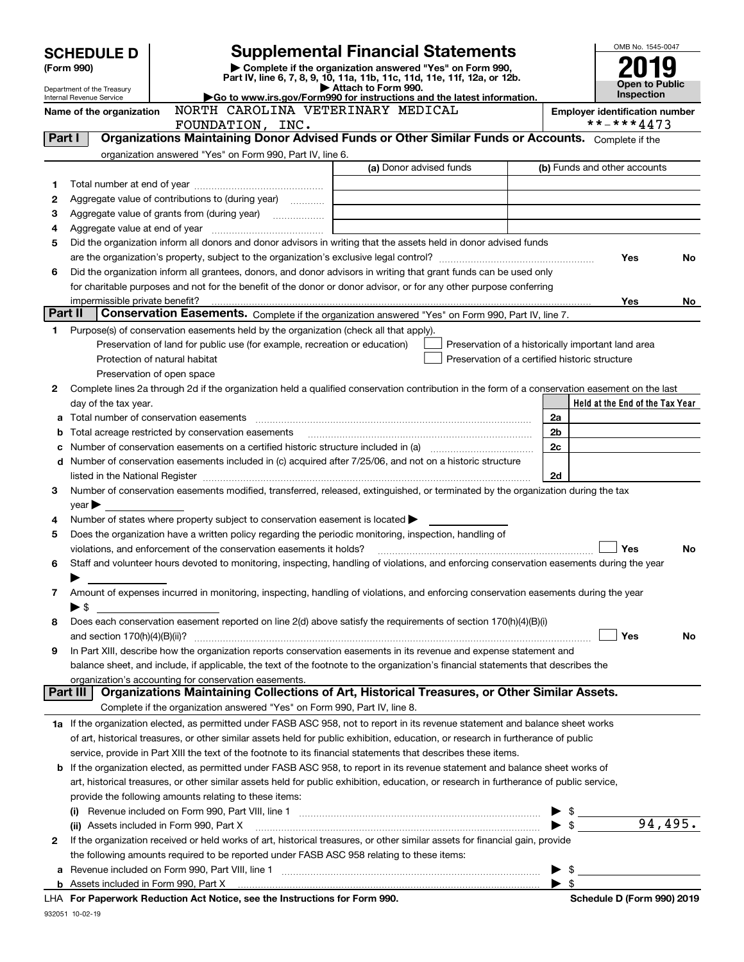| <b>SCHEDULE D</b> |                                                                                                                    |                                                                                                                                                                                                             | <b>Supplemental Financial Statements</b>                 |  |                         | OMB No. 1545-0047                     |                |
|-------------------|--------------------------------------------------------------------------------------------------------------------|-------------------------------------------------------------------------------------------------------------------------------------------------------------------------------------------------------------|----------------------------------------------------------|--|-------------------------|---------------------------------------|----------------|
| (Form 990)        |                                                                                                                    |                                                                                                                                                                                                             | Complete if the organization answered "Yes" on Form 990, |  |                         |                                       |                |
|                   | Department of the Treasury                                                                                         | Part IV, line 6, 7, 8, 9, 10, 11a, 11b, 11c, 11d, 11e, 11f, 12a, or 12b.<br>Attach to Form 990.                                                                                                             |                                                          |  |                         |                                       | Open to Public |
|                   | Internal Revenue Service                                                                                           | Go to www.irs.gov/Form990 for instructions and the latest information.                                                                                                                                      |                                                          |  |                         |                                       |                |
|                   | Name of the organization                                                                                           | NORTH CAROLINA VETERINARY MEDICAL                                                                                                                                                                           |                                                          |  |                         | <b>Employer identification number</b> |                |
|                   |                                                                                                                    | FOUNDATION, INC.                                                                                                                                                                                            |                                                          |  |                         | **-***4473                            |                |
| Part I            |                                                                                                                    | Organizations Maintaining Donor Advised Funds or Other Similar Funds or Accounts. Complete if the                                                                                                           |                                                          |  |                         |                                       |                |
|                   |                                                                                                                    | organization answered "Yes" on Form 990, Part IV, line 6.                                                                                                                                                   |                                                          |  |                         |                                       |                |
|                   |                                                                                                                    |                                                                                                                                                                                                             | (a) Donor advised funds                                  |  |                         | (b) Funds and other accounts          |                |
| 1.                |                                                                                                                    |                                                                                                                                                                                                             |                                                          |  |                         |                                       |                |
| 2                 |                                                                                                                    | Aggregate value of contributions to (during year)                                                                                                                                                           |                                                          |  |                         |                                       |                |
| З<br>4            |                                                                                                                    | Aggregate value of grants from (during year)                                                                                                                                                                |                                                          |  |                         |                                       |                |
| 5                 |                                                                                                                    | Did the organization inform all donors and donor advisors in writing that the assets held in donor advised funds                                                                                            |                                                          |  |                         |                                       |                |
|                   |                                                                                                                    |                                                                                                                                                                                                             |                                                          |  |                         | Yes                                   | <b>No</b>      |
| 6                 | Did the organization inform all grantees, donors, and donor advisors in writing that grant funds can be used only  |                                                                                                                                                                                                             |                                                          |  |                         |                                       |                |
|                   | for charitable purposes and not for the benefit of the donor or donor advisor, or for any other purpose conferring |                                                                                                                                                                                                             |                                                          |  |                         |                                       |                |
|                   | impermissible private benefit?                                                                                     |                                                                                                                                                                                                             |                                                          |  |                         | Yes                                   | No.            |
| Part II           |                                                                                                                    | Conservation Easements. Complete if the organization answered "Yes" on Form 990, Part IV, line 7.                                                                                                           |                                                          |  |                         |                                       |                |
| 1.                |                                                                                                                    | Purpose(s) of conservation easements held by the organization (check all that apply).                                                                                                                       |                                                          |  |                         |                                       |                |
|                   |                                                                                                                    | Preservation of land for public use (for example, recreation or education)                                                                                                                                  | Preservation of a historically important land area       |  |                         |                                       |                |
|                   |                                                                                                                    | Protection of natural habitat                                                                                                                                                                               | Preservation of a certified historic structure           |  |                         |                                       |                |
|                   |                                                                                                                    | Preservation of open space                                                                                                                                                                                  |                                                          |  |                         |                                       |                |
| 2                 |                                                                                                                    | Complete lines 2a through 2d if the organization held a qualified conservation contribution in the form of a conservation easement on the last                                                              |                                                          |  |                         |                                       |                |
|                   | day of the tax year.                                                                                               |                                                                                                                                                                                                             |                                                          |  |                         | Held at the End of the Tax Year       |                |
| a                 |                                                                                                                    |                                                                                                                                                                                                             |                                                          |  | 2a                      |                                       |                |
| b                 |                                                                                                                    | Total acreage restricted by conservation easements                                                                                                                                                          |                                                          |  | 2b                      |                                       |                |
| c                 |                                                                                                                    | Number of conservation easements on a certified historic structure included in (a) manufacture included in (a)                                                                                              |                                                          |  | 2c                      |                                       |                |
| d                 |                                                                                                                    | Number of conservation easements included in (c) acquired after 7/25/06, and not on a historic structure                                                                                                    |                                                          |  |                         |                                       |                |
|                   |                                                                                                                    | listed in the National Register [11, 11] The Marian Communication of the National Property of the National Register                                                                                         |                                                          |  | 2d                      |                                       |                |
| 3                 |                                                                                                                    | Number of conservation easements modified, transferred, released, extinguished, or terminated by the organization during the tax                                                                            |                                                          |  |                         |                                       |                |
|                   | $\vee$ ear $\blacktriangleright$                                                                                   |                                                                                                                                                                                                             |                                                          |  |                         |                                       |                |
| 4<br>5            |                                                                                                                    | Number of states where property subject to conservation easement is located $\blacktriangleright$<br>Does the organization have a written policy regarding the periodic monitoring, inspection, handling of |                                                          |  |                         |                                       |                |
|                   |                                                                                                                    | violations, and enforcement of the conservation easements it holds?                                                                                                                                         |                                                          |  |                         | Yes                                   | No             |
| 6                 |                                                                                                                    | Staff and volunteer hours devoted to monitoring, inspecting, handling of violations, and enforcing conservation easements during the year                                                                   |                                                          |  |                         |                                       |                |
|                   |                                                                                                                    |                                                                                                                                                                                                             |                                                          |  |                         |                                       |                |
| 7                 |                                                                                                                    | Amount of expenses incurred in monitoring, inspecting, handling of violations, and enforcing conservation easements during the year                                                                         |                                                          |  |                         |                                       |                |
|                   | $\blacktriangleright$ s                                                                                            |                                                                                                                                                                                                             |                                                          |  |                         |                                       |                |
| 8                 |                                                                                                                    | Does each conservation easement reported on line 2(d) above satisfy the requirements of section 170(h)(4)(B)(i)                                                                                             |                                                          |  |                         |                                       |                |
|                   |                                                                                                                    |                                                                                                                                                                                                             |                                                          |  |                         | Yes                                   | No             |
| 9                 |                                                                                                                    | In Part XIII, describe how the organization reports conservation easements in its revenue and expense statement and                                                                                         |                                                          |  |                         |                                       |                |
|                   |                                                                                                                    | balance sheet, and include, if applicable, the text of the footnote to the organization's financial statements that describes the                                                                           |                                                          |  |                         |                                       |                |
|                   |                                                                                                                    | organization's accounting for conservation easements.                                                                                                                                                       |                                                          |  |                         |                                       |                |
|                   | Part III                                                                                                           | Organizations Maintaining Collections of Art, Historical Treasures, or Other Similar Assets.                                                                                                                |                                                          |  |                         |                                       |                |
|                   |                                                                                                                    | Complete if the organization answered "Yes" on Form 990, Part IV, line 8.                                                                                                                                   |                                                          |  |                         |                                       |                |
|                   |                                                                                                                    | 1a If the organization elected, as permitted under FASB ASC 958, not to report in its revenue statement and balance sheet works                                                                             |                                                          |  |                         |                                       |                |
|                   |                                                                                                                    | of art, historical treasures, or other similar assets held for public exhibition, education, or research in furtherance of public                                                                           |                                                          |  |                         |                                       |                |
|                   |                                                                                                                    | service, provide in Part XIII the text of the footnote to its financial statements that describes these items.                                                                                              |                                                          |  |                         |                                       |                |
|                   |                                                                                                                    | <b>b</b> If the organization elected, as permitted under FASB ASC 958, to report in its revenue statement and balance sheet works of                                                                        |                                                          |  |                         |                                       |                |
|                   |                                                                                                                    | art, historical treasures, or other similar assets held for public exhibition, education, or research in furtherance of public service,                                                                     |                                                          |  |                         |                                       |                |
|                   |                                                                                                                    | provide the following amounts relating to these items:                                                                                                                                                      |                                                          |  |                         |                                       |                |
|                   |                                                                                                                    |                                                                                                                                                                                                             |                                                          |  | \$                      | 94,495.                               |                |
|                   |                                                                                                                    | (ii) Assets included in Form 990, Part X [ [11] Marriet Lines and Marriet Assets included in Form 990, Part X                                                                                               |                                                          |  | $\blacktriangleright$ s |                                       |                |
| 2                 |                                                                                                                    | If the organization received or held works of art, historical treasures, or other similar assets for financial gain, provide                                                                                |                                                          |  |                         |                                       |                |
|                   |                                                                                                                    | the following amounts required to be reported under FASB ASC 958 relating to these items:                                                                                                                   |                                                          |  |                         |                                       |                |
| а                 |                                                                                                                    |                                                                                                                                                                                                             |                                                          |  | \$<br>\$                |                                       |                |
|                   |                                                                                                                    | LHA For Paperwork Reduction Act Notice, see the Instructions for Form 990.                                                                                                                                  |                                                          |  |                         | Schedule D (Form 990) 2019            |                |
|                   |                                                                                                                    |                                                                                                                                                                                                             |                                                          |  |                         |                                       |                |

932051 10-02-19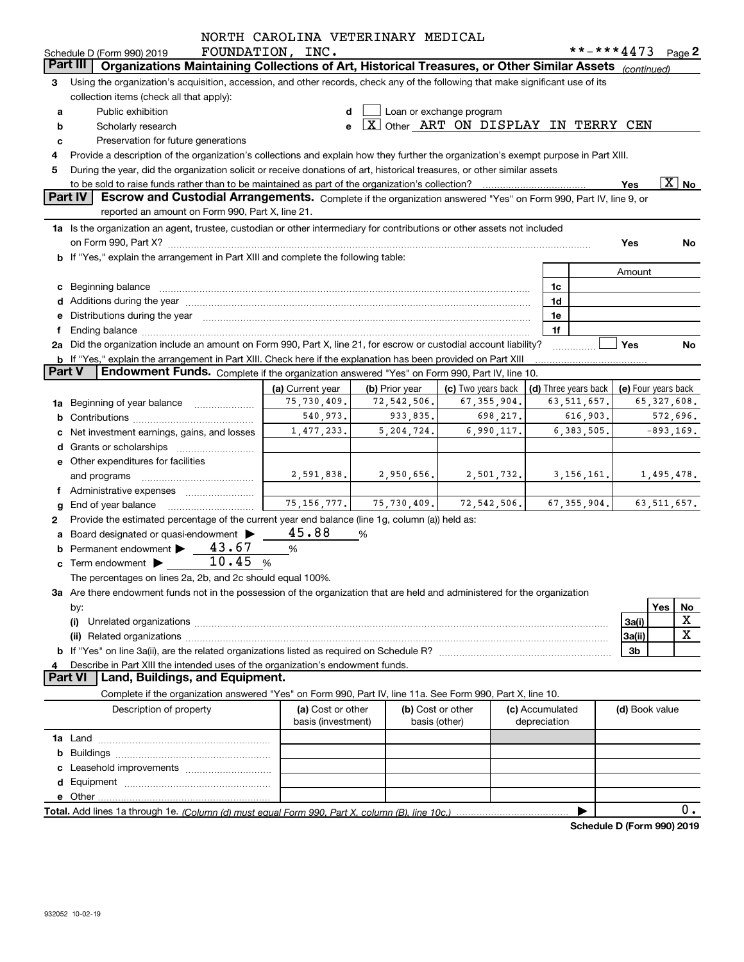|               |                                                                                                                                                                                                                                     | NORTH CAROLINA VETERINARY MEDICAL       |                |                                     |                                 |               |                            |                          |
|---------------|-------------------------------------------------------------------------------------------------------------------------------------------------------------------------------------------------------------------------------------|-----------------------------------------|----------------|-------------------------------------|---------------------------------|---------------|----------------------------|--------------------------|
|               | Schedule D (Form 990) 2019                                                                                                                                                                                                          | FOUNDATION, INC.                        |                |                                     |                                 |               | **-***4473                 | Page $2$                 |
|               | Organizations Maintaining Collections of Art, Historical Treasures, or Other Similar Assets<br>Part III                                                                                                                             |                                         |                |                                     |                                 |               | (continued)                |                          |
| 3             | Using the organization's acquisition, accession, and other records, check any of the following that make significant use of its                                                                                                     |                                         |                |                                     |                                 |               |                            |                          |
|               | collection items (check all that apply):                                                                                                                                                                                            |                                         |                |                                     |                                 |               |                            |                          |
| а             | Public exhibition                                                                                                                                                                                                                   |                                         |                | Loan or exchange program            |                                 |               |                            |                          |
| b             | Scholarly research                                                                                                                                                                                                                  | е                                       |                | X Other ART ON DISPLAY IN TERRY CEN |                                 |               |                            |                          |
| c             | Preservation for future generations                                                                                                                                                                                                 |                                         |                |                                     |                                 |               |                            |                          |
| 4             | Provide a description of the organization's collections and explain how they further the organization's exempt purpose in Part XIII.                                                                                                |                                         |                |                                     |                                 |               |                            |                          |
| 5             | During the year, did the organization solicit or receive donations of art, historical treasures, or other similar assets                                                                                                            |                                         |                |                                     |                                 |               |                            |                          |
|               |                                                                                                                                                                                                                                     |                                         |                |                                     |                                 |               | Yes                        | $\overline{\text{X}}$ No |
|               | <b>Part IV</b><br>Escrow and Custodial Arrangements. Complete if the organization answered "Yes" on Form 990, Part IV, line 9, or                                                                                                   |                                         |                |                                     |                                 |               |                            |                          |
|               | reported an amount on Form 990, Part X, line 21.                                                                                                                                                                                    |                                         |                |                                     |                                 |               |                            |                          |
|               | 1a Is the organization an agent, trustee, custodian or other intermediary for contributions or other assets not included                                                                                                            |                                         |                |                                     |                                 |               |                            |                          |
|               |                                                                                                                                                                                                                                     |                                         |                |                                     |                                 |               | Yes                        | No                       |
|               | b If "Yes," explain the arrangement in Part XIII and complete the following table:                                                                                                                                                  |                                         |                |                                     |                                 |               |                            |                          |
|               |                                                                                                                                                                                                                                     |                                         |                |                                     |                                 |               | Amount                     |                          |
|               | c Beginning balance                                                                                                                                                                                                                 |                                         |                |                                     | 1c                              |               |                            |                          |
|               |                                                                                                                                                                                                                                     |                                         |                |                                     | 1d                              |               |                            |                          |
|               | e Distributions during the year manufactured and continuum control of the control of the control of the state of the control of the control of the control of the control of the control of the control of the control of the       |                                         |                |                                     | 1e                              |               |                            |                          |
| f             |                                                                                                                                                                                                                                     |                                         |                |                                     | 1f                              |               |                            |                          |
|               | 2a Did the organization include an amount on Form 990, Part X, line 21, for escrow or custodial account liability?                                                                                                                  |                                         |                |                                     |                                 |               | Yes                        | No                       |
|               | b If "Yes," explain the arrangement in Part XIII. Check here if the explanation has been provided on Part XIII                                                                                                                      |                                         |                |                                     |                                 |               |                            |                          |
| <b>Part V</b> | Endowment Funds. Complete if the organization answered "Yes" on Form 990, Part IV, line 10.                                                                                                                                         |                                         |                |                                     |                                 |               |                            |                          |
|               |                                                                                                                                                                                                                                     | (a) Current year                        | (b) Prior year | (c) Two years back                  | (d) Three years back            |               | (e) Four years back        |                          |
|               | 1a Beginning of year balance                                                                                                                                                                                                        | 75,730,409.                             | 72,542,506.    | 67, 355, 904.                       |                                 | 63, 511, 657. |                            | 65, 327, 608.            |
|               |                                                                                                                                                                                                                                     | 540,973.                                | 933,835.       | 698,217.                            |                                 | 616,903.      |                            | 572,696.                 |
| c             | Net investment earnings, gains, and losses                                                                                                                                                                                          | 1,477,233.                              | 5,204,724.     | 6,990,117.                          |                                 | 6, 383, 505.  |                            | $-893, 169.$             |
|               |                                                                                                                                                                                                                                     |                                         |                |                                     |                                 |               |                            |                          |
|               | e Other expenditures for facilities                                                                                                                                                                                                 |                                         |                |                                     |                                 |               |                            |                          |
|               | and programs                                                                                                                                                                                                                        | 2,591,838.                              | 2,950,656.     | 2,501,732.                          |                                 | 3, 156, 161.  |                            | 1,495,478.               |
|               | f Administrative expenses <i></i>                                                                                                                                                                                                   |                                         |                |                                     |                                 |               |                            |                          |
| g             | End of year balance                                                                                                                                                                                                                 | 75, 156, 777.                           | 75,730,409.    | 72, 542, 506.                       |                                 | 67, 355, 904. |                            | 63, 511, 657.            |
| 2             | Provide the estimated percentage of the current year end balance (line 1g, column (a)) held as:                                                                                                                                     |                                         |                |                                     |                                 |               |                            |                          |
|               | a Board designated or quasi-endowment >                                                                                                                                                                                             | 45.88                                   | %              |                                     |                                 |               |                            |                          |
|               | Permanent endowment > 43.67                                                                                                                                                                                                         | %                                       |                |                                     |                                 |               |                            |                          |
|               | 10.45<br>$\mathbf c$ Term endowment $\blacktriangleright$                                                                                                                                                                           | %                                       |                |                                     |                                 |               |                            |                          |
|               | The percentages on lines 2a, 2b, and 2c should equal 100%.                                                                                                                                                                          |                                         |                |                                     |                                 |               |                            |                          |
|               | 3a Are there endowment funds not in the possession of the organization that are held and administered for the organization                                                                                                          |                                         |                |                                     |                                 |               |                            |                          |
|               | by:                                                                                                                                                                                                                                 |                                         |                |                                     |                                 |               |                            | Yes<br>No                |
|               | (i)                                                                                                                                                                                                                                 |                                         |                |                                     |                                 |               | 3a(i)                      | X                        |
|               |                                                                                                                                                                                                                                     |                                         |                |                                     |                                 |               | 3a(ii)                     | X                        |
|               | (ii) Related organizations <b>communications</b> and continuum contract and continuum contract and continuum contract and continuum contract and continuum contract and continuum contract and continuum contract and continuum con |                                         |                |                                     |                                 |               | 3b                         |                          |
|               | Describe in Part XIII the intended uses of the organization's endowment funds.                                                                                                                                                      |                                         |                |                                     |                                 |               |                            |                          |
| 4             | <b>Part VI</b><br>Land, Buildings, and Equipment.                                                                                                                                                                                   |                                         |                |                                     |                                 |               |                            |                          |
|               | Complete if the organization answered "Yes" on Form 990, Part IV, line 11a. See Form 990, Part X, line 10.                                                                                                                          |                                         |                |                                     |                                 |               |                            |                          |
|               | Description of property                                                                                                                                                                                                             |                                         |                |                                     |                                 |               |                            |                          |
|               |                                                                                                                                                                                                                                     | (a) Cost or other<br>basis (investment) |                | (b) Cost or other<br>basis (other)  | (c) Accumulated<br>depreciation |               | (d) Book value             |                          |
|               |                                                                                                                                                                                                                                     |                                         |                |                                     |                                 |               |                            |                          |
|               |                                                                                                                                                                                                                                     |                                         |                |                                     |                                 |               |                            |                          |
| b             |                                                                                                                                                                                                                                     |                                         |                |                                     |                                 |               |                            |                          |
|               |                                                                                                                                                                                                                                     |                                         |                |                                     |                                 |               |                            |                          |
| d             |                                                                                                                                                                                                                                     |                                         |                |                                     |                                 |               |                            |                          |
|               |                                                                                                                                                                                                                                     |                                         |                |                                     |                                 |               |                            | 0.                       |
|               |                                                                                                                                                                                                                                     |                                         |                |                                     |                                 |               |                            |                          |
|               |                                                                                                                                                                                                                                     |                                         |                |                                     |                                 |               | Schedule D (Form 990) 2019 |                          |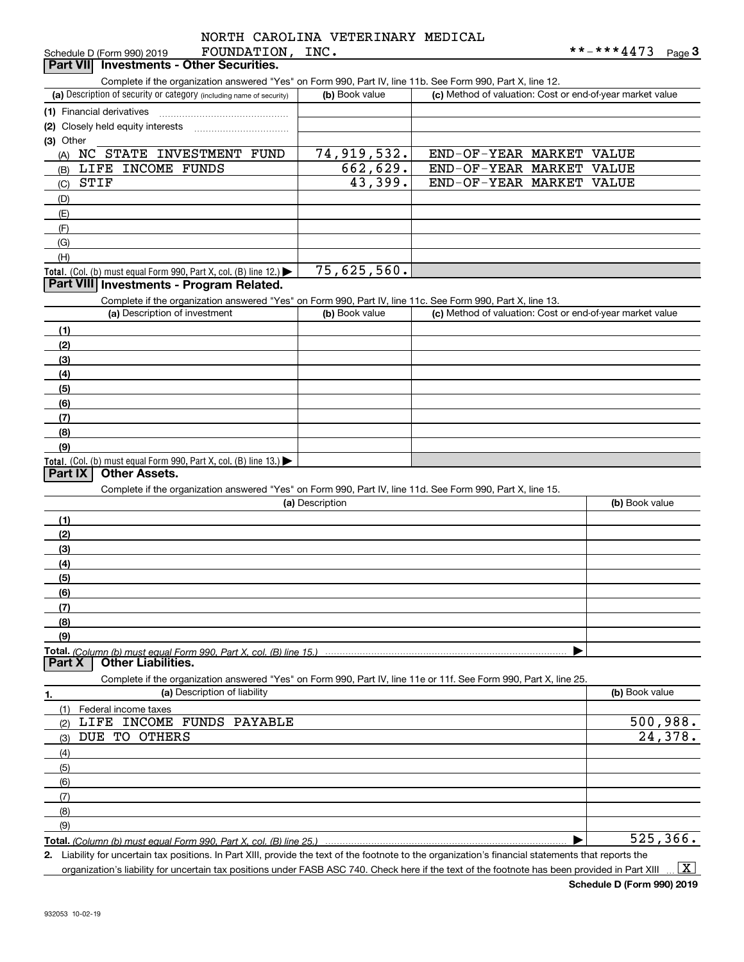|                    | NORTH CAROLINA VETERINARY MEDICAL |  |
|--------------------|-----------------------------------|--|
| ∩זור זו∩דוחגרזזו∩ה |                                   |  |

| FOUNDATION,<br>Schedule D (Form 990) 2019                                                                                                            | INC.            |                                                           | **-***4473<br>$Page$ <sup>3</sup> |
|------------------------------------------------------------------------------------------------------------------------------------------------------|-----------------|-----------------------------------------------------------|-----------------------------------|
| <b>Investments - Other Securities.</b><br>Part VII                                                                                                   |                 |                                                           |                                   |
| Complete if the organization answered "Yes" on Form 990, Part IV, line 11b. See Form 990, Part X, line 12.                                           |                 |                                                           |                                   |
| (a) Description of security or category (including name of security)                                                                                 | (b) Book value  | (c) Method of valuation: Cost or end-of-year market value |                                   |
|                                                                                                                                                      |                 |                                                           |                                   |
| (1) Financial derivatives                                                                                                                            |                 |                                                           |                                   |
| (2) Closely held equity interests                                                                                                                    |                 |                                                           |                                   |
| (3) Other                                                                                                                                            |                 |                                                           |                                   |
| NC STATE INVESTMENT FUND<br>(A)                                                                                                                      | 74,919,532.     | END-OF-YEAR MARKET                                        | VALUE                             |
| LIFE INCOME FUNDS<br>(B)                                                                                                                             | 662,629.        | END-OF-YEAR MARKET                                        | VALUE                             |
| <b>STIF</b><br>(C)                                                                                                                                   | 43,399.         | END-OF-YEAR MARKET                                        | VALUE                             |
| (D)                                                                                                                                                  |                 |                                                           |                                   |
|                                                                                                                                                      |                 |                                                           |                                   |
| (E)                                                                                                                                                  |                 |                                                           |                                   |
| (F)                                                                                                                                                  |                 |                                                           |                                   |
| (G)                                                                                                                                                  |                 |                                                           |                                   |
| (H)                                                                                                                                                  |                 |                                                           |                                   |
| Total. (Col. (b) must equal Form 990, Part X, col. (B) line 12.)                                                                                     | 75,625,560.     |                                                           |                                   |
| Part VIII Investments - Program Related.                                                                                                             |                 |                                                           |                                   |
| Complete if the organization answered "Yes" on Form 990, Part IV, line 11c. See Form 990, Part X, line 13.                                           |                 |                                                           |                                   |
| (a) Description of investment                                                                                                                        | (b) Book value  | (c) Method of valuation: Cost or end-of-year market value |                                   |
|                                                                                                                                                      |                 |                                                           |                                   |
| (1)                                                                                                                                                  |                 |                                                           |                                   |
| (2)                                                                                                                                                  |                 |                                                           |                                   |
| (3)                                                                                                                                                  |                 |                                                           |                                   |
| (4)                                                                                                                                                  |                 |                                                           |                                   |
| (5)                                                                                                                                                  |                 |                                                           |                                   |
| (6)                                                                                                                                                  |                 |                                                           |                                   |
| (7)                                                                                                                                                  |                 |                                                           |                                   |
|                                                                                                                                                      |                 |                                                           |                                   |
| (8)                                                                                                                                                  |                 |                                                           |                                   |
| (9)                                                                                                                                                  |                 |                                                           |                                   |
| Total. (Col. (b) must equal Form 990, Part X, col. (B) line 13.) $\blacktriangleright$                                                               |                 |                                                           |                                   |
| <b>Other Assets.</b><br><b>Part IX</b>                                                                                                               |                 |                                                           |                                   |
| Complete if the organization answered "Yes" on Form 990, Part IV, line 11d. See Form 990, Part X, line 15.                                           |                 |                                                           |                                   |
|                                                                                                                                                      | (a) Description |                                                           | (b) Book value                    |
| (1)                                                                                                                                                  |                 |                                                           |                                   |
| (2)                                                                                                                                                  |                 |                                                           |                                   |
|                                                                                                                                                      |                 |                                                           |                                   |
| (3)                                                                                                                                                  |                 |                                                           |                                   |
| (4)                                                                                                                                                  |                 |                                                           |                                   |
| (5)                                                                                                                                                  |                 |                                                           |                                   |
| (6)                                                                                                                                                  |                 |                                                           |                                   |
| (7)                                                                                                                                                  |                 |                                                           |                                   |
| (8)                                                                                                                                                  |                 |                                                           |                                   |
| (9)                                                                                                                                                  |                 |                                                           |                                   |
|                                                                                                                                                      |                 |                                                           |                                   |
| <b>Other Liabilities.</b><br>Part X                                                                                                                  |                 |                                                           |                                   |
|                                                                                                                                                      |                 |                                                           |                                   |
| Complete if the organization answered "Yes" on Form 990, Part IV, line 11e or 11f. See Form 990, Part X, line 25.                                    |                 |                                                           |                                   |
| (a) Description of liability<br>1.                                                                                                                   |                 |                                                           | (b) Book value                    |
| Federal income taxes<br>(1)                                                                                                                          |                 |                                                           |                                   |
| LIFE INCOME FUNDS PAYABLE<br>(2)                                                                                                                     |                 |                                                           | 500,988.                          |
| DUE TO OTHERS<br>(3)                                                                                                                                 |                 |                                                           | 24,378.                           |
|                                                                                                                                                      |                 |                                                           |                                   |
| (4)                                                                                                                                                  |                 |                                                           |                                   |
| (5)                                                                                                                                                  |                 |                                                           |                                   |
| (6)                                                                                                                                                  |                 |                                                           |                                   |
| (7)                                                                                                                                                  |                 |                                                           |                                   |
| (8)                                                                                                                                                  |                 |                                                           |                                   |
| (9)                                                                                                                                                  |                 |                                                           |                                   |
| Total. (Column (b) must equal Form 990. Part X, col. (B) line 25.)                                                                                   |                 |                                                           | $\overline{525}$ , 366.           |
| 2. Liability for uncertain tax positions. In Part XIII, provide the text of the footnote to the organization's financial statements that reports the |                 |                                                           |                                   |
|                                                                                                                                                      |                 |                                                           |                                   |

organization's liability for uncertain tax positions under FASB ASC 740. Check here if the text of the footnote has been provided in Part XIII  $\,\ldots\,$   $\overline{\rm X}$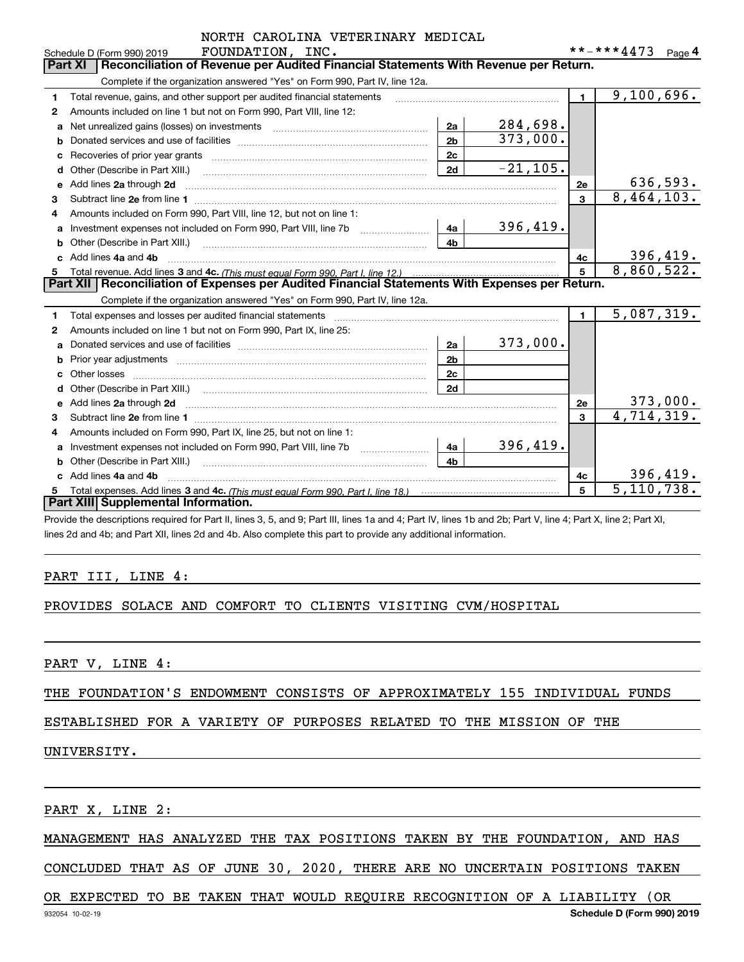|    | NORTH CAROLINA VETERINARY MEDICAL                                                                                                                              |                |            |                |                         |
|----|----------------------------------------------------------------------------------------------------------------------------------------------------------------|----------------|------------|----------------|-------------------------|
|    | FOUNDATION, INC.<br>Schedule D (Form 990) 2019                                                                                                                 |                |            |                | **-***4473 Page 4       |
|    | Reconciliation of Revenue per Audited Financial Statements With Revenue per Return.<br>Part XI                                                                 |                |            |                |                         |
|    | Complete if the organization answered "Yes" on Form 990, Part IV, line 12a.                                                                                    |                |            |                |                         |
| 1  | Total revenue, gains, and other support per audited financial statements                                                                                       |                |            | $\blacksquare$ | $\overline{9,100},696.$ |
| 2  | Amounts included on line 1 but not on Form 990, Part VIII, line 12:                                                                                            |                |            |                |                         |
| a  | Net unrealized gains (losses) on investments [111] [12] matter contracts and a local metal of the university o                                                 | 2a             | 284,698.   |                |                         |
| b  |                                                                                                                                                                | 2 <sub>b</sub> | 373,000.   |                |                         |
|    |                                                                                                                                                                | 2c             |            |                |                         |
| d  |                                                                                                                                                                | 2d             | $-21,105.$ |                |                         |
|    | e Add lines 2a through 2d                                                                                                                                      |                |            | 2е             | 636,593.                |
| 3  |                                                                                                                                                                |                |            | 3              | 8,464,103.              |
| 4  | Amounts included on Form 990, Part VIII, line 12, but not on line 1:                                                                                           |                |            |                |                         |
| a  | Investment expenses not included on Form 990, Part VIII, line 7b                                                                                               | 4a             | 396,419.   |                |                         |
| b  |                                                                                                                                                                | 4 <sub>b</sub> |            |                |                         |
|    | c Add lines 4a and 4b                                                                                                                                          |                |            | 4c             | 396,419.                |
| 5  |                                                                                                                                                                |                |            | 5              | 8,860,522.              |
|    | Part XII   Reconciliation of Expenses per Audited Financial Statements With Expenses per Return.                                                               |                |            |                |                         |
|    | Complete if the organization answered "Yes" on Form 990, Part IV, line 12a.                                                                                    |                |            |                |                         |
| 1. |                                                                                                                                                                |                |            | $\blacksquare$ | 5,087,319.              |
| 2  | Amounts included on line 1 but not on Form 990, Part IX, line 25:                                                                                              |                |            |                |                         |
| a  |                                                                                                                                                                | 2a             | 373,000.   |                |                         |
| b  |                                                                                                                                                                | 2 <sub>b</sub> |            |                |                         |
|    |                                                                                                                                                                | 2c             |            |                |                         |
|    |                                                                                                                                                                | 2d             |            |                |                         |
|    |                                                                                                                                                                |                |            | 2e             | 373,000.                |
| 3  |                                                                                                                                                                |                |            | 3              | 4,714,319.              |
| 4  | Amounts included on Form 990, Part IX, line 25, but not on line 1:                                                                                             |                |            |                |                         |
|    | Investment expenses not included on Form 990, Part VIII, line 7b [11, 111, 111, 111]                                                                           | 4a             | 396,419.   |                |                         |
|    |                                                                                                                                                                | 4 <sub>h</sub> |            |                |                         |
|    | c Add lines 4a and 4b                                                                                                                                          |                |            | 4c             | 396,419.                |
| 5  |                                                                                                                                                                |                |            | 5              | 5, 110, 738.            |
|    | Part XIII Supplemental Information.                                                                                                                            |                |            |                |                         |
|    | Provide the descriptions required for Part II, lines 3, 5, and 9; Part III, lines 1a and 4; Part IV, lines 1b and 2b; Part V, line 4; Part X, line 2; Part XI, |                |            |                |                         |

lines 2d and 4b; and Part XII, lines 2d and 4b. Also complete this part to provide any additional information.

#### PART III, LINE 4:

#### PROVIDES SOLACE AND COMFORT TO CLIENTS VISITING CVM/HOSPITAL

PART V, LINE 4:

THE FOUNDATION'S ENDOWMENT CONSISTS OF APPROXIMATELY 155 INDIVIDUAL FUNDS

#### ESTABLISHED FOR A VARIETY OF PURPOSES RELATED TO THE MISSION OF THE

#### UNIVERSITY.

PART X, LINE 2:

#### MANAGEMENT HAS ANALYZED THE TAX POSITIONS TAKEN BY THE FOUNDATION, AND HAS

CONCLUDED THAT AS OF JUNE 30, 2020, THERE ARE NO UNCERTAIN POSITIONS TAKEN

#### OR EXPECTED TO BE TAKEN THAT WOULD REQUIRE RECOGNITION OF A LIABILITY (OR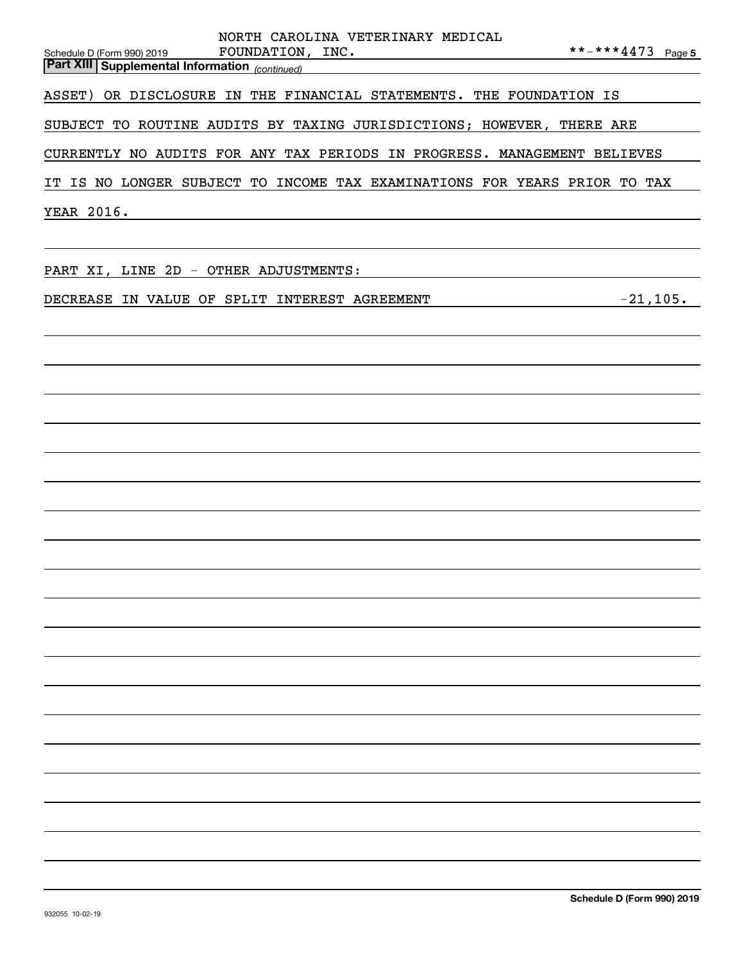| NORTH CAROLINA VETERINARY MEDICAL                                                                       |
|---------------------------------------------------------------------------------------------------------|
| **-***4473 Page 5<br>FOUNDATION, INC.<br>Schedule D (Form 990) 2019                                     |
| <b>Part XIII Supplemental Information</b> (continued)<br>Part XIII Supplemental Information (continued) |
| ASSET) OR DISCLOSURE IN THE FINANCIAL STATEMENTS. THE FOUNDATION IS                                     |
| SUBJECT TO ROUTINE AUDITS BY TAXING JURISDICTIONS; HOWEVER, THERE ARE                                   |
| CURRENTLY NO AUDITS FOR ANY TAX PERIODS IN PROGRESS. MANAGEMENT BELIEVES                                |
| IT IS NO LONGER SUBJECT TO INCOME TAX EXAMINATIONS FOR YEARS PRIOR TO TAX                               |
| YEAR 2016.<br><u> 1989 - Johann Barbara, martxa amerikan personal (h. 1989).</u>                        |
|                                                                                                         |
| PART XI, LINE 2D - OTHER ADJUSTMENTS:                                                                   |
| $-21,105$ .<br>DECREASE IN VALUE OF SPLIT INTEREST AGREEMENT                                            |
|                                                                                                         |
|                                                                                                         |
|                                                                                                         |
|                                                                                                         |
|                                                                                                         |
|                                                                                                         |
|                                                                                                         |
|                                                                                                         |
|                                                                                                         |
|                                                                                                         |
|                                                                                                         |
|                                                                                                         |
|                                                                                                         |
|                                                                                                         |
|                                                                                                         |
|                                                                                                         |
|                                                                                                         |
|                                                                                                         |
|                                                                                                         |
|                                                                                                         |
|                                                                                                         |
|                                                                                                         |
|                                                                                                         |
|                                                                                                         |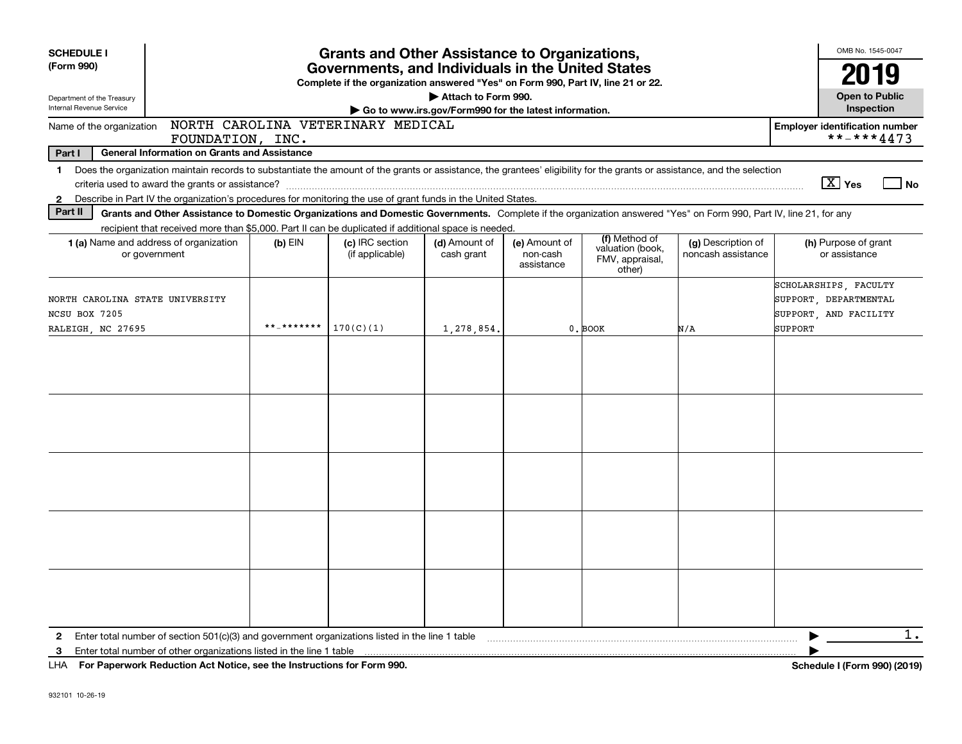| <b>SCHEDULE I</b>                                | <b>Grants and Other Assistance to Organizations,</b>                                                                                                                     |            |                                                                                  |                                                       |                                         |                                                                |                                          |                                                                         | OMB No. 1545-0047 |
|--------------------------------------------------|--------------------------------------------------------------------------------------------------------------------------------------------------------------------------|------------|----------------------------------------------------------------------------------|-------------------------------------------------------|-----------------------------------------|----------------------------------------------------------------|------------------------------------------|-------------------------------------------------------------------------|-------------------|
| (Form 990)                                       |                                                                                                                                                                          |            | Governments, and Individuals in the United States                                |                                                       |                                         |                                                                |                                          | 2019                                                                    |                   |
| Department of the Treasury                       |                                                                                                                                                                          |            | Complete if the organization answered "Yes" on Form 990, Part IV, line 21 or 22. | Attach to Form 990.                                   |                                         |                                                                |                                          | <b>Open to Public</b>                                                   |                   |
| Internal Revenue Service                         |                                                                                                                                                                          |            |                                                                                  | Go to www.irs.gov/Form990 for the latest information. |                                         |                                                                |                                          | Inspection                                                              |                   |
| Name of the organization                         | FOUNDATION, INC.                                                                                                                                                         |            | NORTH CAROLINA VETERINARY MEDICAL                                                |                                                       |                                         |                                                                |                                          | <b>Employer identification number</b><br>**-***4473                     |                   |
| Part I                                           | <b>General Information on Grants and Assistance</b>                                                                                                                      |            |                                                                                  |                                                       |                                         |                                                                |                                          |                                                                         |                   |
| 1.                                               | Does the organization maintain records to substantiate the amount of the grants or assistance, the grantees' eligibility for the grants or assistance, and the selection |            |                                                                                  |                                                       |                                         |                                                                |                                          |                                                                         |                   |
|                                                  |                                                                                                                                                                          |            |                                                                                  |                                                       |                                         |                                                                |                                          | $\boxed{\text{X}}$ Yes                                                  | No                |
| 2                                                | Describe in Part IV the organization's procedures for monitoring the use of grant funds in the United States.                                                            |            |                                                                                  |                                                       |                                         |                                                                |                                          |                                                                         |                   |
| Part II                                          | Grants and Other Assistance to Domestic Organizations and Domestic Governments. Complete if the organization answered "Yes" on Form 990, Part IV, line 21, for any       |            |                                                                                  |                                                       |                                         |                                                                |                                          |                                                                         |                   |
|                                                  | recipient that received more than \$5,000. Part II can be duplicated if additional space is needed.                                                                      |            |                                                                                  |                                                       |                                         |                                                                |                                          |                                                                         |                   |
|                                                  | 1 (a) Name and address of organization<br>or government                                                                                                                  | $(b)$ EIN  | (c) IRC section<br>(if applicable)                                               | (d) Amount of<br>cash grant                           | (e) Amount of<br>non-cash<br>assistance | (f) Method of<br>valuation (book,<br>FMV, appraisal,<br>other) | (g) Description of<br>noncash assistance | (h) Purpose of grant<br>or assistance                                   |                   |
| NORTH CAROLINA STATE UNIVERSITY<br>NCSU BOX 7205 |                                                                                                                                                                          |            |                                                                                  |                                                       |                                         |                                                                |                                          | SCHOLARSHIPS, FACULTY<br>SUPPORT, DEPARTMENTAL<br>SUPPORT, AND FACILITY |                   |
| RALEIGH, NC 27695                                |                                                                                                                                                                          | **_******* | 170(C)(1)                                                                        | 1,278,854                                             |                                         | 0. BOOK                                                        | N/A                                      | SUPPORT                                                                 |                   |
|                                                  |                                                                                                                                                                          |            |                                                                                  |                                                       |                                         |                                                                |                                          |                                                                         |                   |
|                                                  |                                                                                                                                                                          |            |                                                                                  |                                                       |                                         |                                                                |                                          |                                                                         |                   |
|                                                  |                                                                                                                                                                          |            |                                                                                  |                                                       |                                         |                                                                |                                          |                                                                         |                   |
|                                                  |                                                                                                                                                                          |            |                                                                                  |                                                       |                                         |                                                                |                                          |                                                                         |                   |
|                                                  |                                                                                                                                                                          |            |                                                                                  |                                                       |                                         |                                                                |                                          |                                                                         |                   |
| $\mathbf{2}$                                     | Enter total number of section $501(c)(3)$ and government organizations listed in the line 1 table                                                                        |            |                                                                                  |                                                       |                                         |                                                                |                                          |                                                                         | $1$ .             |
| 3                                                | Enter total number of other organizations listed in the line 1 table                                                                                                     |            |                                                                                  |                                                       |                                         |                                                                |                                          |                                                                         |                   |
|                                                  | LHA For Paperwork Reduction Act Notice, see the Instructions for Form 990.                                                                                               |            |                                                                                  |                                                       |                                         |                                                                |                                          | Schedule I (Form 990) (2019)                                            |                   |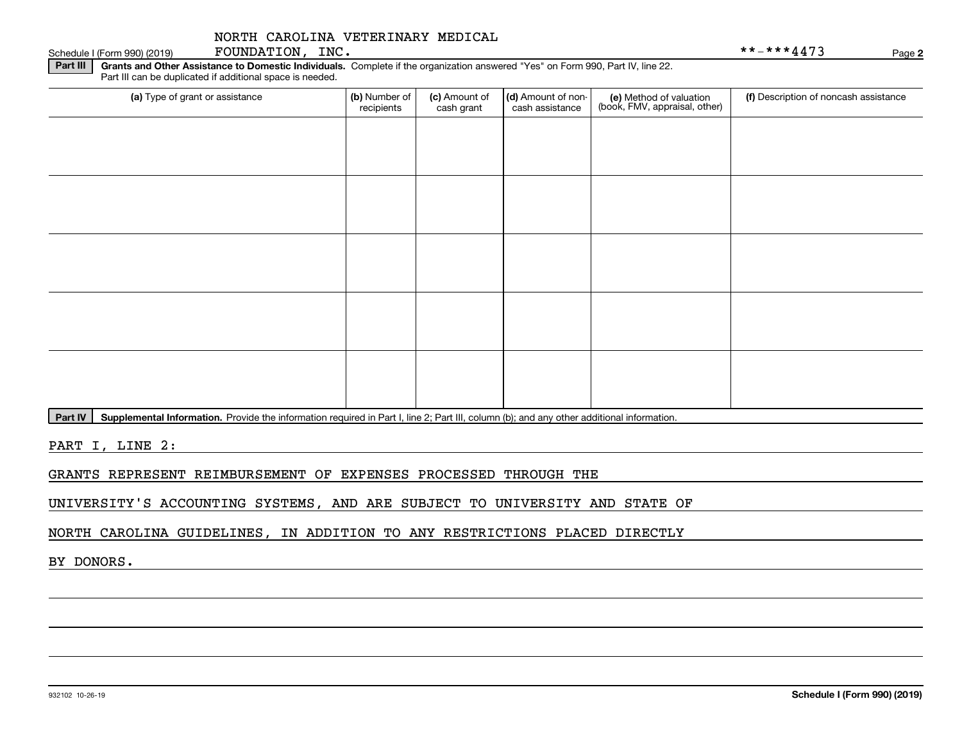| (a) Type of grant or assistance | (b) Number of<br>recipients | (c) Amount of<br>cash grant | (d) Amount of non-<br>cash assistance | (e) Method of valuation<br>(book, FMV, appraisal, other) | (f) Description of noncash assistance |
|---------------------------------|-----------------------------|-----------------------------|---------------------------------------|----------------------------------------------------------|---------------------------------------|
|                                 |                             |                             |                                       |                                                          |                                       |
|                                 |                             |                             |                                       |                                                          |                                       |
|                                 |                             |                             |                                       |                                                          |                                       |
|                                 |                             |                             |                                       |                                                          |                                       |
|                                 |                             |                             |                                       |                                                          |                                       |
|                                 |                             |                             |                                       |                                                          |                                       |
|                                 |                             |                             |                                       |                                                          |                                       |
|                                 |                             |                             |                                       |                                                          |                                       |
|                                 |                             |                             |                                       |                                                          |                                       |

**Part IV** | Supplemental Information. Provide the information required in Part I, line 2; Part III, column (b); and any other additional information.<br>

PART I, LINE 2:

GRANTS REPRESENT REIMBURSEMENT OF EXPENSES PROCESSED THROUGH THE

UNIVERSITY'S ACCOUNTING SYSTEMS, AND ARE SUBJECT TO UNIVERSITY AND STATE OF

NORTH CAROLINA GUIDELINES, IN ADDITION TO ANY RESTRICTIONS PLACED DIRECTLY

BY DONORS.

Schedule I (Form 990) (2019)  ${\hbox{FOUNDATION}}$  ,  $\hbox{INC}$  .  $\hbox{NIC}$  ,  $\hbox{NIC}$  ,  $\hbox{Solvability}$  ,  $\hbox{NIC}$  ,  $\hbox{Solvability}$  ,  $\hbox{Solvability}$  ,  $\hbox{Solvability}$  ,  $\hbox{Solvability}$  ,  $\hbox{Solvability}$  ,  $\hbox{Solvability}$  ,  $\hbox{Solvability}$  ,  $\hbox{Solvability}$  ,  $\hbox{Solvability}$  ,

**2**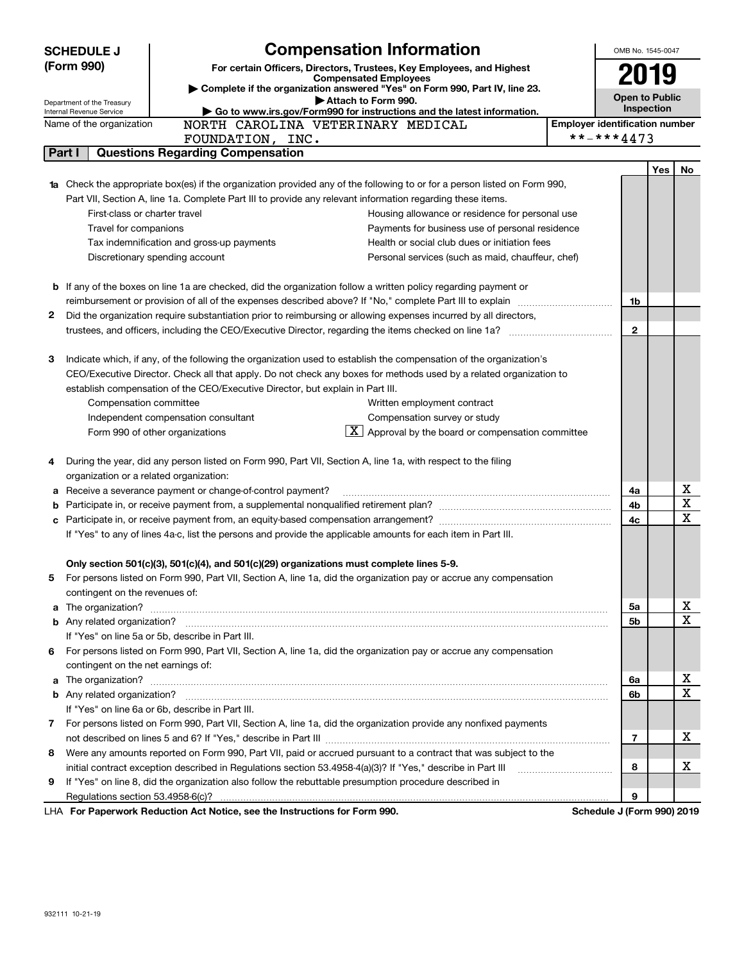| <b>SCHEDULE J</b> |                                                      |                                                                                                            | <b>Compensation Information</b>                                                                                                  |                                       | OMB No. 1545-0047     |     |                         |  |
|-------------------|------------------------------------------------------|------------------------------------------------------------------------------------------------------------|----------------------------------------------------------------------------------------------------------------------------------|---------------------------------------|-----------------------|-----|-------------------------|--|
| (Form 990)        |                                                      |                                                                                                            | For certain Officers, Directors, Trustees, Key Employees, and Highest                                                            |                                       | 2019                  |     |                         |  |
|                   |                                                      | <b>Compensated Employees</b><br>Complete if the organization answered "Yes" on Form 990, Part IV, line 23. |                                                                                                                                  |                                       |                       |     |                         |  |
|                   | Department of the Treasury                           |                                                                                                            | Attach to Form 990.                                                                                                              |                                       | <b>Open to Public</b> |     |                         |  |
|                   | Internal Revenue Service<br>Name of the organization |                                                                                                            | Go to www.irs.gov/Form990 for instructions and the latest information.<br>NORTH CAROLINA VETERINARY MEDICAL                      | <b>Employer identification number</b> | Inspection            |     |                         |  |
|                   |                                                      | FOUNDATION, INC.                                                                                           |                                                                                                                                  | **-***4473                            |                       |     |                         |  |
| Part I            |                                                      | <b>Questions Regarding Compensation</b>                                                                    |                                                                                                                                  |                                       |                       |     |                         |  |
|                   |                                                      |                                                                                                            |                                                                                                                                  |                                       |                       | Yes | No                      |  |
|                   |                                                      |                                                                                                            | <b>1a</b> Check the appropriate box(es) if the organization provided any of the following to or for a person listed on Form 990, |                                       |                       |     |                         |  |
|                   |                                                      |                                                                                                            | Part VII, Section A, line 1a. Complete Part III to provide any relevant information regarding these items.                       |                                       |                       |     |                         |  |
|                   | First-class or charter travel                        |                                                                                                            | Housing allowance or residence for personal use                                                                                  |                                       |                       |     |                         |  |
|                   | Travel for companions                                |                                                                                                            | Payments for business use of personal residence                                                                                  |                                       |                       |     |                         |  |
|                   |                                                      | Tax indemnification and gross-up payments                                                                  | Health or social club dues or initiation fees                                                                                    |                                       |                       |     |                         |  |
|                   |                                                      | Discretionary spending account                                                                             | Personal services (such as maid, chauffeur, chef)                                                                                |                                       |                       |     |                         |  |
|                   |                                                      |                                                                                                            |                                                                                                                                  |                                       |                       |     |                         |  |
|                   |                                                      |                                                                                                            | <b>b</b> If any of the boxes on line 1a are checked, did the organization follow a written policy regarding payment or           |                                       |                       |     |                         |  |
|                   |                                                      |                                                                                                            |                                                                                                                                  |                                       | 1b                    |     |                         |  |
| 2                 |                                                      |                                                                                                            | Did the organization require substantiation prior to reimbursing or allowing expenses incurred by all directors,                 |                                       |                       |     |                         |  |
|                   |                                                      |                                                                                                            |                                                                                                                                  |                                       | $\mathbf{2}$          |     |                         |  |
|                   |                                                      |                                                                                                            |                                                                                                                                  |                                       |                       |     |                         |  |
| 3                 |                                                      |                                                                                                            | Indicate which, if any, of the following the organization used to establish the compensation of the organization's               |                                       |                       |     |                         |  |
|                   |                                                      |                                                                                                            | CEO/Executive Director. Check all that apply. Do not check any boxes for methods used by a related organization to               |                                       |                       |     |                         |  |
|                   |                                                      | establish compensation of the CEO/Executive Director, but explain in Part III.                             |                                                                                                                                  |                                       |                       |     |                         |  |
|                   | Compensation committee                               |                                                                                                            | Written employment contract                                                                                                      |                                       |                       |     |                         |  |
|                   |                                                      | Independent compensation consultant                                                                        | Compensation survey or study                                                                                                     |                                       |                       |     |                         |  |
|                   |                                                      | Form 990 of other organizations                                                                            | $\lfloor \underline{\textbf{X}} \rfloor$ Approval by the board or compensation committee                                         |                                       |                       |     |                         |  |
| 4                 |                                                      |                                                                                                            | During the year, did any person listed on Form 990, Part VII, Section A, line 1a, with respect to the filing                     |                                       |                       |     |                         |  |
|                   | organization or a related organization:              |                                                                                                            |                                                                                                                                  |                                       |                       |     |                         |  |
|                   |                                                      | a Receive a severance payment or change-of-control payment?                                                |                                                                                                                                  |                                       | 4a                    |     | X                       |  |
|                   |                                                      |                                                                                                            |                                                                                                                                  |                                       | 4b                    |     | $\overline{\mathtt{x}}$ |  |
|                   |                                                      |                                                                                                            |                                                                                                                                  |                                       | 4c                    |     | X                       |  |
|                   |                                                      |                                                                                                            | If "Yes" to any of lines 4a-c, list the persons and provide the applicable amounts for each item in Part III.                    |                                       |                       |     |                         |  |
|                   |                                                      |                                                                                                            |                                                                                                                                  |                                       |                       |     |                         |  |
|                   |                                                      |                                                                                                            | Only section 501(c)(3), 501(c)(4), and 501(c)(29) organizations must complete lines 5-9.                                         |                                       |                       |     |                         |  |
|                   |                                                      |                                                                                                            | For persons listed on Form 990, Part VII, Section A, line 1a, did the organization pay or accrue any compensation                |                                       |                       |     |                         |  |
|                   | contingent on the revenues of:                       |                                                                                                            |                                                                                                                                  |                                       | 5a                    |     | Χ                       |  |
|                   |                                                      |                                                                                                            |                                                                                                                                  |                                       | 5b                    |     | X                       |  |
|                   |                                                      | If "Yes" on line 5a or 5b, describe in Part III.                                                           |                                                                                                                                  |                                       |                       |     |                         |  |
| 6.                |                                                      |                                                                                                            | For persons listed on Form 990, Part VII, Section A, line 1a, did the organization pay or accrue any compensation                |                                       |                       |     |                         |  |
|                   | contingent on the net earnings of:                   |                                                                                                            |                                                                                                                                  |                                       |                       |     |                         |  |
|                   |                                                      |                                                                                                            |                                                                                                                                  |                                       | 6a                    |     | Χ                       |  |
|                   |                                                      |                                                                                                            |                                                                                                                                  |                                       | 6b                    |     | X                       |  |
|                   |                                                      | If "Yes" on line 6a or 6b, describe in Part III.                                                           |                                                                                                                                  |                                       |                       |     |                         |  |
| 7                 |                                                      |                                                                                                            | For persons listed on Form 990, Part VII, Section A, line 1a, did the organization provide any nonfixed payments                 |                                       |                       |     |                         |  |
|                   |                                                      |                                                                                                            |                                                                                                                                  |                                       | 7                     |     | X                       |  |
| 8                 |                                                      |                                                                                                            | Were any amounts reported on Form 990, Part VII, paid or accrued pursuant to a contract that was subject to the                  |                                       |                       |     |                         |  |
|                   |                                                      |                                                                                                            | initial contract exception described in Regulations section 53.4958-4(a)(3)? If "Yes," describe in Part III                      |                                       | 8                     |     | Х                       |  |
| 9                 |                                                      |                                                                                                            | If "Yes" on line 8, did the organization also follow the rebuttable presumption procedure described in                           |                                       |                       |     |                         |  |
|                   |                                                      |                                                                                                            |                                                                                                                                  |                                       | 9                     |     |                         |  |
|                   |                                                      | LHA For Paperwork Reduction Act Notice, see the Instructions for Form 990.                                 |                                                                                                                                  | Schedule J (Form 990) 2019            |                       |     |                         |  |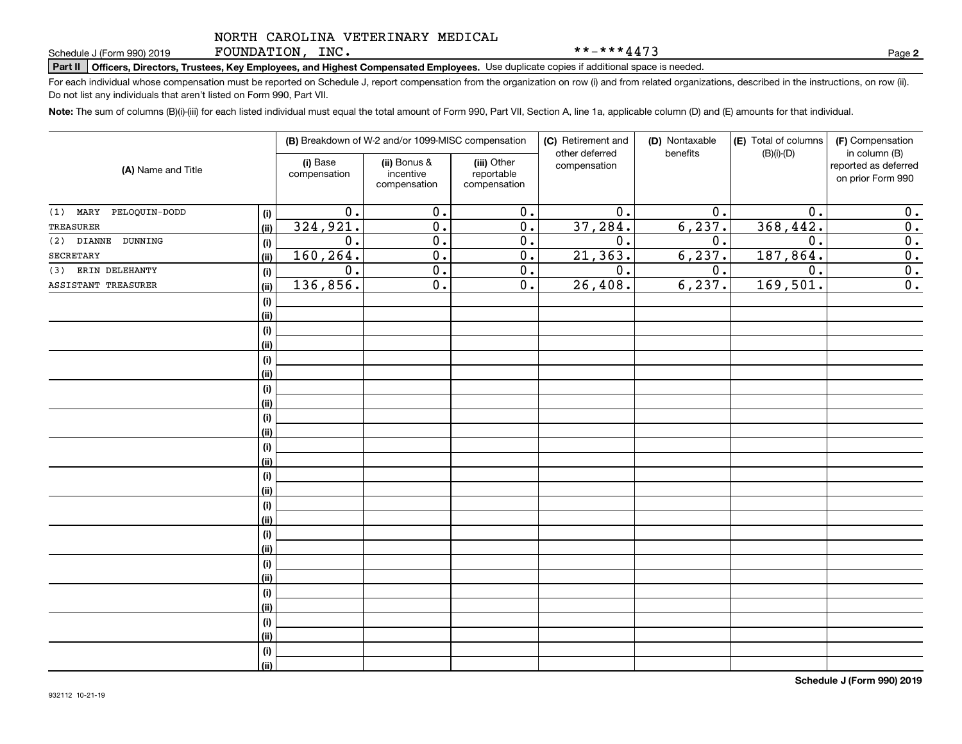FOUNDATION, INC.

\*\*-\*\*\*4473

**2**

# **Part II Officers, Directors, Trustees, Key Employees, and Highest Compensated Employees.**  Schedule J (Form 990) 2019 Page Use duplicate copies if additional space is needed.

For each individual whose compensation must be reported on Schedule J, report compensation from the organization on row (i) and from related organizations, described in the instructions, on row (ii). Do not list any individuals that aren't listed on Form 990, Part VII.

**Note:**  The sum of columns (B)(i)-(iii) for each listed individual must equal the total amount of Form 990, Part VII, Section A, line 1a, applicable column (D) and (E) amounts for that individual.

| (A) Name and Title              |      |                          | (B) Breakdown of W-2 and/or 1099-MISC compensation |                                           | (C) Retirement and<br>(D) Nontaxable<br>other deferred<br>benefits |                  | (E) Total of columns<br>$(B)(i)-(D)$ | (F) Compensation<br>in column (B)         |
|---------------------------------|------|--------------------------|----------------------------------------------------|-------------------------------------------|--------------------------------------------------------------------|------------------|--------------------------------------|-------------------------------------------|
|                                 |      | (i) Base<br>compensation | (ii) Bonus &<br>incentive<br>compensation          | (iii) Other<br>reportable<br>compensation | compensation                                                       |                  |                                      | reported as deferred<br>on prior Form 990 |
| PELOQUIN-DODD<br>MARY<br>(1)    | (i)  | $\overline{0}$ .         | $\overline{0}$ .                                   | $\overline{0}$ .                          | $\overline{0}$ .                                                   | 0.               | 0.                                   | 0.                                        |
| <b>TREASURER</b>                | (ii) | 324,921.                 | $\overline{0}$ .                                   | $\overline{0}$ .                          | 37,284.                                                            | 6, 237.          | 368,442.                             | $\overline{0}$ .                          |
| DUNNING<br><b>DIANNE</b><br>(2) | (i)  | 0.                       | $\overline{0}$ .                                   | $\overline{0}$ .                          | 0.                                                                 | $\overline{0}$ . | $\overline{0}$ .                     | $\overline{0}$ .                          |
| SECRETARY                       | (ii) | 160,264.                 | $\overline{0}$ .                                   | $\overline{0}$ .                          | 21, 363.                                                           | 6, 237.          | 187,864.                             | 0.                                        |
| ERIN DELEHANTY<br>(3)           | (i)  | $0$ .                    | $\overline{0}$ .                                   | 0.                                        | $\overline{0}$ .                                                   | 0.               | 0.                                   | 0.                                        |
| ASSISTANT TREASURER             | (ii) | 136,856.                 | $\overline{0}$ .                                   | 0.                                        | 26,408.                                                            | 6, 237.          | 169,501.                             | $\overline{0}$ .                          |
|                                 | (i)  |                          |                                                    |                                           |                                                                    |                  |                                      |                                           |
|                                 | (ii) |                          |                                                    |                                           |                                                                    |                  |                                      |                                           |
|                                 | (i)  |                          |                                                    |                                           |                                                                    |                  |                                      |                                           |
|                                 | (ii) |                          |                                                    |                                           |                                                                    |                  |                                      |                                           |
|                                 | (i)  |                          |                                                    |                                           |                                                                    |                  |                                      |                                           |
|                                 | (ii) |                          |                                                    |                                           |                                                                    |                  |                                      |                                           |
|                                 | (i)  |                          |                                                    |                                           |                                                                    |                  |                                      |                                           |
|                                 | (ii) |                          |                                                    |                                           |                                                                    |                  |                                      |                                           |
|                                 | (i)  |                          |                                                    |                                           |                                                                    |                  |                                      |                                           |
|                                 | (ii) |                          |                                                    |                                           |                                                                    |                  |                                      |                                           |
|                                 | (i)  |                          |                                                    |                                           |                                                                    |                  |                                      |                                           |
|                                 | (ii) |                          |                                                    |                                           |                                                                    |                  |                                      |                                           |
|                                 | (i)  |                          |                                                    |                                           |                                                                    |                  |                                      |                                           |
|                                 | (ii) |                          |                                                    |                                           |                                                                    |                  |                                      |                                           |
|                                 | (i)  |                          |                                                    |                                           |                                                                    |                  |                                      |                                           |
|                                 | (ii) |                          |                                                    |                                           |                                                                    |                  |                                      |                                           |
|                                 | (i)  |                          |                                                    |                                           |                                                                    |                  |                                      |                                           |
|                                 | (ii) |                          |                                                    |                                           |                                                                    |                  |                                      |                                           |
|                                 | (i)  |                          |                                                    |                                           |                                                                    |                  |                                      |                                           |
|                                 | (ii) |                          |                                                    |                                           |                                                                    |                  |                                      |                                           |
|                                 | (i)  |                          |                                                    |                                           |                                                                    |                  |                                      |                                           |
|                                 | (ii) |                          |                                                    |                                           |                                                                    |                  |                                      |                                           |
|                                 | (i)  |                          |                                                    |                                           |                                                                    |                  |                                      |                                           |
|                                 | (ii) |                          |                                                    |                                           |                                                                    |                  |                                      |                                           |
|                                 | (i)  |                          |                                                    |                                           |                                                                    |                  |                                      |                                           |
|                                 | (ii) |                          |                                                    |                                           |                                                                    |                  |                                      |                                           |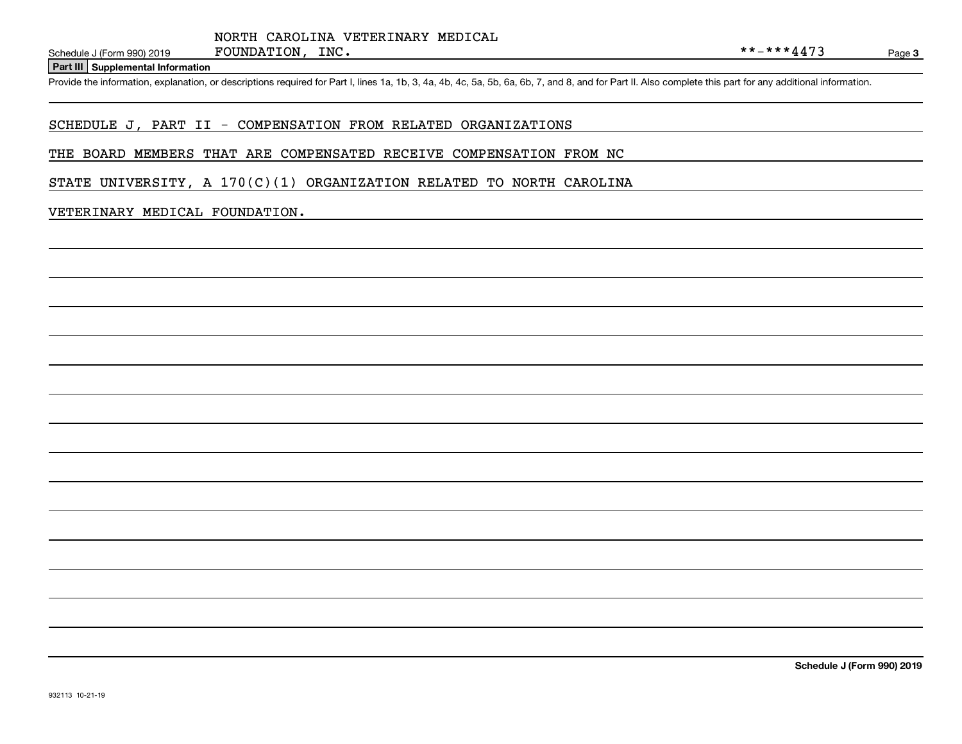#### **Part III Supplemental Information**

Schedule J (Form 990) 2019 FOUNDATION, INC.<br>Part III Supplemental Information<br>Provide the information, explanation, or descriptions required for Part I, lines 1a, 1b, 3, 4a, 4b, 4c, 5a, 5b, 6a, 6b, 7, and 8, and for Part I

#### SCHEDULE J, PART II - COMPENSATION FROM RELATED ORGANIZATIONS

#### THE BOARD MEMBERS THAT ARE COMPENSATED RECEIVE COMPENSATION FROM NC

STATE UNIVERSITY, A  $170(C)(1)$  ORGANIZATION RELATED TO NORTH CAROLINA

#### VETERINARY MEDICAL FOUNDATION.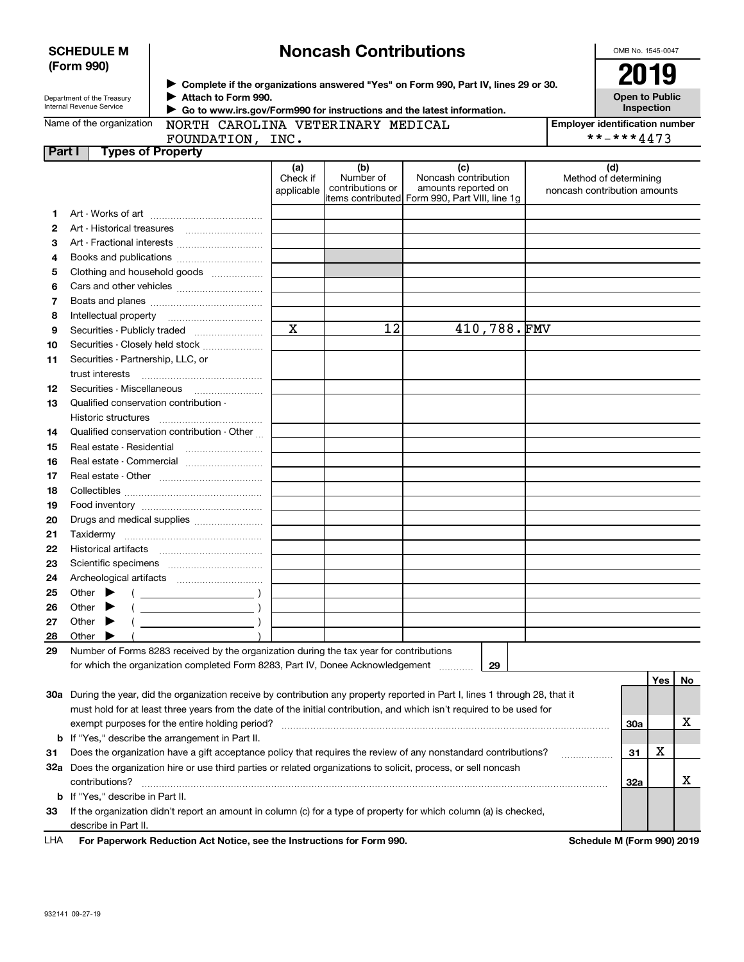| <b>SCHEDULE M</b> |  |
|-------------------|--|
| (Form 990)        |  |

## **Noncash Contributions**

OMB No. 1545-0047

| Department of the Treasury |
|----------------------------|
| Internal Revenue Service   |

**Complete if the organizations answered "Yes" on Form 990, Part IV, lines 29 or 30.** <sup>J</sup>**2019 Attach to Form 990.** J

**Open to Public Inspection**

 **Go to www.irs.gov/Form990 for instructions and the latest information.** J

|        | Name of the organization  NORTH CAROLINA VETERINARY MEDICAL                                                                |                               |                                      |                                                                                                      | <b>Employer identification number</b>                        |
|--------|----------------------------------------------------------------------------------------------------------------------------|-------------------------------|--------------------------------------|------------------------------------------------------------------------------------------------------|--------------------------------------------------------------|
|        | FOUNDATION, INC.                                                                                                           |                               |                                      |                                                                                                      | **-***4473                                                   |
| Part I | <b>Types of Property</b>                                                                                                   |                               |                                      |                                                                                                      |                                                              |
|        |                                                                                                                            | (a)<br>Check if<br>applicable | (b)<br>Number of<br>contributions or | (c)<br>Noncash contribution<br>amounts reported on<br>items contributed Form 990, Part VIII, line 1g | (d)<br>Method of determining<br>noncash contribution amounts |
| 1.     |                                                                                                                            |                               |                                      |                                                                                                      |                                                              |
| 2      |                                                                                                                            |                               |                                      |                                                                                                      |                                                              |
| з      | Art - Fractional interests                                                                                                 |                               |                                      |                                                                                                      |                                                              |
| 4      |                                                                                                                            |                               |                                      |                                                                                                      |                                                              |
| 5      | Clothing and household goods                                                                                               |                               |                                      |                                                                                                      |                                                              |
| 6      |                                                                                                                            |                               |                                      |                                                                                                      |                                                              |
| 7      |                                                                                                                            |                               |                                      |                                                                                                      |                                                              |
| 8      |                                                                                                                            |                               |                                      |                                                                                                      |                                                              |
| 9      | Securities - Publicly traded                                                                                               | $\mathbf x$                   | 12                                   | 410,788.FMV                                                                                          |                                                              |
| 10     | Securities - Closely held stock                                                                                            |                               |                                      |                                                                                                      |                                                              |
| 11     | Securities - Partnership, LLC, or                                                                                          |                               |                                      |                                                                                                      |                                                              |
|        |                                                                                                                            |                               |                                      |                                                                                                      |                                                              |
| 12     |                                                                                                                            |                               |                                      |                                                                                                      |                                                              |
| 13     | Qualified conservation contribution -                                                                                      |                               |                                      |                                                                                                      |                                                              |
|        | Historic structures                                                                                                        |                               |                                      |                                                                                                      |                                                              |
| 14     | Qualified conservation contribution - Other                                                                                |                               |                                      |                                                                                                      |                                                              |
| 15     | Real estate - Residential                                                                                                  |                               |                                      |                                                                                                      |                                                              |
| 16     |                                                                                                                            |                               |                                      |                                                                                                      |                                                              |
| 17     |                                                                                                                            |                               |                                      |                                                                                                      |                                                              |
| 18     |                                                                                                                            |                               |                                      |                                                                                                      |                                                              |
| 19     |                                                                                                                            |                               |                                      |                                                                                                      |                                                              |
| 20     | Drugs and medical supplies                                                                                                 |                               |                                      |                                                                                                      |                                                              |
| 21     |                                                                                                                            |                               |                                      |                                                                                                      |                                                              |
| 22     | Historical artifacts                                                                                                       |                               |                                      |                                                                                                      |                                                              |
| 23     |                                                                                                                            |                               |                                      |                                                                                                      |                                                              |
| 24     |                                                                                                                            |                               |                                      |                                                                                                      |                                                              |
| 25     | Other $\blacktriangleright$<br>$\left(\begin{array}{ccc}\n\end{array}\right)$                                              |                               |                                      |                                                                                                      |                                                              |
| 26     | Other $\blacktriangleright$                                                                                                |                               |                                      |                                                                                                      |                                                              |
| 27     | Other $\blacktriangleright$                                                                                                |                               |                                      |                                                                                                      |                                                              |
| 28     | Other $\blacktriangleright$                                                                                                |                               |                                      |                                                                                                      |                                                              |
| 29     | Number of Forms 8283 received by the organization during the tax year for contributions                                    |                               |                                      |                                                                                                      |                                                              |
|        | for which the organization completed Form 8283, Part IV, Donee Acknowledgement [1111]                                      |                               |                                      | 29                                                                                                   |                                                              |
|        |                                                                                                                            |                               |                                      |                                                                                                      | Yes   No                                                     |
|        | 20g Durian the veer did the ergenization resolve by contribution ony proporty reported in Dert Llines 1 through 20 that it |                               |                                      |                                                                                                      |                                                              |

| 30a | During the year, did the organization receive by contribution any property reported in Part I, lines 1 through 28, that it |                            |   |  |
|-----|----------------------------------------------------------------------------------------------------------------------------|----------------------------|---|--|
|     | must hold for at least three years from the date of the initial contribution, and which isn't required to be used for      |                            |   |  |
|     | exempt purposes for the entire holding period?                                                                             | 30a                        |   |  |
|     | <b>b</b> If "Yes," describe the arrangement in Part II.                                                                    |                            |   |  |
| 31  | Does the organization have a gift acceptance policy that requires the review of any nonstandard contributions?             | 31                         | х |  |
| 32a | Does the organization hire or use third parties or related organizations to solicit, process, or sell noncash              |                            |   |  |
|     | contributions?                                                                                                             | 32a                        |   |  |
|     | <b>b</b> If "Yes," describe in Part II.                                                                                    |                            |   |  |
| 33  | If the organization didn't report an amount in column (c) for a type of property for which column (a) is checked,          |                            |   |  |
|     | describe in Part II.                                                                                                       |                            |   |  |
| LHA | For Paperwork Reduction Act Notice, see the Instructions for Form 990.                                                     | Schedule M (Form 990) 2019 |   |  |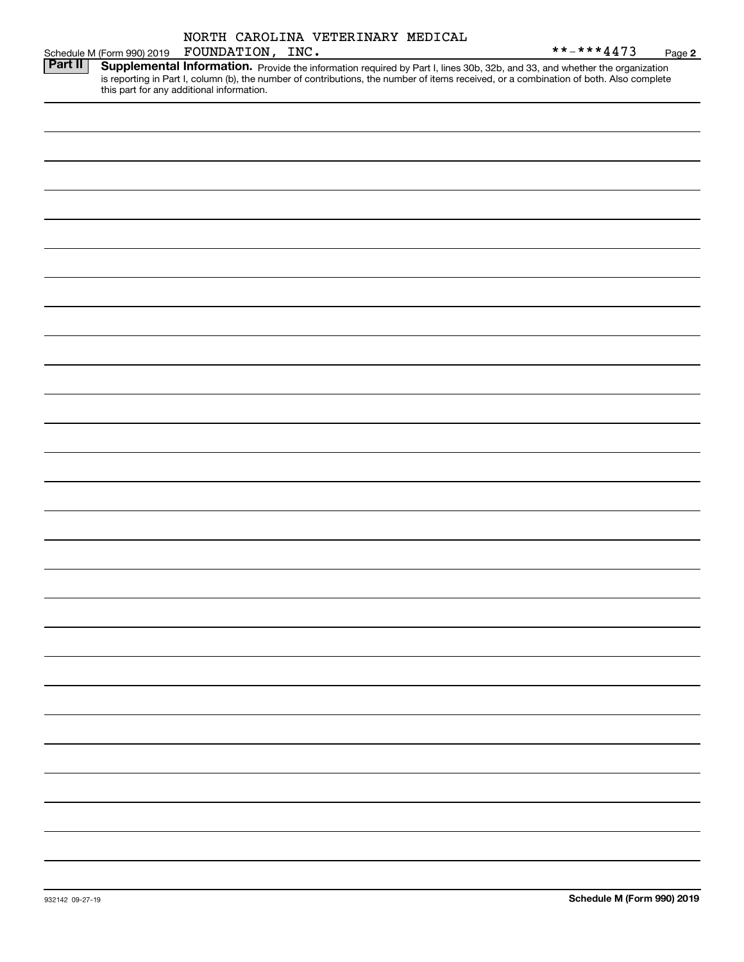|         | NORTH CAROLINA VETERINARY MEDICAL<br>FOUNDATION, INC.<br>Schedule M (Form 990) 2019                                                                                                                                                                                                                               | **_***4473 | Page 2 |
|---------|-------------------------------------------------------------------------------------------------------------------------------------------------------------------------------------------------------------------------------------------------------------------------------------------------------------------|------------|--------|
| Part II | Supplemental Information. Provide the information required by Part I, lines 30b, 32b, and 33, and whether the organization<br>is reporting in Part I, column (b), the number of contributions, the number of items received, or a combination of both. Also complete<br>this part for any additional information. |            |        |
|         |                                                                                                                                                                                                                                                                                                                   |            |        |
|         |                                                                                                                                                                                                                                                                                                                   |            |        |
|         |                                                                                                                                                                                                                                                                                                                   |            |        |
|         |                                                                                                                                                                                                                                                                                                                   |            |        |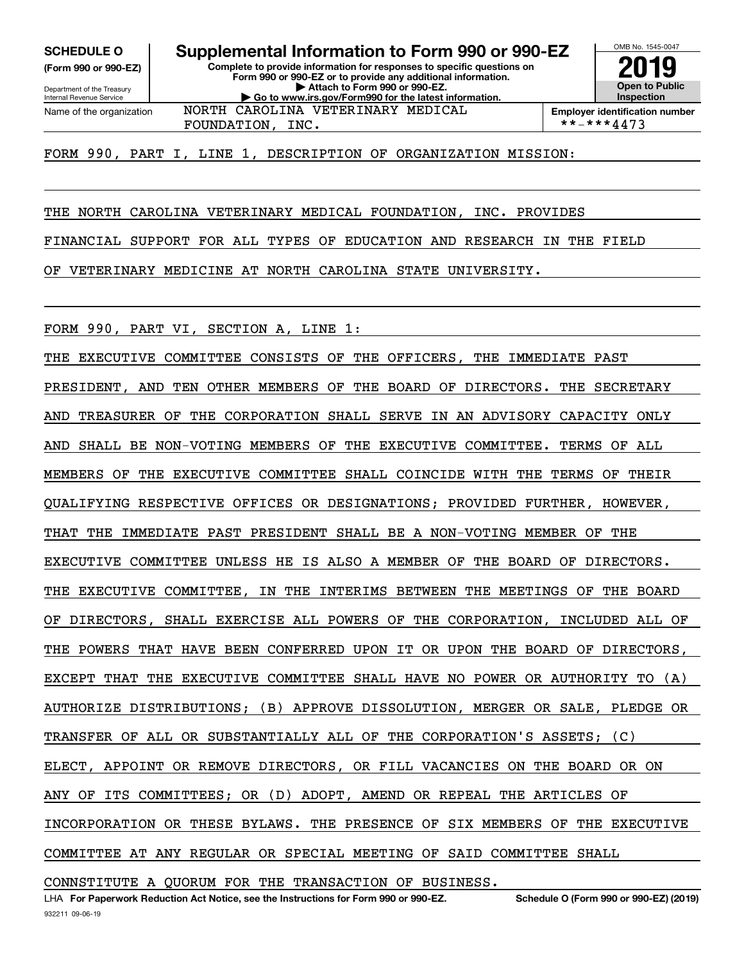**(Form 990 or 990-EZ)**

Department of the Treasury Internal Revenue Service Name of the organization

**Complete to provide information for responses to specific questions on Form 990 or 990-EZ or to provide any additional information. | Attach to Form 990 or 990-EZ. | Go to www.irs.gov/Form990 for the latest information. SCHEDULE O Supplemental Information to Form 990 or 990-EZ** NORTH CAROLINA VETERINARY MEDICAL

**Open to Public InspectionEmployer identification number**

OMB No. 1545-0047

**2019**

FOUNDATION, INC.  $| **-***4473$ 

FORM 990, PART I, LINE 1, DESCRIPTION OF ORGANIZATION MISSION:

THE NORTH CAROLINA VETERINARY MEDICAL FOUNDATION, INC. PROVIDES

FINANCIAL SUPPORT FOR ALL TYPES OF EDUCATION AND RESEARCH IN THE FIELD

OF VETERINARY MEDICINE AT NORTH CAROLINA STATE UNIVERSITY.

FORM 990, PART VI, SECTION A, LINE 1:

THE EXECUTIVE COMMITTEE CONSISTS OF THE OFFICERS, THE IMMEDIATE PAST PRESIDENT, AND TEN OTHER MEMBERS OF THE BOARD OF DIRECTORS. THE SECRETARY AND TREASURER OF THE CORPORATION SHALL SERVE IN AN ADVISORY CAPACITY ONLY AND SHALL BE NON-VOTING MEMBERS OF THE EXECUTIVE COMMITTEE. TERMS OF ALL MEMBERS OF THE EXECUTIVE COMMITTEE SHALL COINCIDE WITH THE TERMS OF THEIR QUALIFYING RESPECTIVE OFFICES OR DESIGNATIONS; PROVIDED FURTHER, HOWEVER, THAT THE IMMEDIATE PAST PRESIDENT SHALL BE A NON-VOTING MEMBER OF THE EXECUTIVE COMMITTEE UNLESS HE IS ALSO A MEMBER OF THE BOARD OF DIRECTORS. THE EXECUTIVE COMMITTEE, IN THE INTERIMS BETWEEN THE MEETINGS OF THE BOARD OF DIRECTORS, SHALL EXERCISE ALL POWERS OF THE CORPORATION, INCLUDED ALL OF THE POWERS THAT HAVE BEEN CONFERRED UPON IT OR UPON THE BOARD OF DIRECTORS, EXCEPT THAT THE EXECUTIVE COMMITTEE SHALL HAVE NO POWER OR AUTHORITY TO (A) AUTHORIZE DISTRIBUTIONS; (B) APPROVE DISSOLUTION, MERGER OR SALE, PLEDGE OR TRANSFER OF ALL OR SUBSTANTIALLY ALL OF THE CORPORATION'S ASSETS; (C) ELECT, APPOINT OR REMOVE DIRECTORS, OR FILL VACANCIES ON THE BOARD OR ON ANY OF ITS COMMITTEES; OR (D) ADOPT, AMEND OR REPEAL THE ARTICLES OF INCORPORATION OR THESE BYLAWS. THE PRESENCE OF SIX MEMBERS OF THE EXECUTIVE COMMITTEE AT ANY REGULAR OR SPECIAL MEETING OF SAID COMMITTEE SHALL

CONNSTITUTE A QUORUM FOR THE TRANSACTION OF BUSINESS.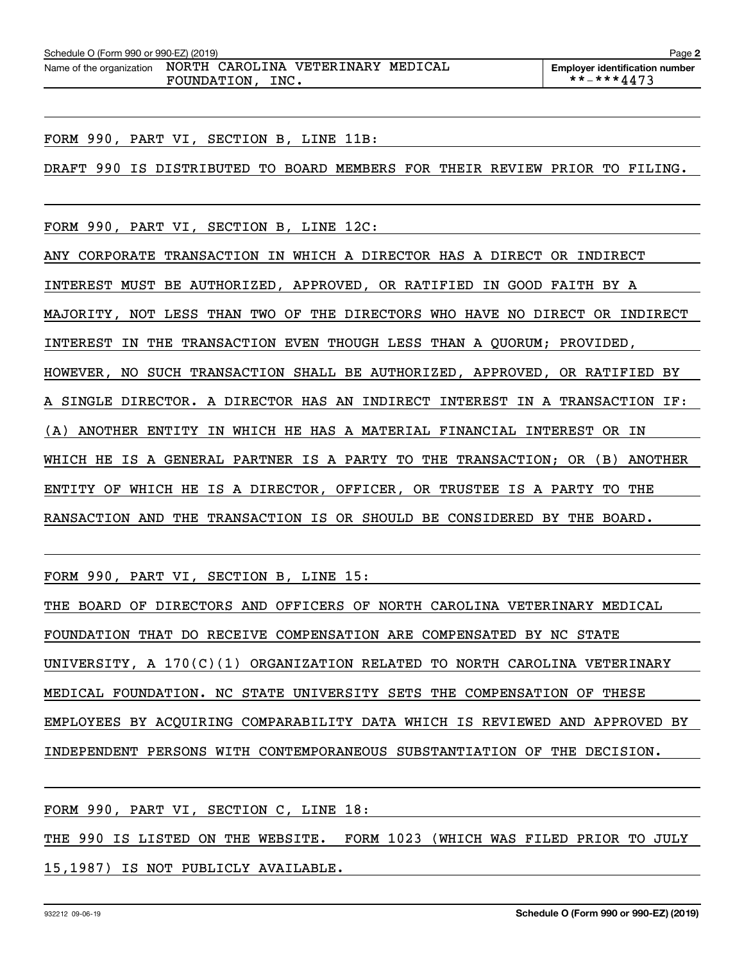| Schedule O (Form 990 or 990-EZ) (2019)                         |  |  |  |  | Page 2                                |
|----------------------------------------------------------------|--|--|--|--|---------------------------------------|
| Name of the organization  NORTH  CAROLINA  VETERINARY  MEDICAL |  |  |  |  | <b>Employer identification number</b> |
| INC.<br>FOUNDATION,                                            |  |  |  |  | **-***4473                            |

FORM 990, PART VI, SECTION B, LINE 11B:

DRAFT 990 IS DISTRIBUTED TO BOARD MEMBERS FOR THEIR REVIEW PRIOR TO FILING.

FORM 990, PART VI, SECTION B, LINE 12C:

ANY CORPORATE TRANSACTION IN WHICH A DIRECTOR HAS A DIRECT OR INDIRECT INTEREST MUST BE AUTHORIZED, APPROVED, OR RATIFIED IN GOOD FAITH BY A MAJORITY, NOT LESS THAN TWO OF THE DIRECTORS WHO HAVE NO DIRECT OR INDIRECT INTEREST IN THE TRANSACTION EVEN THOUGH LESS THAN A QUORUM; PROVIDED, HOWEVER, NO SUCH TRANSACTION SHALL BE AUTHORIZED, APPROVED, OR RATIFIED BY A SINGLE DIRECTOR. A DIRECTOR HAS AN INDIRECT INTEREST IN A TRANSACTION IF: (A) ANOTHER ENTITY IN WHICH HE HAS A MATERIAL FINANCIAL INTEREST OR IN WHICH HE IS A GENERAL PARTNER IS A PARTY TO THE TRANSACTION; OR (B) ANOTHER ENTITY OF WHICH HE IS A DIRECTOR, OFFICER, OR TRUSTEE IS A PARTY TO THE RANSACTION AND THE TRANSACTION IS OR SHOULD BE CONSIDERED BY THE BOARD.

FORM 990, PART VI, SECTION B, LINE 15:

THE BOARD OF DIRECTORS AND OFFICERS OF NORTH CAROLINA VETERINARY MEDICAL FOUNDATION THAT DO RECEIVE COMPENSATION ARE COMPENSATED BY NC STATE UNIVERSITY, A 170(C)(1) ORGANIZATION RELATED TO NORTH CAROLINA VETERINARY MEDICAL FOUNDATION. NC STATE UNIVERSITY SETS THE COMPENSATION OF THESE EMPLOYEES BY ACQUIRING COMPARABILITY DATA WHICH IS REVIEWED AND APPROVED BY INDEPENDENT PERSONS WITH CONTEMPORANEOUS SUBSTANTIATION OF THE DECISION.

FORM 990, PART VI, SECTION C, LINE 18:

THE 990 IS LISTED ON THE WEBSITE. FORM 1023 (WHICH WAS FILED PRIOR TO JULY 15,1987) IS NOT PUBLICLY AVAILABLE.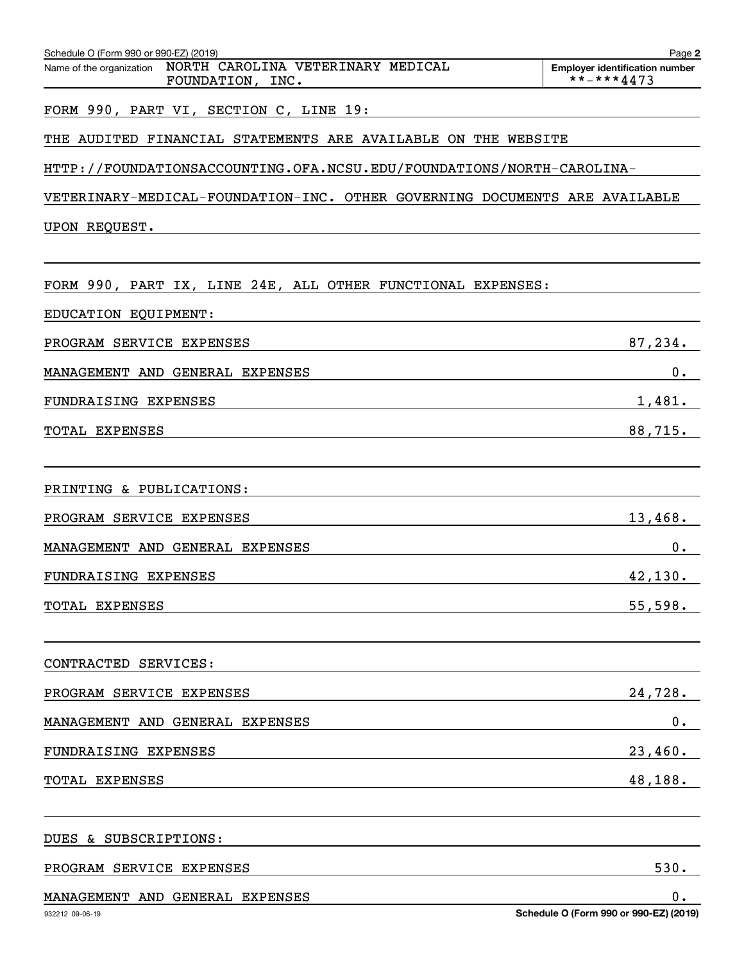| Schedule O (Form 990 or 990-EZ) (2019)                                            | Page 2                                              |
|-----------------------------------------------------------------------------------|-----------------------------------------------------|
| NORTH CAROLINA VETERINARY MEDICAL<br>Name of the organization<br>FOUNDATION, INC. | <b>Employer identification number</b><br>**-***4473 |
| FORM 990, PART VI, SECTION C, LINE 19:                                            |                                                     |
| THE AUDITED FINANCIAL STATEMENTS ARE AVAILABLE ON THE WEBSITE                     |                                                     |
| HTTP://FOUNDATIONSACCOUNTING.OFA.NCSU.EDU/FOUNDATIONS/NORTH-CAROLINA-             |                                                     |
| VETERINARY-MEDICAL-FOUNDATION-INC. OTHER GOVERNING DOCUMENTS ARE AVAILABLE        |                                                     |
| UPON REQUEST.                                                                     |                                                     |
|                                                                                   |                                                     |
| FORM 990, PART IX, LINE 24E, ALL OTHER FUNCTIONAL EXPENSES:                       |                                                     |
| EDUCATION EQUIPMENT:                                                              |                                                     |
| PROGRAM SERVICE EXPENSES                                                          | 87,234.                                             |
| MANAGEMENT AND GENERAL EXPENSES                                                   | 0.                                                  |
| FUNDRAISING EXPENSES                                                              | 1,481.                                              |
| TOTAL EXPENSES                                                                    | 88,715.                                             |
|                                                                                   |                                                     |
| PRINTING & PUBLICATIONS:                                                          |                                                     |
| PROGRAM SERVICE EXPENSES                                                          | 13,468.                                             |
| MANAGEMENT AND GENERAL EXPENSES                                                   | 0.                                                  |
| FUNDRAISING EXPENSES                                                              | 42, 130.                                            |
| TOTAL EXPENSES                                                                    | 55,598.                                             |
|                                                                                   |                                                     |
| CONTRACTED SERVICES:                                                              |                                                     |
| PROGRAM SERVICE EXPENSES                                                          | 24,728.                                             |
| MANAGEMENT AND GENERAL EXPENSES                                                   | $0$ .                                               |
| FUNDRAISING EXPENSES                                                              | 23,460.                                             |
| TOTAL EXPENSES                                                                    | 48, 188.                                            |
| DUES & SUBSCRIPTIONS:                                                             |                                                     |
| PROGRAM SERVICE EXPENSES                                                          | 530.                                                |
| MANAGEMENT AND GENERAL EXPENSES                                                   | $\mathbf 0$ .                                       |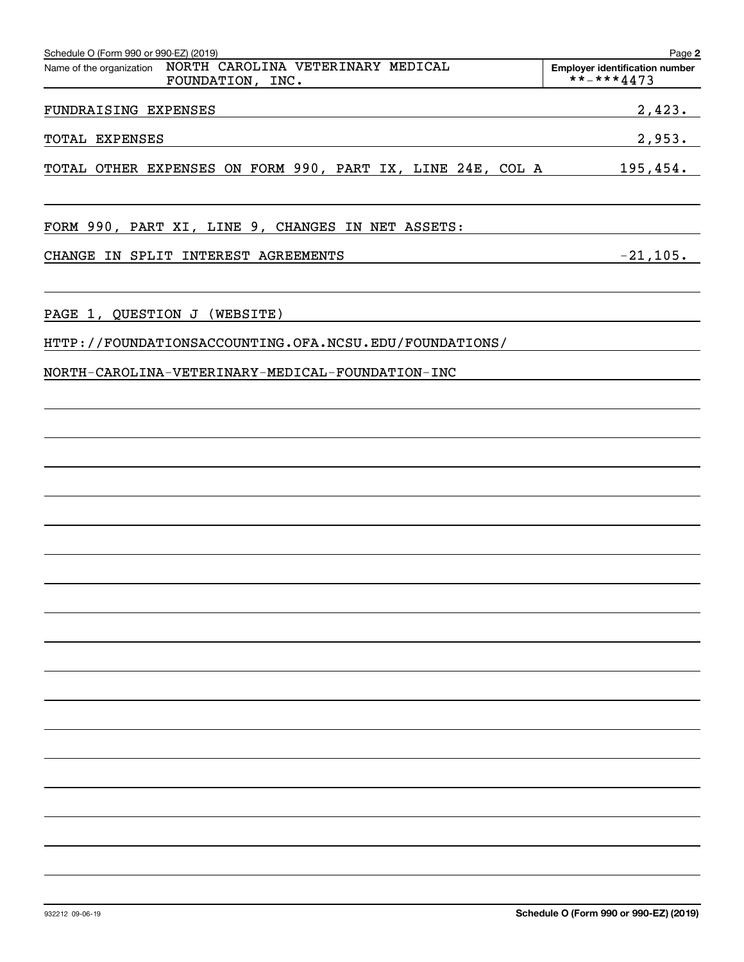| Schedule O (Form 990 or 990-EZ) (2019)                         | Page 2                                |
|----------------------------------------------------------------|---------------------------------------|
| Name of the organization  NORTH  CAROLINA  VETERINARY  MEDICAL | <b>Employer identification number</b> |
| FOUNDATION, INC.                                               | **-***4473                            |
| FUNDRAISING EXPENSES                                           | 2,423.                                |
| TOTAL EXPENSES                                                 | 2,953.                                |
| TOTAL OTHER EXPENSES ON FORM 990, PART IX, LINE 24E, COL A     | 195,454.                              |
| FORM 990, PART XI, LINE 9, CHANGES IN NET ASSETS:              |                                       |
| CHANGE IN SPLIT INTEREST AGREEMENTS                            | $-21, 105.$                           |
|                                                                |                                       |
| PAGE 1, QUESTION J (WEBSITE)                                   |                                       |
| HTTP://FOUNDATIONSACCOUNTING.OFA.NCSU.EDU/FOUNDATIONS/         |                                       |
| NORTH-CAROLINA-VETERINARY-MEDICAL-FOUNDATION-INC               |                                       |
|                                                                |                                       |
|                                                                |                                       |
|                                                                |                                       |
|                                                                |                                       |
|                                                                |                                       |
|                                                                |                                       |
|                                                                |                                       |
|                                                                |                                       |
|                                                                |                                       |
|                                                                |                                       |
|                                                                |                                       |
|                                                                |                                       |
|                                                                |                                       |
|                                                                |                                       |
|                                                                |                                       |
|                                                                |                                       |
|                                                                |                                       |
|                                                                |                                       |

932212 09-06-19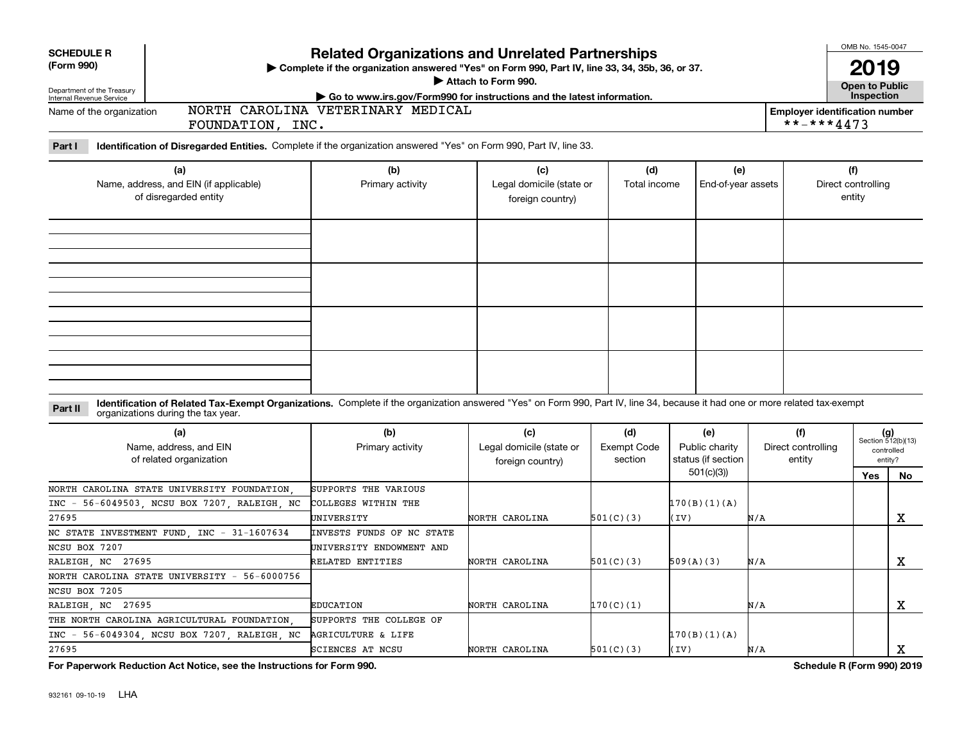| <b>SCHEDULE R</b><br>(Form 990)<br>Department of the Treasury<br>Internal Revenue Service      |                                                                                                                                                                              | <b>Related Organizations and Unrelated Partnerships</b><br>> Complete if the organization answered "Yes" on Form 990, Part IV, line 33, 34, 35b, 36, or 37.<br>Attach to Form 990.<br>Go to www.irs.gov/Form990 for instructions and the latest information. | OMB No. 1545-0047<br>2019<br>Open to Public<br>Inspection |                                      |                                                          |                                     |                                                     |                                                            |
|------------------------------------------------------------------------------------------------|------------------------------------------------------------------------------------------------------------------------------------------------------------------------------|--------------------------------------------------------------------------------------------------------------------------------------------------------------------------------------------------------------------------------------------------------------|-----------------------------------------------------------|--------------------------------------|----------------------------------------------------------|-------------------------------------|-----------------------------------------------------|------------------------------------------------------------|
| Name of the organization                                                                       | FOUNDATION, INC.                                                                                                                                                             | NORTH CAROLINA VETERINARY MEDICAL                                                                                                                                                                                                                            |                                                           |                                      |                                                          |                                     | <b>Employer identification number</b><br>**-***4473 |                                                            |
| Part I                                                                                         | Identification of Disregarded Entities. Complete if the organization answered "Yes" on Form 990, Part IV, line 33.                                                           |                                                                                                                                                                                                                                                              |                                                           |                                      |                                                          |                                     |                                                     |                                                            |
|                                                                                                | (a)<br>Name, address, and EIN (if applicable)<br>of disregarded entity                                                                                                       | (b)<br>Primary activity                                                                                                                                                                                                                                      | (c)<br>Legal domicile (state or<br>foreign country)       | (d)<br>Total income                  | (e)<br>End-of-year assets                                |                                     | (f)<br>Direct controlling<br>entity                 |                                                            |
|                                                                                                |                                                                                                                                                                              |                                                                                                                                                                                                                                                              |                                                           |                                      |                                                          |                                     |                                                     |                                                            |
| Part II                                                                                        | Identification of Related Tax-Exempt Organizations. Complete if the organization answered "Yes" on Form 990, Part IV, line 34, because it had one or more related tax-exempt |                                                                                                                                                                                                                                                              |                                                           |                                      |                                                          |                                     |                                                     |                                                            |
| organizations during the tax year.<br>(a)<br>Name, address, and EIN<br>of related organization |                                                                                                                                                                              | (b)<br>Primary activity                                                                                                                                                                                                                                      | (c)<br>Legal domicile (state or<br>foreign country)       | (d)<br><b>Exempt Code</b><br>section | (e)<br>Public charity<br>status (if section<br>501(c)(3) | (f)<br>Direct controlling<br>entity | Yes                                                 | $(g)$<br>Section 512(b)(13)<br>controlled<br>entity?<br>No |
| $INC -$<br>27695                                                                               | NORTH CAROLINA STATE UNIVERSITY FOUNDATION<br>56-6049503, NCSU BOX 7207, RALEIGH, NC                                                                                         | SUPPORTS THE VARIOUS<br>COLLEGES WITHIN THE<br>UNIVERSITY                                                                                                                                                                                                    | NORTH CAROLINA                                            | 501(C)(3)                            | 170(B)(1)(A)<br>(IV)                                     | N/A                                 |                                                     | $\mathbf X$                                                |
| NCSU BOX 7207<br>RALEIGH NC 27695                                                              | NC STATE INVESTMENT FUND, INC - 31-1607634                                                                                                                                   | INVESTS FUNDS OF NC STATE<br>UNIVERSITY ENDOWMENT AND<br>RELATED ENTITIES                                                                                                                                                                                    | NORTH CAROLINA                                            | 501(C)(3)                            | 509(A)(3)                                                | N/A                                 |                                                     | X                                                          |
| NCSU BOX 7205<br>RALEIGH, NC<br>27695                                                          | NORTH CAROLINA STATE UNIVERSITY - 56-6000756                                                                                                                                 | <b>EDUCATION</b>                                                                                                                                                                                                                                             | NORTH CAROLINA                                            | 170(C)(1)                            |                                                          | N/A                                 |                                                     | $\mathbf X$                                                |
| $INC -$<br>27695                                                                               | THE NORTH CAROLINA AGRICULTURAL FOUNDATION<br>56-6049304, NCSU BOX 7207, RALEIGH, NC                                                                                         | SUPPORTS THE COLLEGE OF<br><b>AGRICULTURE &amp; LIFE</b><br>SCIENCES AT NCSU                                                                                                                                                                                 | NORTH CAROLINA                                            | 501(C)(3)                            | 170(B)(1)(A)<br>(TV)                                     | N/A                                 |                                                     | X                                                          |

**For Paperwork Reduction Act Notice, see the Instructions for Form 990. Schedule R (Form 990) 2019**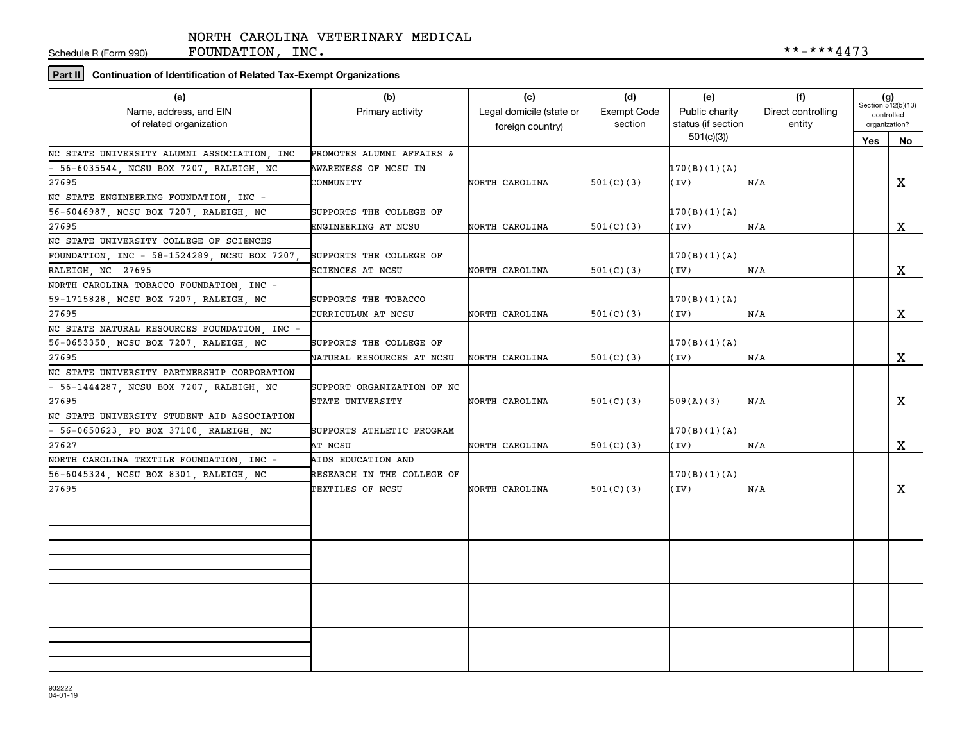Schedule R (Form 990)

FOUNDATION, INC.  $***-4473$ 

## **Part II Continuation of Identification of Related Tax-Exempt Organizations**

| (a)<br>Name, address, and EIN<br>of related organization | (b)<br>Primary activity    | (c)<br>Legal domicile (state or<br>foreign country) | (d)<br><b>Exempt Code</b><br>section | (e)<br>Public charity<br>status (if section | (f)<br>Direct controlling<br>entity | $(g)$<br>Section 512(b)(13)<br>controlled<br>organization? |             |
|----------------------------------------------------------|----------------------------|-----------------------------------------------------|--------------------------------------|---------------------------------------------|-------------------------------------|------------------------------------------------------------|-------------|
|                                                          |                            |                                                     |                                      | 501(c)(3)                                   |                                     | Yes                                                        | No          |
| NC STATE UNIVERSITY ALUMNI ASSOCIATION, INC              | PROMOTES ALUMNI AFFAIRS &  |                                                     |                                      |                                             |                                     |                                                            |             |
| - 56-6035544, NCSU BOX 7207, RALEIGH, NC                 | AWARENESS OF NCSU IN       |                                                     |                                      | 170(B)(1)(A)                                |                                     |                                                            |             |
| 27695                                                    | COMMUNITY                  | NORTH CAROLINA                                      | 501(C)(3)                            | (IV)                                        | N/A                                 |                                                            | X           |
| NC STATE ENGINEERING FOUNDATION, INC -                   |                            |                                                     |                                      |                                             |                                     |                                                            |             |
| 56-6046987, NCSU BOX 7207, RALEIGH, NC                   | SUPPORTS THE COLLEGE OF    |                                                     |                                      | 170(B)(1)(A)                                |                                     |                                                            |             |
| 27695                                                    | ENGINEERING AT NCSU        | NORTH CAROLINA                                      | 501(C)(3)                            | (IV)                                        | N/A                                 |                                                            | X           |
| NC STATE UNIVERSITY COLLEGE OF SCIENCES                  |                            |                                                     |                                      |                                             |                                     |                                                            |             |
| FOUNDATION, INC - 58-1524289, NCSU BOX 7207,             | SUPPORTS THE COLLEGE OF    |                                                     |                                      | 170(B)(1)(A)                                |                                     |                                                            |             |
| RALEIGH, NC 27695                                        | SCIENCES AT NCSU           | NORTH CAROLINA                                      | 501(C)(3)                            | (IV)                                        | N/A                                 |                                                            | X           |
| NORTH CAROLINA TOBACCO FOUNDATION, INC -                 |                            |                                                     |                                      |                                             |                                     |                                                            |             |
| 59-1715828, NCSU BOX 7207, RALEIGH, NC                   | SUPPORTS THE TOBACCO       |                                                     |                                      | 170(B)(1)(A)                                |                                     |                                                            |             |
| 27695                                                    | CURRICULUM AT NCSU         | NORTH CAROLINA                                      | 501(C)(3)                            | (IV)                                        | N/A                                 |                                                            | X           |
| NC STATE NATURAL RESOURCES FOUNDATION, INC -             |                            |                                                     |                                      |                                             |                                     |                                                            |             |
| 56-0653350, NCSU BOX 7207, RALEIGH, NC                   | SUPPORTS THE COLLEGE OF    |                                                     |                                      | 170(B)(1)(A)                                |                                     |                                                            |             |
| 27695                                                    | NATURAL RESOURCES AT NCSU  | NORTH CAROLINA                                      | 501(C)(3)                            | (IV)                                        | N/A                                 |                                                            | x           |
| NC STATE UNIVERSITY PARTNERSHIP CORPORATION              |                            |                                                     |                                      |                                             |                                     |                                                            |             |
| - 56-1444287, NCSU BOX 7207, RALEIGH, NC                 | SUPPORT ORGANIZATION OF NC |                                                     |                                      |                                             |                                     |                                                            |             |
| 27695                                                    | STATE UNIVERSITY           | NORTH CAROLINA                                      | 501(C)(3)                            | 509(A)(3)                                   | N/A                                 |                                                            | X           |
| NC STATE UNIVERSITY STUDENT AID ASSOCIATION              |                            |                                                     |                                      |                                             |                                     |                                                            |             |
| $-56-0650623$ , PO BOX 37100, RALEIGH, NC                | SUPPORTS ATHLETIC PROGRAM  |                                                     |                                      | 170(B)(1)(A)                                |                                     |                                                            |             |
| 27627                                                    | AT NCSU                    | NORTH CAROLINA                                      | 501(C)(3)                            | (IV)                                        | N/A                                 |                                                            | $\mathbf X$ |
| NORTH CAROLINA TEXTILE FOUNDATION, INC -                 | AIDS EDUCATION AND         |                                                     |                                      |                                             |                                     |                                                            |             |
| 56-6045324, NCSU BOX 8301, RALEIGH, NC                   | RESEARCH IN THE COLLEGE OF |                                                     |                                      | 170(B)(1)(A)                                |                                     |                                                            |             |
| 27695                                                    | TEXTILES OF NCSU           | NORTH CAROLINA                                      | 501(C)(3)                            | (IV)                                        | N/A                                 |                                                            | x           |
|                                                          |                            |                                                     |                                      |                                             |                                     |                                                            |             |
|                                                          |                            |                                                     |                                      |                                             |                                     |                                                            |             |
|                                                          |                            |                                                     |                                      |                                             |                                     |                                                            |             |
|                                                          |                            |                                                     |                                      |                                             |                                     |                                                            |             |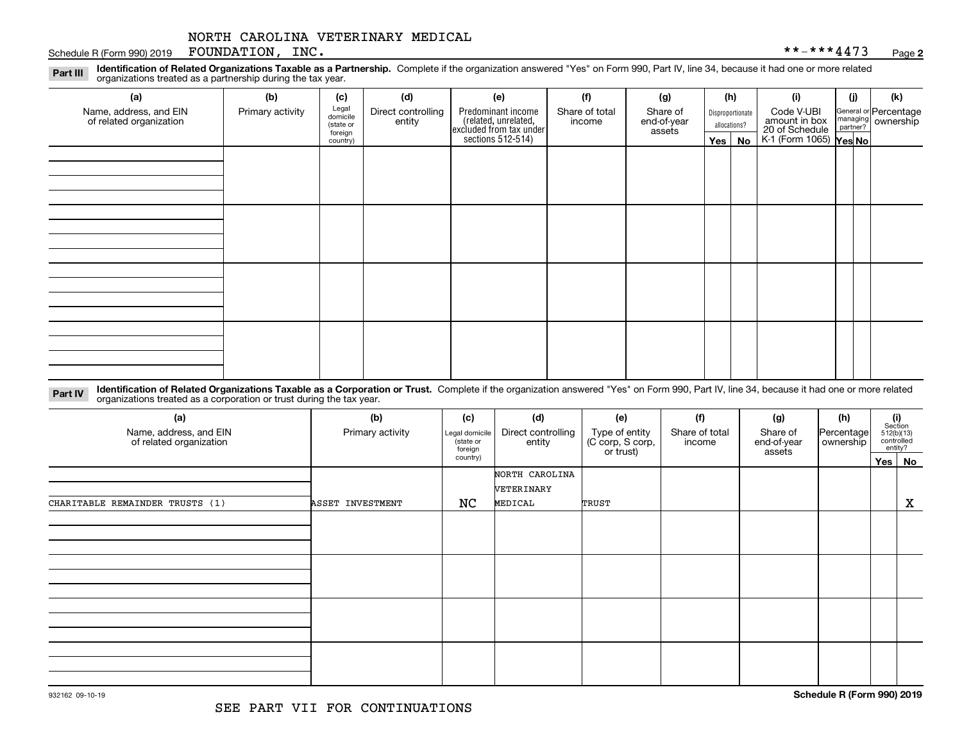#### Schedule R (Form 990) 2019 Page FOUNDATION, INC. \*\*-\*\*\*4473

**2**

**Identification of Related Organizations Taxable as a Partnership.** Complete if the organization answered "Yes" on Form 990, Part IV, line 34, because it had one or more related **Part III** organizations treated as a partnership during the tax year.

| (a)                                               | (b)              | (c)                 | (d)                | (e)                                                                                                  | (f)            | (g)         |              | (h)              | (i)                                                       | (j) | (k)                                                       |
|---------------------------------------------------|------------------|---------------------|--------------------|------------------------------------------------------------------------------------------------------|----------------|-------------|--------------|------------------|-----------------------------------------------------------|-----|-----------------------------------------------------------|
| Name, address, and EIN<br>of related organization | Primary activity | Legal<br>domicile   | Direct controlling |                                                                                                      | Share of total | Share of    |              | Disproportionate | Code V-UBI                                                |     |                                                           |
|                                                   |                  | (state or           |                    | Predominant income<br>(related, unrelated,<br>excluded from tax under<br>sections 512-514)<br>entity | income         | end-of-year | allocations? |                  | amount in box<br>20 of Schedule<br>K-1 (Form 1065) Yes No |     | General or Percentage<br>managing<br>partner?<br>partner? |
|                                                   |                  | foreign<br>country) |                    |                                                                                                      |                | assets      |              | $Yes \mid No$    |                                                           |     |                                                           |
|                                                   |                  |                     |                    |                                                                                                      |                |             |              |                  |                                                           |     |                                                           |
|                                                   |                  |                     |                    |                                                                                                      |                |             |              |                  |                                                           |     |                                                           |
|                                                   |                  |                     |                    |                                                                                                      |                |             |              |                  |                                                           |     |                                                           |
|                                                   |                  |                     |                    |                                                                                                      |                |             |              |                  |                                                           |     |                                                           |
|                                                   |                  |                     |                    |                                                                                                      |                |             |              |                  |                                                           |     |                                                           |
|                                                   |                  |                     |                    |                                                                                                      |                |             |              |                  |                                                           |     |                                                           |
|                                                   |                  |                     |                    |                                                                                                      |                |             |              |                  |                                                           |     |                                                           |
|                                                   |                  |                     |                    |                                                                                                      |                |             |              |                  |                                                           |     |                                                           |
|                                                   |                  |                     |                    |                                                                                                      |                |             |              |                  |                                                           |     |                                                           |
|                                                   |                  |                     |                    |                                                                                                      |                |             |              |                  |                                                           |     |                                                           |
|                                                   |                  |                     |                    |                                                                                                      |                |             |              |                  |                                                           |     |                                                           |
|                                                   |                  |                     |                    |                                                                                                      |                |             |              |                  |                                                           |     |                                                           |
|                                                   |                  |                     |                    |                                                                                                      |                |             |              |                  |                                                           |     |                                                           |
|                                                   |                  |                     |                    |                                                                                                      |                |             |              |                  |                                                           |     |                                                           |
|                                                   |                  |                     |                    |                                                                                                      |                |             |              |                  |                                                           |     |                                                           |
|                                                   |                  |                     |                    |                                                                                                      |                |             |              |                  |                                                           |     |                                                           |
|                                                   |                  |                     |                    |                                                                                                      |                |             |              |                  |                                                           |     |                                                           |
|                                                   |                  |                     |                    |                                                                                                      |                |             |              |                  |                                                           |     |                                                           |
|                                                   |                  |                     |                    |                                                                                                      |                |             |              |                  |                                                           |     |                                                           |

**Identification of Related Organizations Taxable as a Corporation or Trust.** Complete if the organization answered "Yes" on Form 990, Part IV, line 34, because it had one or more related **Part IV** organizations treated as a corporation or trust during the tax year.

| (a)<br>Name, address, and EIN<br>of related organization | (b)<br>Primary activity | (c)<br>Direct controlling<br>Legal domicile<br>state or<br>foreign |                              | (e)<br>Type of entity<br>(C corp, S corp,<br>or trust) | (f)<br>Share of total<br>income | (g)<br>Share of<br>end-of-year<br>assets | (h)<br>Percentage<br>ownership | (i)<br>Section<br>$512(b)(13)$ controlled<br>entity? |
|----------------------------------------------------------|-------------------------|--------------------------------------------------------------------|------------------------------|--------------------------------------------------------|---------------------------------|------------------------------------------|--------------------------------|------------------------------------------------------|
|                                                          |                         | country)                                                           |                              |                                                        |                                 |                                          |                                | Yes No                                               |
|                                                          |                         |                                                                    | NORTH CAROLINA<br>VETERINARY |                                                        |                                 |                                          |                                |                                                      |
| CHARITABLE REMAINDER TRUSTS (1)                          | ASSET INVESTMENT        | NC                                                                 | MEDICAL                      | TRUST                                                  |                                 |                                          |                                | X                                                    |
|                                                          |                         |                                                                    |                              |                                                        |                                 |                                          |                                |                                                      |
|                                                          |                         |                                                                    |                              |                                                        |                                 |                                          |                                |                                                      |
|                                                          |                         |                                                                    |                              |                                                        |                                 |                                          |                                |                                                      |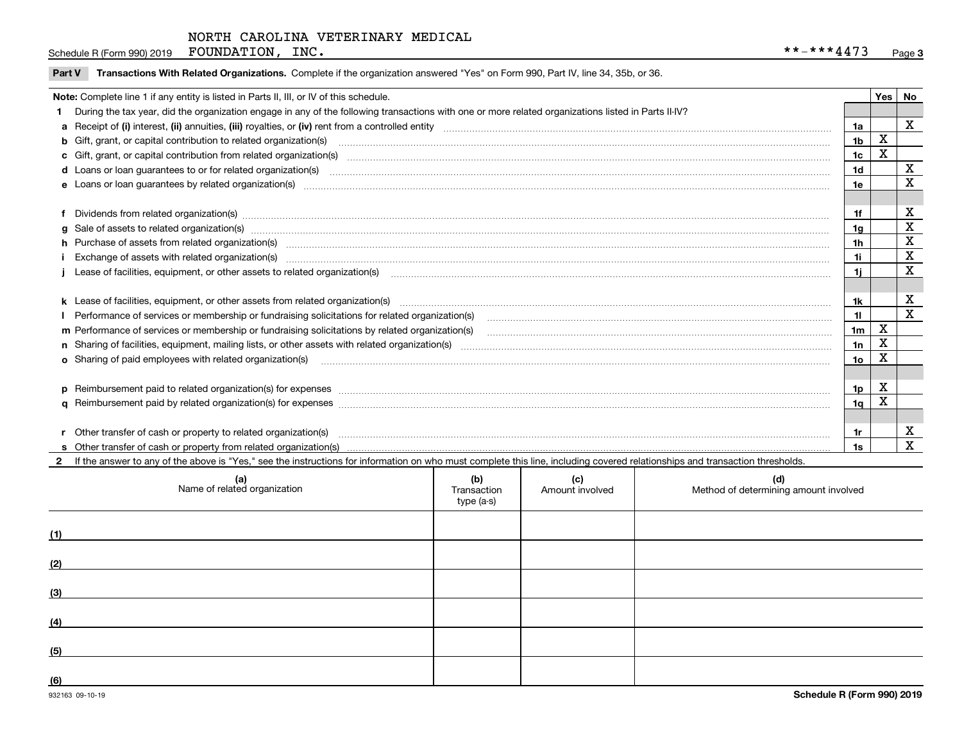Schedule R (Form 990) 2019 Page FOUNDATION, INC. \*\*-\*\*\*4473

| Part V Transactions With Related Organizations. Complete if the organization answered "Yes" on Form 990, Part IV, line 34, 35b, or 36. |  |  |
|----------------------------------------------------------------------------------------------------------------------------------------|--|--|
|                                                                                                                                        |  |  |

| Note: Complete line 1 if any entity is listed in Parts II, III, or IV of this schedule. |                                                                                                                                                                                                                                |                |   |             |  |
|-----------------------------------------------------------------------------------------|--------------------------------------------------------------------------------------------------------------------------------------------------------------------------------------------------------------------------------|----------------|---|-------------|--|
|                                                                                         | 1 During the tax year, did the organization engage in any of the following transactions with one or more related organizations listed in Parts II-IV?                                                                          |                |   |             |  |
|                                                                                         |                                                                                                                                                                                                                                | 1a             |   | $\mathbf x$ |  |
|                                                                                         | <b>b</b> Gift, grant, or capital contribution to related organization(s)                                                                                                                                                       | 1 <sub>b</sub> | X |             |  |
|                                                                                         | c Gift, grant, or capital contribution from related organization(s) manufaction contribution from related organization(s) manufaction contribution from related organization(s) manufaction manufaction contribution from rela | 1c             | Χ |             |  |
|                                                                                         |                                                                                                                                                                                                                                | 1d             |   | X           |  |
|                                                                                         |                                                                                                                                                                                                                                | 1e             |   | X           |  |
|                                                                                         |                                                                                                                                                                                                                                |                |   |             |  |
|                                                                                         | f Dividends from related organization(s) manufactured contains and contained a series of the contact of the contact of the contact of the contact of the contact of the contact of the contact of the contact of the contact o | 1f             |   | X           |  |
|                                                                                         |                                                                                                                                                                                                                                | 1a             |   | X           |  |
|                                                                                         | h Purchase of assets from related organization(s) manufactured and content and content and content and content and content and content and content and content and content and content and content and content and content and | 1h             |   | X           |  |
|                                                                                         |                                                                                                                                                                                                                                | 1i             |   | X           |  |
|                                                                                         |                                                                                                                                                                                                                                |                |   | X           |  |
|                                                                                         |                                                                                                                                                                                                                                |                |   |             |  |
|                                                                                         |                                                                                                                                                                                                                                | 1k             |   | X           |  |
|                                                                                         | I Performance of services or membership or fundraising solicitations for related organization(s)                                                                                                                               | 11             |   | $\mathbf x$ |  |
|                                                                                         | m Performance of services or membership or fundraising solicitations by related organization(s)                                                                                                                                | 1 <sub>m</sub> | х |             |  |
|                                                                                         |                                                                                                                                                                                                                                | 1n             | X |             |  |
|                                                                                         | o Sharing of paid employees with related organization(s) manufactured contains and contains and contains a starting of paid employees with related organization(s)                                                             | 1o             | X |             |  |
|                                                                                         |                                                                                                                                                                                                                                |                |   |             |  |
|                                                                                         | p Reimbursement paid to related organization(s) for expenses [1111] and the content of the content of the content of the content of the content of the content of the content of the content of the content of the content of  | 1p             | X |             |  |
|                                                                                         |                                                                                                                                                                                                                                | 1q             |   |             |  |
|                                                                                         |                                                                                                                                                                                                                                |                |   |             |  |
|                                                                                         | r Other transfer of cash or property to related organization(s) <b>contract to consume the contract of cash</b> or property to related organization(s)                                                                         | 1r             |   | х           |  |
|                                                                                         |                                                                                                                                                                                                                                | 1s             |   | X           |  |

2 If the answer to any of the above is "Yes," see the instructions for information on who must complete this line, including covered relationships and transaction thresholds.

|     | (a)<br>Name of related organization | (b)<br>Transaction<br>type (a-s) | (c)<br>Amount involved | (d)<br>Method of determining amount involved |
|-----|-------------------------------------|----------------------------------|------------------------|----------------------------------------------|
| (1) |                                     |                                  |                        |                                              |
| (2) |                                     |                                  |                        |                                              |
| (3) |                                     |                                  |                        |                                              |
| (4) |                                     |                                  |                        |                                              |
| (5) |                                     |                                  |                        |                                              |
| (6) |                                     |                                  |                        |                                              |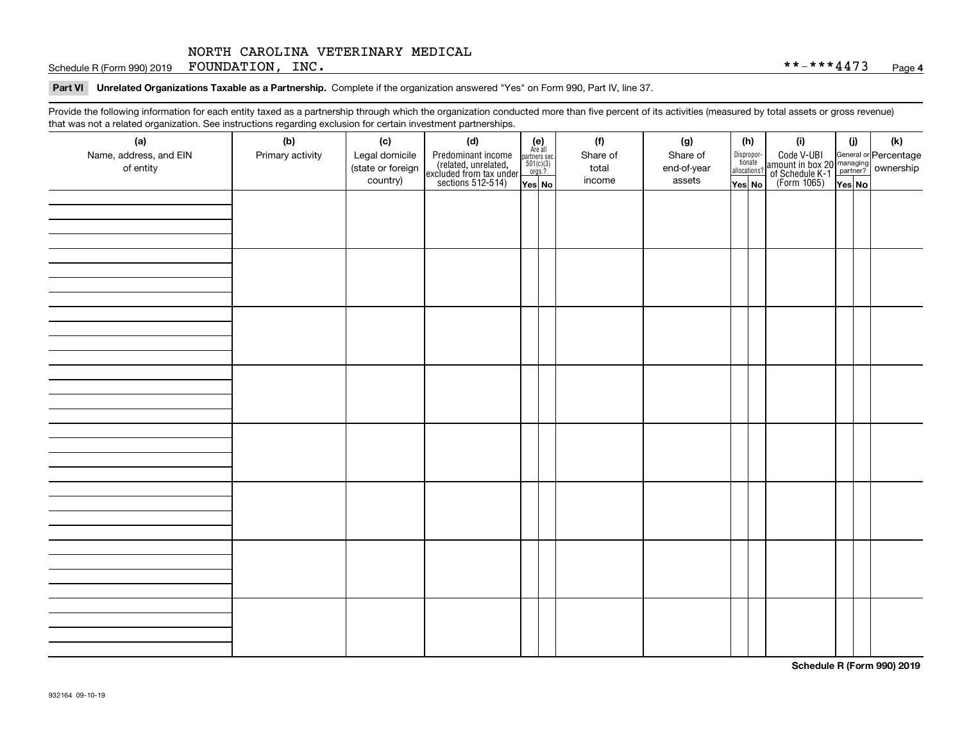Schedule R (Form 990) 2019 Page FOUNDATION, INC. \*\*-\*\*\*4473

# **Part VI Unrelated Organizations Taxable as a Partnership.**  Complete if the organization answered "Yes" on Form 990, Part IV, line 37.

Provide the following information for each entity taxed as a partnership through which the organization conducted more than five percent of its activities (measured by total assets or gross revenue) that was not a related organization. See instructions regarding exclusion for certain investment partnerships.

| (a)<br>Name, address, and EIN<br>of entity | ----- <del>-</del> --------<br>(b)<br>Primary activity | (c)<br>Legal domicile<br>(state or foreign<br>country) | (d)<br>Predominant income<br>(related, unrelated,<br>excluded from tax under<br>sections 512-514) | (e)<br>Are all<br>partners sec.<br>$501(c)(3)$<br>orgs.?<br>Yes No | (f)<br>Share of<br>total<br>income | (g)<br>Share of<br>end-of-year<br>assets | (h)<br>Dispropor-<br>tionate<br>allocations?<br>Yes No | (i)<br>Code V-UBI<br>  amount in box 20 managing<br>  of Schedule K-1 partner? ownership<br>  of Schedule K-1 partner? ownership<br>  Yes No | (i)<br>Yes No | (k) |
|--------------------------------------------|--------------------------------------------------------|--------------------------------------------------------|---------------------------------------------------------------------------------------------------|--------------------------------------------------------------------|------------------------------------|------------------------------------------|--------------------------------------------------------|----------------------------------------------------------------------------------------------------------------------------------------------|---------------|-----|
|                                            |                                                        |                                                        |                                                                                                   |                                                                    |                                    |                                          |                                                        |                                                                                                                                              |               |     |
|                                            |                                                        |                                                        |                                                                                                   |                                                                    |                                    |                                          |                                                        |                                                                                                                                              |               |     |
|                                            |                                                        |                                                        |                                                                                                   |                                                                    |                                    |                                          |                                                        |                                                                                                                                              |               |     |
|                                            |                                                        |                                                        |                                                                                                   |                                                                    |                                    |                                          |                                                        |                                                                                                                                              |               |     |
|                                            |                                                        |                                                        |                                                                                                   |                                                                    |                                    |                                          |                                                        |                                                                                                                                              |               |     |
|                                            |                                                        |                                                        |                                                                                                   |                                                                    |                                    |                                          |                                                        |                                                                                                                                              |               |     |
|                                            |                                                        |                                                        |                                                                                                   |                                                                    |                                    |                                          |                                                        |                                                                                                                                              |               |     |
|                                            |                                                        |                                                        |                                                                                                   |                                                                    |                                    |                                          |                                                        |                                                                                                                                              |               |     |

**Schedule R (Form 990) 2019**